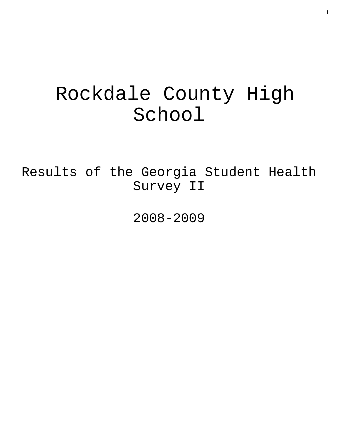# Rockdale County High School

Results of the Georgia Student Health Survey II

2008-2009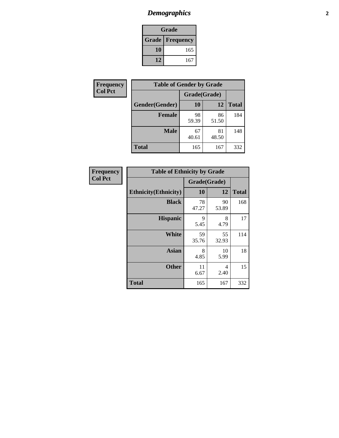# *Demographics* **2**

| Grade                    |     |  |  |  |
|--------------------------|-----|--|--|--|
| <b>Grade   Frequency</b> |     |  |  |  |
| 10                       | 165 |  |  |  |
| 12                       | 167 |  |  |  |

| <b>Frequency</b> | <b>Table of Gender by Grade</b> |              |             |              |  |
|------------------|---------------------------------|--------------|-------------|--------------|--|
| <b>Col Pct</b>   |                                 | Grade(Grade) |             |              |  |
|                  | Gender(Gender)                  | 10           | 12          | <b>Total</b> |  |
|                  | <b>Female</b>                   | 98<br>59.39  | 86<br>51.50 | 184          |  |
|                  | <b>Male</b>                     | 67<br>40.61  | 81<br>48.50 | 148          |  |
|                  | <b>Total</b>                    | 165          | 167         | 332          |  |

| Frequency<br>Col Pct |
|----------------------|

| <b>Table of Ethnicity by Grade</b> |              |             |              |  |  |  |
|------------------------------------|--------------|-------------|--------------|--|--|--|
|                                    | Grade(Grade) |             |              |  |  |  |
| <b>Ethnicity</b> (Ethnicity)       | 10           | 12          | <b>Total</b> |  |  |  |
| <b>Black</b>                       | 78<br>47.27  | 90<br>53.89 | 168          |  |  |  |
| <b>Hispanic</b>                    | 9<br>5.45    | 8<br>4.79   | 17           |  |  |  |
| <b>White</b>                       | 59<br>35.76  | 55<br>32.93 | 114          |  |  |  |
| <b>Asian</b>                       | 8<br>4.85    | 10<br>5.99  | 18           |  |  |  |
| <b>Other</b>                       | 11<br>6.67   | 4<br>2.40   | 15           |  |  |  |
| <b>Total</b>                       | 165          | 167         | 332          |  |  |  |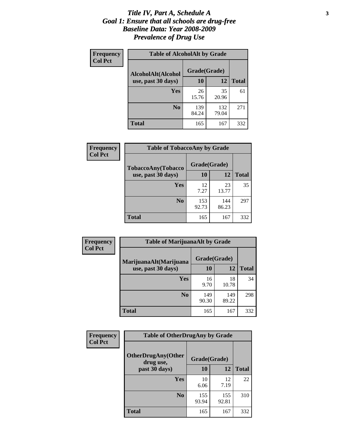#### *Title IV, Part A, Schedule A* **3** *Goal 1: Ensure that all schools are drug-free Baseline Data: Year 2008-2009 Prevalence of Drug Use*

| Frequency<br><b>Col Pct</b> | <b>Table of AlcoholAlt by Grade</b> |              |              |              |  |
|-----------------------------|-------------------------------------|--------------|--------------|--------------|--|
|                             | AlcoholAlt(Alcohol                  | Grade(Grade) |              |              |  |
|                             | use, past 30 days)                  | <b>10</b>    | 12           | <b>Total</b> |  |
|                             | Yes                                 | 26<br>15.76  | 35<br>20.96  | 61           |  |
|                             | N <sub>0</sub>                      | 139<br>84.24 | 132<br>79.04 | 271          |  |
|                             | <b>Total</b>                        | 165          | 167          | 332          |  |

| Frequency<br><b>Col Pct</b> | <b>Table of TobaccoAny by Grade</b> |              |              |              |  |
|-----------------------------|-------------------------------------|--------------|--------------|--------------|--|
|                             | <b>TobaccoAny(Tobacco</b>           | Grade(Grade) |              |              |  |
|                             | use, past 30 days)                  | <b>10</b>    | 12           | <b>Total</b> |  |
|                             | Yes                                 | 12<br>7.27   | 23<br>13.77  | 35           |  |
|                             | N <sub>0</sub>                      | 153<br>92.73 | 144<br>86.23 | 297          |  |
|                             | <b>Total</b>                        | 165          | 167          | 332          |  |

| Frequency          | <b>Table of MarijuanaAlt by Grade</b> |              |              |     |  |
|--------------------|---------------------------------------|--------------|--------------|-----|--|
| <b>Col Pct</b>     | MarijuanaAlt(Marijuana                | Grade(Grade) |              |     |  |
| use, past 30 days) | 10                                    | 12           | <b>Total</b> |     |  |
|                    | <b>Yes</b>                            | 16<br>9.70   | 18<br>10.78  | 34  |  |
|                    | N <sub>0</sub>                        | 149<br>90.30 | 149<br>89.22 | 298 |  |
|                    | <b>Total</b>                          | 165          | 167          | 332 |  |

| <b>Frequency</b> | <b>Table of OtherDrugAny by Grade</b>  |              |              |              |  |
|------------------|----------------------------------------|--------------|--------------|--------------|--|
| <b>Col Pct</b>   | <b>OtherDrugAny(Other</b><br>drug use, | Grade(Grade) |              |              |  |
|                  | past 30 days)                          | 10           | 12           | <b>Total</b> |  |
|                  | Yes                                    | 10<br>6.06   | 12<br>7.19   | 22           |  |
|                  | N <sub>0</sub>                         | 155<br>93.94 | 155<br>92.81 | 310          |  |
|                  | <b>Total</b>                           | 165          | 167          | 332          |  |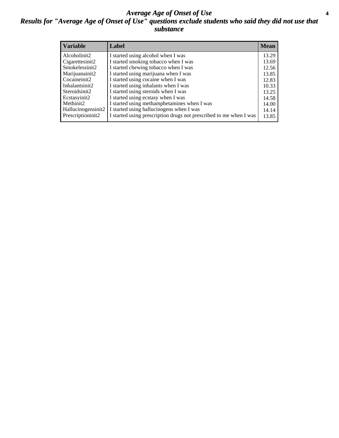#### *Average Age of Onset of Use* **4** *Results for "Average Age of Onset of Use" questions exclude students who said they did not use that substance*

| <b>Variable</b>    | Label                                                              | <b>Mean</b> |
|--------------------|--------------------------------------------------------------------|-------------|
| Alcoholinit2       | I started using alcohol when I was                                 | 13.29       |
| Cigarettesinit2    | I started smoking tobacco when I was                               | 13.69       |
| Smokelessinit2     | I started chewing tobacco when I was                               | 12.56       |
| Marijuanainit2     | I started using marijuana when I was                               | 13.85       |
| Cocaineinit2       | I started using cocaine when I was                                 | 12.83       |
| Inhalantsinit2     | I started using inhalants when I was                               | 10.33       |
| Steroidsinit2      | I started using steroids when I was                                | 13.25       |
| Ecstasyinit2       | I started using ecstasy when I was                                 | 14.58       |
| Methinit2          | I started using methamphetamines when I was                        | 14.00       |
| Hallucinogensinit2 | I started using hallucinogens when I was                           | 14.14       |
| Prescriptioninit2  | I started using prescription drugs not prescribed to me when I was | 13.85       |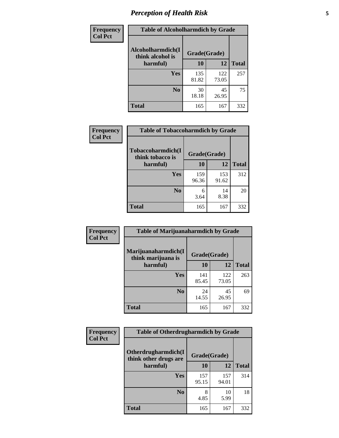# *Perception of Health Risk* **5**

| Frequency      | <b>Table of Alcoholharmdich by Grade</b> |              |              |              |  |
|----------------|------------------------------------------|--------------|--------------|--------------|--|
| <b>Col Pct</b> | Alcoholharmdich(I<br>think alcohol is    | Grade(Grade) |              |              |  |
|                | harmful)                                 | 10           | 12           | <b>Total</b> |  |
|                | <b>Yes</b>                               | 135<br>81.82 | 122<br>73.05 | 257          |  |
|                | N <sub>0</sub>                           | 30<br>18.18  | 45<br>26.95  | 75           |  |
|                | <b>Total</b>                             | 165          | 167          | 332          |  |

| <b>Frequency</b> | <b>Table of Tobaccoharmdich by Grade</b> |              |              |              |
|------------------|------------------------------------------|--------------|--------------|--------------|
| <b>Col Pct</b>   | Tobaccoharmdich(I<br>think tobacco is    | Grade(Grade) |              |              |
|                  | harmful)                                 | 10           | 12           | <b>Total</b> |
|                  | Yes                                      | 159<br>96.36 | 153<br>91.62 | 312          |
|                  | N <sub>0</sub>                           | 6<br>3.64    | 14<br>8.38   | 20           |
|                  | Total                                    | 165          | 167          | 332          |

| Frequency      | <b>Table of Marijuanaharmdich by Grade</b> |              |              |              |  |  |
|----------------|--------------------------------------------|--------------|--------------|--------------|--|--|
| <b>Col Pct</b> | Marijuanaharmdich(I<br>think marijuana is  | Grade(Grade) |              |              |  |  |
|                | harmful)                                   | 10           | 12           | <b>Total</b> |  |  |
|                | Yes                                        | 141<br>85.45 | 122<br>73.05 | 263          |  |  |
|                | N <sub>0</sub>                             | 24<br>14.55  | 45<br>26.95  | 69           |  |  |
|                | <b>Total</b>                               | 165          | 167          | 332          |  |  |

| <b>Frequency</b> | <b>Table of Otherdrugharmdich by Grade</b>   |              |              |              |  |  |  |  |
|------------------|----------------------------------------------|--------------|--------------|--------------|--|--|--|--|
| <b>Col Pct</b>   | Otherdrugharmdich(I<br>think other drugs are | Grade(Grade) |              |              |  |  |  |  |
|                  | harmful)                                     | 10           | 12           | <b>Total</b> |  |  |  |  |
|                  | Yes                                          | 157<br>95.15 | 157<br>94.01 | 314          |  |  |  |  |
|                  | N <sub>0</sub>                               | 8<br>4.85    | 10<br>5.99   | 18           |  |  |  |  |
|                  | <b>Total</b>                                 | 165          | 167          | 332          |  |  |  |  |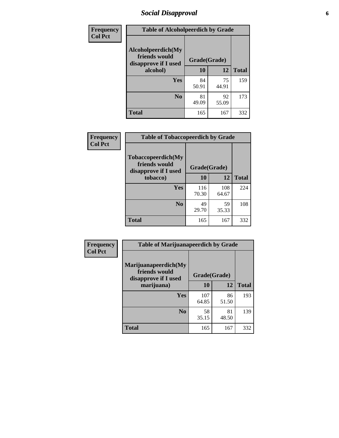# *Social Disapproval* **6**

| Frequency      | <b>Table of Alcoholpeerdich by Grade</b>                    |              |             |              |  |  |  |
|----------------|-------------------------------------------------------------|--------------|-------------|--------------|--|--|--|
| <b>Col Pct</b> | Alcoholpeerdich(My<br>friends would<br>disapprove if I used | Grade(Grade) |             |              |  |  |  |
|                | alcohol)                                                    | 10           | 12          | <b>Total</b> |  |  |  |
|                | <b>Yes</b>                                                  | 84<br>50.91  | 75<br>44.91 | 159          |  |  |  |
|                | N <sub>0</sub>                                              | 81<br>49.09  | 92<br>55.09 | 173          |  |  |  |
|                | <b>Total</b>                                                | 165          | 167         | 332          |  |  |  |

| <b>Frequency</b> |
|------------------|
| <b>Col Pct</b>   |

| <b>Table of Tobaccopeerdich by Grade</b>                    |              |              |              |  |  |  |  |
|-------------------------------------------------------------|--------------|--------------|--------------|--|--|--|--|
| Tobaccopeerdich(My<br>friends would<br>disapprove if I used | Grade(Grade) |              |              |  |  |  |  |
| tobacco)                                                    | 10           | 12           | <b>Total</b> |  |  |  |  |
| Yes                                                         | 116<br>70.30 | 108<br>64.67 | 224          |  |  |  |  |
| $\bf N$ <sub>0</sub>                                        | 49<br>29.70  | 59<br>35.33  | 108          |  |  |  |  |
| <b>Total</b>                                                | 165          | 167          | 332          |  |  |  |  |

| <b>Frequency</b> | <b>Table of Marijuanapeerdich by Grade</b>                    |              |             |              |  |  |  |  |
|------------------|---------------------------------------------------------------|--------------|-------------|--------------|--|--|--|--|
| <b>Col Pct</b>   | Marijuanapeerdich(My<br>friends would<br>disapprove if I used | Grade(Grade) |             |              |  |  |  |  |
|                  | marijuana)                                                    | 10           | 12          | <b>Total</b> |  |  |  |  |
|                  | Yes                                                           | 107<br>64.85 | 86<br>51.50 | 193          |  |  |  |  |
|                  | N <sub>0</sub>                                                | 58<br>35.15  | 81<br>48.50 | 139          |  |  |  |  |
|                  | <b>Total</b>                                                  | 165          | 167         | 332          |  |  |  |  |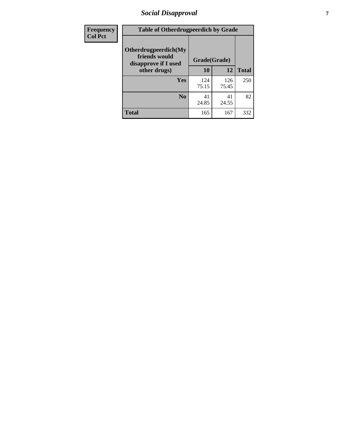# *Social Disapproval* **7**

| Frequency      | <b>Table of Otherdrugpeerdich by Grade</b>                    |              |              |              |  |  |  |  |
|----------------|---------------------------------------------------------------|--------------|--------------|--------------|--|--|--|--|
| <b>Col Pct</b> | Otherdrugpeerdich(My<br>friends would<br>disapprove if I used | Grade(Grade) |              |              |  |  |  |  |
|                | other drugs)                                                  | 10           | 12           | <b>Total</b> |  |  |  |  |
|                | Yes                                                           | 124<br>75.15 | 126<br>75.45 | 250          |  |  |  |  |
|                | N <sub>0</sub>                                                | 41<br>24.85  | 41<br>24.55  | 82           |  |  |  |  |
|                | <b>Total</b>                                                  | 165          | 167          | 332          |  |  |  |  |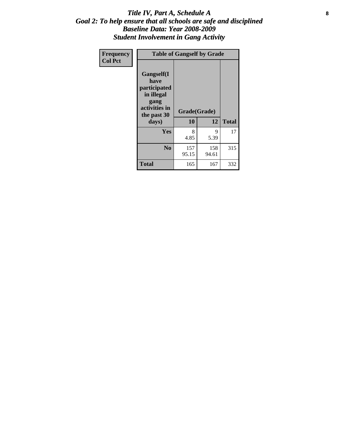### Title IV, Part A, Schedule A **8** *Goal 2: To help ensure that all schools are safe and disciplined Baseline Data: Year 2008-2009 Student Involvement in Gang Activity*

| Frequency      | <b>Table of Gangself by Grade</b>                                                                 |                    |              |              |
|----------------|---------------------------------------------------------------------------------------------------|--------------------|--------------|--------------|
| <b>Col Pct</b> | Gangself(I<br>have<br>participated<br>in illegal<br>gang<br>activities in<br>the past 30<br>days) | Grade(Grade)<br>10 | 12           | <b>Total</b> |
|                | Yes                                                                                               | 8<br>4.85          | 9<br>5.39    | 17           |
|                | N <sub>0</sub>                                                                                    | 157<br>95.15       | 158<br>94.61 | 315          |
|                | Total                                                                                             | 165                | 167          | 332          |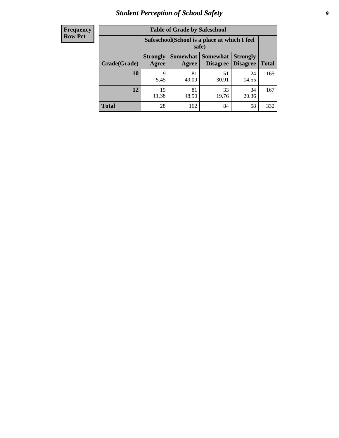# *Student Perception of School Safety* **9**

| <b>Frequency</b><br>Row Pct |
|-----------------------------|
|                             |

| <b>Table of Grade by Safeschool</b> |                                                                                                            |             |             |             |     |  |  |
|-------------------------------------|------------------------------------------------------------------------------------------------------------|-------------|-------------|-------------|-----|--|--|
|                                     | Safeschool (School is a place at which I feel<br>safe)                                                     |             |             |             |     |  |  |
| Grade(Grade)                        | Somewhat   Somewhat<br><b>Strongly</b><br><b>Strongly</b><br><b>Disagree</b><br>Agree<br>Disagree<br>Agree |             |             |             |     |  |  |
| 10                                  | 9<br>5.45                                                                                                  | 81<br>49.09 | 51<br>30.91 | 24<br>14.55 | 165 |  |  |
| 12                                  | 19<br>11.38                                                                                                | 81<br>48.50 | 33<br>19.76 | 34<br>20.36 | 167 |  |  |
| <b>Total</b>                        | 28                                                                                                         | 162         | 84          | 58          | 332 |  |  |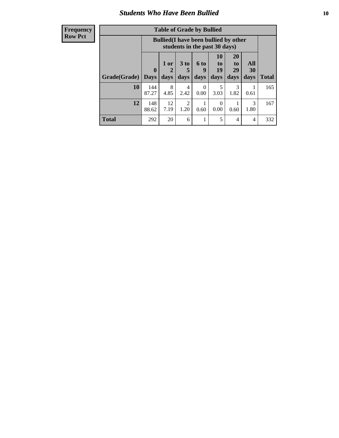### *Students Who Have Been Bullied* **10**

| <b>Frequency</b> |
|------------------|
| Row Pct          |

| <b>Table of Grade by Bullied</b> |                            |                                                                               |                              |                   |                        |                        |                                 |              |
|----------------------------------|----------------------------|-------------------------------------------------------------------------------|------------------------------|-------------------|------------------------|------------------------|---------------------------------|--------------|
|                                  |                            | <b>Bullied</b> (I have been bullied by other<br>students in the past 30 days) |                              |                   |                        |                        |                                 |              |
| Grade(Grade)                     | $\mathbf 0$<br><b>Days</b> | 1 or<br>2<br>days                                                             | 3 <sub>to</sub><br>5<br>days | 6 to<br>9<br>days | 10<br>to<br>19<br>days | 20<br>to<br>29<br>days | <b>All</b><br><b>30</b><br>days | <b>Total</b> |
| 10                               | 144<br>87.27               | 8<br>4.85                                                                     | 4<br>2.42                    | $\theta$<br>0.00  | 5<br>3.03              | 3<br>1.82              | 0.61                            | 165          |
| 12                               | 148<br>88.62               | 12<br>7.19                                                                    | 2<br>1.20                    | 0.60              | $\Omega$<br>0.00       | 0.60                   | 3<br>1.80                       | 167          |
| Total                            | 292                        | 20                                                                            | 6                            |                   | 5                      | 4                      | 4                               | 332          |

 $\blacksquare$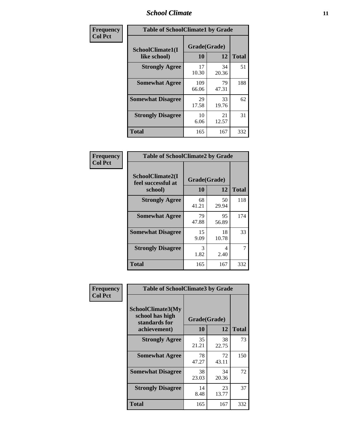### *School Climate* **11**

| Frequency      | <b>Table of SchoolClimate1 by Grade</b> |                    |             |              |  |  |  |
|----------------|-----------------------------------------|--------------------|-------------|--------------|--|--|--|
| <b>Col Pct</b> | SchoolClimate1(I<br>like school)        | Grade(Grade)<br>10 | 12          | <b>Total</b> |  |  |  |
|                | <b>Strongly Agree</b>                   | 17<br>10.30        | 34<br>20.36 | 51           |  |  |  |
|                | <b>Somewhat Agree</b>                   | 109<br>66.06       | 79<br>47.31 | 188          |  |  |  |
|                | <b>Somewhat Disagree</b>                | 29<br>17.58        | 33<br>19.76 | 62           |  |  |  |
|                | <b>Strongly Disagree</b>                | 10<br>6.06         | 21<br>12.57 | 31           |  |  |  |
|                | <b>Total</b>                            | 165                | 167         | 332          |  |  |  |

| Frequency      |                                                   | <b>Table of SchoolClimate2 by Grade</b> |             |              |  |
|----------------|---------------------------------------------------|-----------------------------------------|-------------|--------------|--|
| <b>Col Pct</b> | SchoolClimate2(I<br>feel successful at<br>school) | Grade(Grade)<br>10                      | 12          | <b>Total</b> |  |
|                | <b>Strongly Agree</b>                             | 68<br>41.21                             | 50<br>29.94 | 118          |  |
|                | <b>Somewhat Agree</b>                             | 79<br>47.88                             | 95<br>56.89 | 174          |  |
|                | <b>Somewhat Disagree</b>                          | 15<br>9.09                              | 18<br>10.78 | 33           |  |
|                | <b>Strongly Disagree</b>                          | 3<br>1.82                               | 4<br>2.40   | 7            |  |
|                | <b>Total</b>                                      | 165                                     | 167         | 332          |  |

| Frequency<br><b>Col Pct</b> | <b>Table of SchoolClimate3 by Grade</b>                                      |                                 |             |              |
|-----------------------------|------------------------------------------------------------------------------|---------------------------------|-------------|--------------|
|                             | <b>SchoolClimate3(My</b><br>school has high<br>standards for<br>achievement) | Grade(Grade)<br><b>10</b><br>12 |             | <b>Total</b> |
|                             | <b>Strongly Agree</b>                                                        | 35<br>21.21                     | 38<br>22.75 | 73           |
|                             | <b>Somewhat Agree</b>                                                        | 78<br>47.27                     | 72<br>43.11 | 150          |
|                             | <b>Somewhat Disagree</b>                                                     | 38<br>23.03                     | 34<br>20.36 | 72           |
|                             | <b>Strongly Disagree</b>                                                     | 14<br>8.48                      | 23<br>13.77 | 37           |
|                             | Total                                                                        | 165                             | 167         | 332          |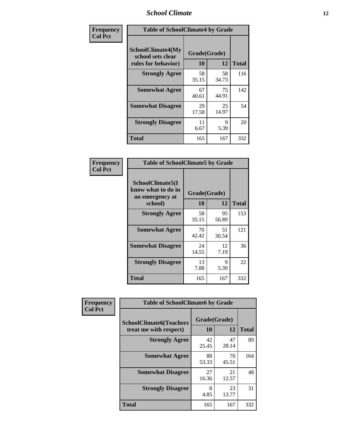### *School Climate* **12**

| Frequency      | <b>Table of SchoolClimate4 by Grade</b>                       |                    |             |              |
|----------------|---------------------------------------------------------------|--------------------|-------------|--------------|
| <b>Col Pct</b> | SchoolClimate4(My<br>school sets clear<br>rules for behavior) | Grade(Grade)<br>10 | 12          | <b>Total</b> |
|                | <b>Strongly Agree</b>                                         | 58<br>35.15        | 58<br>34.73 | 116          |
|                | <b>Somewhat Agree</b>                                         | 67<br>40.61        | 75<br>44.91 | 142          |
|                | <b>Somewhat Disagree</b>                                      | 29<br>17.58        | 25<br>14.97 | 54           |
|                | <b>Strongly Disagree</b>                                      | 11<br>6.67         | 9<br>5.39   | 20           |
|                | <b>Total</b>                                                  | 165                | 167         | 332          |

| <b>Table of SchoolClimate5 by Grade</b>                              |                    |             |              |  |  |
|----------------------------------------------------------------------|--------------------|-------------|--------------|--|--|
| SchoolClimate5(I<br>know what to do in<br>an emergency at<br>school) | Grade(Grade)<br>10 | 12          | <b>Total</b> |  |  |
| <b>Strongly Agree</b>                                                | 58<br>35.15        | 95<br>56.89 | 153          |  |  |
| <b>Somewhat Agree</b>                                                | 70<br>42.42        | 51<br>30.54 | 121          |  |  |
| <b>Somewhat Disagree</b>                                             | 24<br>14.55        | 12<br>7.19  | 36           |  |  |
| <b>Strongly Disagree</b>                                             | 13<br>7.88         | 9<br>5.39   | 22           |  |  |
| Total                                                                | 165                | 167         | 332          |  |  |

| Frequency      | <b>Table of SchoolClimate6 by Grade</b>                  |                    |             |              |
|----------------|----------------------------------------------------------|--------------------|-------------|--------------|
| <b>Col Pct</b> | <b>SchoolClimate6(Teachers</b><br>treat me with respect) | Grade(Grade)<br>10 | 12          | <b>Total</b> |
|                | <b>Strongly Agree</b>                                    | 42<br>25.45        | 47<br>28.14 | 89           |
|                | <b>Somewhat Agree</b>                                    | 88<br>53.33        | 76<br>45.51 | 164          |
|                | <b>Somewhat Disagree</b>                                 | 27<br>16.36        | 21<br>12.57 | 48           |
|                | <b>Strongly Disagree</b>                                 | 8<br>4.85          | 23<br>13.77 | 31           |
|                | <b>Total</b>                                             | 165                | 167         | 332          |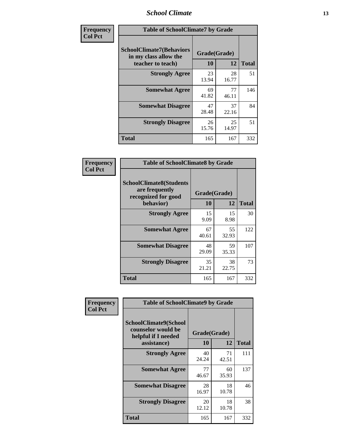### *School Climate* **13**

| Frequency      | <b>Table of SchoolClimate7 by Grade</b>                                       |                    |             |              |
|----------------|-------------------------------------------------------------------------------|--------------------|-------------|--------------|
| <b>Col Pct</b> | <b>SchoolClimate7(Behaviors</b><br>in my class allow the<br>teacher to teach) | Grade(Grade)<br>10 | 12          | <b>Total</b> |
|                | <b>Strongly Agree</b>                                                         | 23<br>13.94        | 28<br>16.77 | 51           |
|                | <b>Somewhat Agree</b>                                                         | 69<br>41.82        | 77<br>46.11 | 146          |
|                | <b>Somewhat Disagree</b>                                                      | 47<br>28.48        | 37<br>22.16 | 84           |
|                | <b>Strongly Disagree</b>                                                      | 26<br>15.76        | 25<br>14.97 | 51           |
|                | <b>Total</b>                                                                  | 165                | 167         | 332          |

| Frequency      | <b>Table of SchoolClimate8 by Grade</b>                                              |                    |             |              |
|----------------|--------------------------------------------------------------------------------------|--------------------|-------------|--------------|
| <b>Col Pct</b> | <b>SchoolClimate8(Students</b><br>are frequently<br>recognized for good<br>behavior) | Grade(Grade)<br>10 | 12          | <b>Total</b> |
|                | <b>Strongly Agree</b>                                                                | 15                 | 15          | 30           |
|                |                                                                                      | 9.09               | 8.98        |              |
|                | <b>Somewhat Agree</b>                                                                | 67<br>40.61        | 55<br>32.93 | 122          |
|                | <b>Somewhat Disagree</b>                                                             | 48<br>29.09        | 59<br>35.33 | 107          |
|                | <b>Strongly Disagree</b>                                                             | 35<br>21.21        | 38<br>22.75 | 73           |
|                | Total                                                                                | 165                | 167         | 332          |

| Frequency      | <b>Table of SchoolClimate9 by Grade</b>                                           |                    |             |              |
|----------------|-----------------------------------------------------------------------------------|--------------------|-------------|--------------|
| <b>Col Pct</b> | SchoolClimate9(School<br>counselor would be<br>helpful if I needed<br>assistance) | Grade(Grade)<br>10 | 12          | <b>Total</b> |
|                | <b>Strongly Agree</b>                                                             | 40<br>24.24        | 71<br>42.51 | 111          |
|                | <b>Somewhat Agree</b>                                                             | 77<br>46.67        | 60<br>35.93 | 137          |
|                | <b>Somewhat Disagree</b>                                                          | 28<br>16.97        | 18<br>10.78 | 46           |
|                | <b>Strongly Disagree</b>                                                          | 20<br>12.12        | 18<br>10.78 | 38           |
|                | <b>Total</b>                                                                      | 165                | 167         | 332          |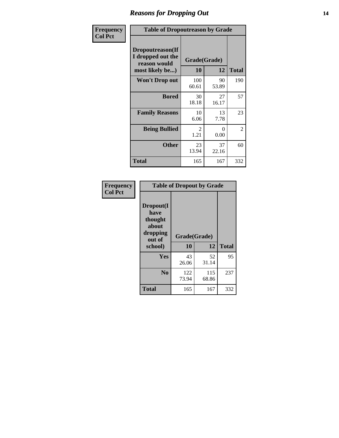### *Reasons for Dropping Out* **14**

| Frequency      | <b>Table of Dropoutreason by Grade</b>                                   |                    |             |              |
|----------------|--------------------------------------------------------------------------|--------------------|-------------|--------------|
| <b>Col Pct</b> | Dropoutreason(If<br>I dropped out the<br>reason would<br>most likely be) | Grade(Grade)<br>10 | 12          | <b>Total</b> |
|                | Won't Drop out                                                           | 100<br>60.61       | 90<br>53.89 | 190          |
|                | <b>Bored</b>                                                             | 30<br>18.18        | 27<br>16.17 | 57           |
|                | <b>Family Reasons</b>                                                    | 10<br>6.06         | 13<br>7.78  | 23           |
|                | <b>Being Bullied</b>                                                     | 2<br>1.21          | 0<br>0.00   | 2            |
|                | <b>Other</b>                                                             | 23<br>13.94        | 37<br>22.16 | 60           |
|                | <b>Total</b>                                                             | 165                | 167         | 332          |

| Frequency      | <b>Table of Dropout by Grade</b>                                       |              |                    |     |  |  |
|----------------|------------------------------------------------------------------------|--------------|--------------------|-----|--|--|
| <b>Col Pct</b> | Dropout(I<br>have<br>thought<br>about<br>dropping<br>out of<br>school) | 10           | Grade(Grade)<br>12 |     |  |  |
|                | Yes                                                                    | 43<br>26.06  | 52<br>31.14        | 95  |  |  |
|                | N <sub>0</sub>                                                         | 122<br>73.94 | 115<br>68.86       | 237 |  |  |
|                | <b>Total</b>                                                           | 165          | 167                | 332 |  |  |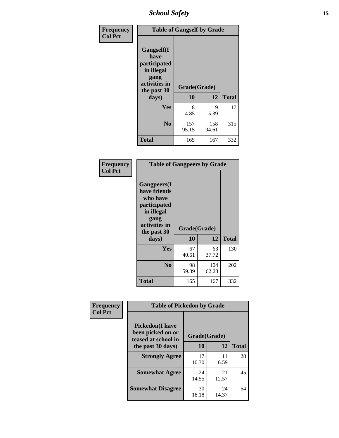*School Safety* **15**

| Frequency      | <b>Table of Gangself by Grade</b>                                                                 |                          |              |              |
|----------------|---------------------------------------------------------------------------------------------------|--------------------------|--------------|--------------|
| <b>Col Pct</b> | Gangself(I<br>have<br>participated<br>in illegal<br>gang<br>activities in<br>the past 30<br>days) | Grade(Grade)<br>10<br>12 |              | <b>Total</b> |
|                | Yes                                                                                               | 8                        | 9            | 17           |
|                |                                                                                                   | 4.85                     | 5.39         |              |
|                | N <sub>o</sub>                                                                                    | 157<br>95.15             | 158<br>94.61 | 315          |
|                | <b>Total</b>                                                                                      | 165                      | 167          | 332          |

| Frequency<br><b>Col Pct</b> | <b>Table of Gangpeers by Grade</b>                                                                                             |                    |              |              |  |
|-----------------------------|--------------------------------------------------------------------------------------------------------------------------------|--------------------|--------------|--------------|--|
|                             | <b>Gangpeers</b> (I<br>have friends<br>who have<br>participated<br>in illegal<br>gang<br>activities in<br>the past 30<br>days) | Grade(Grade)<br>10 | 12           | <b>Total</b> |  |
|                             | <b>Yes</b>                                                                                                                     | 67<br>40.61        | 63<br>37.72  | 130          |  |
|                             | N <sub>0</sub>                                                                                                                 | 98<br>59.39        | 104<br>62.28 | 202          |  |
|                             | <b>Total</b>                                                                                                                   | 165                | 167          | 332          |  |

| Frequency      | <b>Table of Pickedon by Grade</b>                                  |              |             |              |  |  |  |  |  |
|----------------|--------------------------------------------------------------------|--------------|-------------|--------------|--|--|--|--|--|
| <b>Col Pct</b> | <b>Pickedon(I have</b><br>been picked on or<br>teased at school in | Grade(Grade) |             |              |  |  |  |  |  |
|                | the past 30 days)                                                  | 10           | 12          | <b>Total</b> |  |  |  |  |  |
|                | <b>Strongly Agree</b>                                              | 17<br>10.30  | 11<br>6.59  | 28           |  |  |  |  |  |
|                | <b>Somewhat Agree</b>                                              | 24<br>14.55  | 21<br>12.57 | 45           |  |  |  |  |  |
|                | <b>Somewhat Disagree</b>                                           | 30<br>18.18  | 24<br>14.37 | 54           |  |  |  |  |  |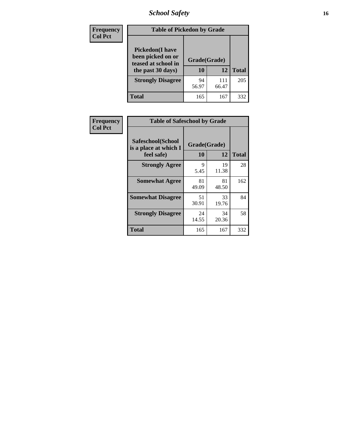# *School Safety* **16**

| <b>Frequency</b> | <b>Table of Pickedon by Grade</b>                                                        |                    |              |              |
|------------------|------------------------------------------------------------------------------------------|--------------------|--------------|--------------|
| <b>Col Pct</b>   | <b>Pickedon</b> (I have<br>been picked on or<br>teased at school in<br>the past 30 days) | Grade(Grade)<br>10 | 12           | <b>Total</b> |
|                  | <b>Strongly Disagree</b>                                                                 | 94<br>56.97        | 111<br>66.47 | 205          |
|                  | Total                                                                                    | 165                | 167          | 332          |

| Frequency      | <b>Table of Safeschool by Grade</b>                      |                    |              |     |  |  |  |  |  |  |
|----------------|----------------------------------------------------------|--------------------|--------------|-----|--|--|--|--|--|--|
| <b>Col Pct</b> | Safeschool(School<br>is a place at which I<br>feel safe) | Grade(Grade)<br>10 | <b>Total</b> |     |  |  |  |  |  |  |
|                | <b>Strongly Agree</b>                                    | 9<br>5.45          | 19<br>11.38  | 28  |  |  |  |  |  |  |
|                | <b>Somewhat Agree</b>                                    | 81<br>49.09        | 81<br>48.50  | 162 |  |  |  |  |  |  |
|                | <b>Somewhat Disagree</b>                                 | 51<br>30.91        | 33<br>19.76  | 84  |  |  |  |  |  |  |
|                | <b>Strongly Disagree</b>                                 | 24<br>14.55        | 34<br>20.36  | 58  |  |  |  |  |  |  |
|                | Total                                                    | 165                | 167          | 332 |  |  |  |  |  |  |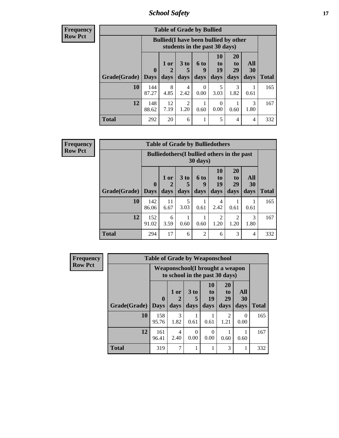*School Safety* **17**

| <b>Table of Grade by Bullied</b> |              |                                                                               |                              |                   |                        |                               |                       |              |  |  |  |
|----------------------------------|--------------|-------------------------------------------------------------------------------|------------------------------|-------------------|------------------------|-------------------------------|-----------------------|--------------|--|--|--|
|                                  |              | <b>Bullied</b> (I have been bullied by other<br>students in the past 30 days) |                              |                   |                        |                               |                       |              |  |  |  |
| Grade(Grade)   Days              | $\bf{0}$     | $1$ or<br>2<br>days                                                           | 3 <sub>to</sub><br>5<br>days | 6 to<br>9<br>days | 10<br>to<br>19<br>days | <b>20</b><br>to<br>29<br>days | All<br>30<br>days     | <b>Total</b> |  |  |  |
| 10                               | 144<br>87.27 | 8<br>4.85                                                                     | 4<br>2.42                    | 0<br>0.00         | 5<br>3.03              | 3<br>1.82                     | 0.61                  | 165          |  |  |  |
| 12                               | 148<br>88.62 | 12<br>7.19                                                                    | $\overline{2}$<br>1.20       | 0.60              | 0<br>0.00              | 0.60                          | $\mathcal{R}$<br>1.80 | 167          |  |  |  |
| <b>Total</b>                     | 292          | 20                                                                            | 6                            |                   | 5                      | 4                             | 4                     | 332          |  |  |  |

| <b>Frequency</b> |
|------------------|
| <b>Row Pct</b>   |

| $\overline{I}$ | <b>Table of Grade by Bulliedothers</b> |                             |                                                                         |                         |                             |                        |                               |                          |              |  |  |  |
|----------------|----------------------------------------|-----------------------------|-------------------------------------------------------------------------|-------------------------|-----------------------------|------------------------|-------------------------------|--------------------------|--------------|--|--|--|
|                |                                        |                             | <b>Bulliedothers</b> (I bullied others in the past<br>$30 \text{ days}$ |                         |                             |                        |                               |                          |              |  |  |  |
|                | Grade(Grade)                           | $\mathbf{0}$<br><b>Days</b> | 1 or<br>2<br>days                                                       | 3 <sub>to</sub><br>days | $6 \text{ to}$<br>9<br>days | 10<br>to<br>19<br>days | <b>20</b><br>to<br>29<br>days | All<br><b>30</b><br>days | <b>Total</b> |  |  |  |
|                | 10                                     | 142<br>86.06                | 11<br>6.67                                                              | 5<br>3.03               | 0.61                        | 4<br>2.42              | 0.61                          | 0.61                     | 165          |  |  |  |
|                | 12                                     | 152<br>91.02                | 6<br>3.59                                                               | 0.60                    | 0.60                        | 2<br>1.20              | 2<br>1.20                     | 3<br>1.80                | 167          |  |  |  |
|                | <b>Total</b>                           | 294                         | 17                                                                      | 6                       | $\overline{2}$              | 6                      | 3                             | 4                        | 332          |  |  |  |

| <b>Frequency</b> | <b>Table of Grade by Weaponschool</b> |                            |                                                                    |                         |                        |                                           |                   |              |  |  |
|------------------|---------------------------------------|----------------------------|--------------------------------------------------------------------|-------------------------|------------------------|-------------------------------------------|-------------------|--------------|--|--|
| <b>Row Pct</b>   |                                       |                            | Weaponschool (I brought a weapon<br>to school in the past 30 days) |                         |                        |                                           |                   |              |  |  |
|                  | Grade(Grade)                          | $\mathbf 0$<br><b>Days</b> | 1 or<br>days                                                       | 3 <sub>to</sub><br>days | 10<br>to<br>19<br>days | <b>20</b><br>t <sub>0</sub><br>29<br>days | All<br>30<br>days | <b>Total</b> |  |  |
|                  | 10                                    | 158<br>95.76               | 3<br>1.82                                                          | 0.61                    | 0.61                   | $\mathfrak{D}$<br>1.21                    | $\Omega$<br>0.00  | 165          |  |  |
|                  | 12                                    | 161<br>96.41               | 4<br>2.40                                                          | 0.00                    | $\Omega$<br>0.00       | 0.60                                      | 0.60              | 167          |  |  |
|                  | <b>Total</b>                          | 319                        | 7                                                                  |                         |                        | 3                                         | 1                 | 332          |  |  |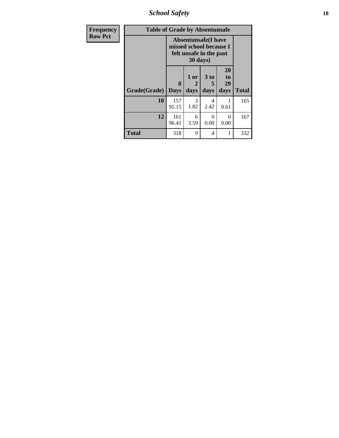*School Safety* **18**

| <b>Frequency</b> | <b>Table of Grade by Absentunsafe</b> |                                                                                   |                         |                              |                               |              |  |  |  |
|------------------|---------------------------------------|-----------------------------------------------------------------------------------|-------------------------|------------------------------|-------------------------------|--------------|--|--|--|
| <b>Row Pct</b>   |                                       | <b>Absentunsafe</b> (I have<br>missed school because I<br>felt unsafe in the past |                         |                              |                               |              |  |  |  |
|                  | Grade(Grade)                          | 0<br><b>Days</b>                                                                  | $1$ or $ $<br>2<br>days | 3 <sub>to</sub><br>5<br>days | <b>20</b><br>to<br>29<br>days | <b>Total</b> |  |  |  |
|                  | 10                                    | 157<br>95.15                                                                      | $\mathcal{E}$<br>1.82   | 4<br>2.42                    | 1<br>0.61                     | 165          |  |  |  |
|                  | 12                                    | 161<br>96.41                                                                      | 6<br>3.59               | $\Omega$<br>0.00             | $\Omega$<br>0.00              | 167          |  |  |  |
|                  | <b>Total</b>                          | 318                                                                               | 9                       | $\overline{\mathcal{A}}$     | 1                             | 332          |  |  |  |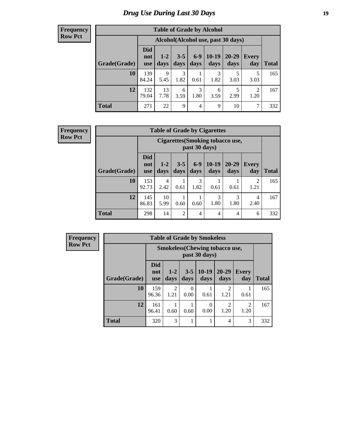# *Drug Use During Last 30 Days* **19**

#### **Frequency Row Pct**

| <b>Table of Grade by Alcohol</b> |                                 |                 |                 |               |                                    |                   |                        |              |  |  |  |
|----------------------------------|---------------------------------|-----------------|-----------------|---------------|------------------------------------|-------------------|------------------------|--------------|--|--|--|
|                                  |                                 |                 |                 |               | Alcohol(Alcohol use, past 30 days) |                   |                        |              |  |  |  |
| Grade(Grade)                     | <b>Did</b><br>not<br><b>use</b> | $1 - 2$<br>days | $3 - 5$<br>days | $6-9$<br>days | $10-19$<br>days                    | $20 - 29$<br>days | <b>Every</b><br>day    | <b>Total</b> |  |  |  |
| 10                               | 139<br>84.24                    | 9<br>5.45       | 3<br>1.82       | 0.61          | 3<br>1.82                          | 3.03              | 5<br>3.03              | 165          |  |  |  |
| 12                               | 132<br>79.04                    | 13<br>7.78      | 6<br>3.59       | 3<br>1.80     | 6<br>3.59                          | 5<br>2.99         | $\overline{2}$<br>1.20 | 167          |  |  |  |
| <b>Total</b>                     | 271                             | 22              | 9               | 4             | 9                                  | 10                | 7                      | 332          |  |  |  |

#### **Frequency Row Pct**

| <b>Table of Grade by Cigarettes</b> |                                 |                                                         |                 |                 |                 |                   |                        |              |  |  |  |
|-------------------------------------|---------------------------------|---------------------------------------------------------|-----------------|-----------------|-----------------|-------------------|------------------------|--------------|--|--|--|
|                                     |                                 | <b>Cigarettes(Smoking tobacco use,</b><br>past 30 days) |                 |                 |                 |                   |                        |              |  |  |  |
| Grade(Grade)                        | <b>Did</b><br>not<br><b>use</b> | $1 - 2$<br>days                                         | $3 - 5$<br>days | $6 - 9$<br>days | $10-19$<br>days | $20 - 29$<br>days | <b>Every</b><br>day    | <b>Total</b> |  |  |  |
| 10                                  | 153<br>92.73                    | 4<br>2.42                                               | 0.61            | 3<br>1.82       | 0.61            | 0.61              | $\mathfrak{D}$<br>1.21 | 165          |  |  |  |
| 12                                  | 145<br>86.83                    | 10<br>5.99                                              | 0.60            | 0.60            | 3<br>1.80       | 3<br>1.80         | 4<br>2.40              | 167          |  |  |  |
| <b>Total</b>                        | 298                             | 14                                                      | 2               | $\overline{4}$  | 4               | $\overline{4}$    | 6                      | 332          |  |  |  |

**Frequency Row Pct**

| <b>Table of Grade by Smokeless</b> |                                 |                                                        |                 |                 |                        |                     |              |  |  |  |  |  |
|------------------------------------|---------------------------------|--------------------------------------------------------|-----------------|-----------------|------------------------|---------------------|--------------|--|--|--|--|--|
|                                    |                                 | <b>Smokeless</b> (Chewing tobaccouse,<br>past 30 days) |                 |                 |                        |                     |              |  |  |  |  |  |
| Grade(Grade)                       | <b>Did</b><br>not<br><b>use</b> | $1-2$<br>days                                          | $3 - 5$<br>days | $10-19$<br>days | $20 - 29$<br>days      | <b>Every</b><br>day | <b>Total</b> |  |  |  |  |  |
| 10                                 | 159<br>96.36                    | $\overline{2}$<br>1.21                                 | 0<br>0.00       | 0.61            | $\overline{c}$<br>1.21 | 0.61                | 165          |  |  |  |  |  |
| 12                                 | 161<br>96.41                    | 0.60                                                   | 0.60            | 0<br>0.00       | $\mathfrak{D}$<br>1.20 | 2<br>1.20           | 167          |  |  |  |  |  |
| <b>Total</b>                       | 320                             | 3                                                      |                 |                 | 4                      | 3                   | 332          |  |  |  |  |  |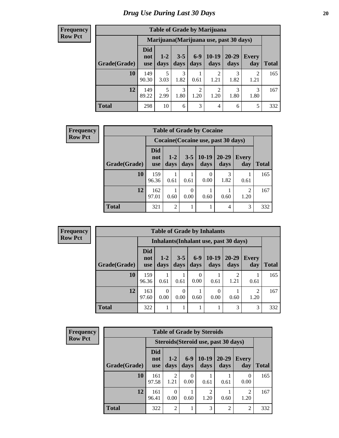| <b>Table of Grade by Marijuana</b> |                                 |                 |                 |                        |                        |                                         |              |       |  |  |  |
|------------------------------------|---------------------------------|-----------------|-----------------|------------------------|------------------------|-----------------------------------------|--------------|-------|--|--|--|
|                                    |                                 |                 |                 |                        |                        | Marijuana (Marijuana use, past 30 days) |              |       |  |  |  |
| Grade(Grade)                       | <b>Did</b><br>not<br><b>use</b> | $1 - 2$<br>days | $3 - 5$<br>days | $6-9$<br>days          | 10-19<br>days          | $20 - 29$<br>days                       | Every<br>day | Total |  |  |  |
| 10                                 | 149<br>90.30                    | 5<br>3.03       | 3<br>1.82       | 0.61                   | $\mathfrak{D}$<br>1.21 | 3<br>1.82                               | 2<br>1.21    | 165   |  |  |  |
| 12                                 | 149<br>89.22                    | 5<br>2.99       | 3<br>1.80       | $\overline{c}$<br>1.20 | $\overline{c}$<br>1.20 | 3<br>1.80                               | 3<br>1.80    | 167   |  |  |  |
| <b>Total</b>                       | 298                             | 10              | 6               | 3                      | $\overline{4}$         | 6                                       | 5            | 332   |  |  |  |

| <b>Frequency</b> | <b>Table of Grade by Cocaine</b> |                                 |                                     |                 |                 |                   |                        |              |  |
|------------------|----------------------------------|---------------------------------|-------------------------------------|-----------------|-----------------|-------------------|------------------------|--------------|--|
| <b>Row Pct</b>   |                                  |                                 | Cocaine (Cocaine use, past 30 days) |                 |                 |                   |                        |              |  |
|                  | Grade(Grade)                     | <b>Did</b><br>not<br><b>use</b> | $1-2$<br>days                       | $3 - 5$<br>days | $10-19$<br>days | $20 - 29$<br>days | <b>Every</b><br>day    | <b>Total</b> |  |
|                  | 10                               | 159<br>96.36                    | 0.61                                | 0.61            | 0<br>0.00       | 3<br>1.82         | 0.61                   | 165          |  |
|                  | 12                               | 162<br>97.01                    | 0.60                                | 0.00            | 0.60            | 0.60              | $\overline{2}$<br>1.20 | 167          |  |
|                  | <b>Total</b>                     | 321                             | $\overline{c}$                      |                 | 1               | 4                 | 3                      | 332          |  |

| <b>Frequency</b> |  |
|------------------|--|
| <b>Row Pct</b>   |  |

| <b>Table of Grade by Inhalants</b> |                                                                                                |                                                                                                                             |      |                  |      |                                        |      |     |  |  |
|------------------------------------|------------------------------------------------------------------------------------------------|-----------------------------------------------------------------------------------------------------------------------------|------|------------------|------|----------------------------------------|------|-----|--|--|
|                                    |                                                                                                |                                                                                                                             |      |                  |      | Inhalants (Inhalant use, past 30 days) |      |     |  |  |
| Grade(Grade)                       | <b>Did</b><br>not<br><b>use</b>                                                                | $10-19$<br>$6-9$<br>$20 - 29$<br>$3 - 5$<br>$1 - 2$<br>Every<br>days<br>days<br>days<br><b>Total</b><br>days<br>day<br>days |      |                  |      |                                        |      |     |  |  |
| 10                                 | 159<br>96.36                                                                                   | 0.61                                                                                                                        | 0.61 | $\theta$<br>0.00 | 0.61 | 1.21                                   | 0.61 | 165 |  |  |
| 12                                 | 163<br>2<br>$\Omega$<br>$\Omega$<br>0<br>0.00<br>0.00<br>0.00<br>1.20<br>0.60<br>0.60<br>97.60 |                                                                                                                             |      |                  |      |                                        |      |     |  |  |
| <b>Total</b>                       | 322                                                                                            |                                                                                                                             |      |                  |      | 3                                      | 3    | 332 |  |  |

| <b>Frequency</b> |
|------------------|
|                  |
|                  |
|                  |
| Row Pct          |
|                  |

r

| <b>Table of Grade by Steroids</b> |                                                                                                                                              |                                      |      |      |      |                |     |  |  |  |
|-----------------------------------|----------------------------------------------------------------------------------------------------------------------------------------------|--------------------------------------|------|------|------|----------------|-----|--|--|--|
|                                   |                                                                                                                                              | Steroids (Steroid use, past 30 days) |      |      |      |                |     |  |  |  |
| Grade(Grade)                      | <b>Did</b><br>$10-19$<br>20-29<br>$6-9$<br>$1-2$<br><b>Every</b><br>not<br>days<br><b>Total</b><br>days<br>day<br>days<br>days<br><b>use</b> |                                      |      |      |      |                |     |  |  |  |
| 10                                | 161<br>97.58                                                                                                                                 | 2<br>1.21                            | 0.00 | 0.61 | 0.61 | 0<br>0.00      | 165 |  |  |  |
| 12                                | 161<br>$\overline{c}$<br>2<br>0<br>96.41<br>0.00<br>0.60<br>1.20<br>0.60<br>1.20                                                             |                                      |      |      |      |                |     |  |  |  |
| <b>Total</b>                      | 322                                                                                                                                          | $\overline{2}$                       |      | 3    | 2    | $\overline{2}$ | 332 |  |  |  |

٦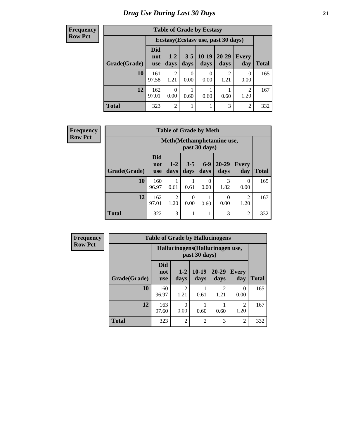| <b>Table of Grade by Ecstasy</b>                                            |                                                                                                                                                    |                                     |      |                  |           |           |     |  |  |
|-----------------------------------------------------------------------------|----------------------------------------------------------------------------------------------------------------------------------------------------|-------------------------------------|------|------------------|-----------|-----------|-----|--|--|
|                                                                             |                                                                                                                                                    | Ecstasy (Ecstasy use, past 30 days) |      |                  |           |           |     |  |  |
| Grade(Grade)                                                                | <b>Did</b><br>$10-19$<br>$20 - 29$<br>$3 - 5$<br>$1-2$<br><b>Every</b><br>not<br>days<br>days<br><b>Total</b><br>day<br>days<br>days<br><b>use</b> |                                     |      |                  |           |           |     |  |  |
| 10                                                                          | 161<br>97.58                                                                                                                                       | $\overline{c}$<br>1.21              | 0.00 | $\Omega$<br>0.00 | 2<br>1.21 | 0<br>0.00 | 165 |  |  |
| 12<br>162<br>2<br>$\theta$<br>0.00<br>97.01<br>1.20<br>0.60<br>0.60<br>0.60 |                                                                                                                                                    |                                     |      |                  |           |           |     |  |  |
| <b>Total</b>                                                                | 323                                                                                                                                                | $\overline{c}$                      |      |                  | 3         | 2         | 332 |  |  |

| <b>Frequency</b> |              | <b>Table of Grade by Meth</b>   |                                            |                  |                  |                   |                        |              |  |  |
|------------------|--------------|---------------------------------|--------------------------------------------|------------------|------------------|-------------------|------------------------|--------------|--|--|
| <b>Row Pct</b>   |              |                                 | Meth(Methamphetamine use,<br>past 30 days) |                  |                  |                   |                        |              |  |  |
|                  | Grade(Grade) | <b>Did</b><br>not<br><b>use</b> | $1-2$<br>days                              | $3-5$<br>days    | $6-9$<br>days    | $20 - 29$<br>days | <b>Every</b><br>day    | <b>Total</b> |  |  |
|                  | 10           | 160<br>96.97                    | 0.61                                       | 0.61             | $\Omega$<br>0.00 | 3<br>1.82         | $\Omega$<br>0.00       | 165          |  |  |
|                  | 12           | 162<br>97.01                    | $\overline{2}$<br>1.20                     | $\theta$<br>0.00 | 0.60             | $\theta$<br>0.00  | $\overline{2}$<br>1.20 | 167          |  |  |
|                  | <b>Total</b> | 322                             | 3                                          |                  |                  | 3                 | $\overline{2}$         | 332          |  |  |

| <b>Frequency</b> | <b>Table of Grade by Hallucinogens</b> |                                  |                        |                 |                   |                        |              |  |
|------------------|----------------------------------------|----------------------------------|------------------------|-----------------|-------------------|------------------------|--------------|--|
| <b>Row Pct</b>   |                                        | Hallucinogens (Hallucinogen use, |                        |                 |                   |                        |              |  |
|                  | Grade(Grade)                           | <b>Did</b><br>not<br><b>use</b>  | $1-2$<br>days          | $10-19$<br>days | $20 - 29$<br>days | Every<br>day           | <b>Total</b> |  |
|                  | 10                                     | 160<br>96.97                     | $\mathfrak{D}$<br>1.21 | 0.61            | 2<br>1.21         | $\Omega$<br>0.00       | 165          |  |
|                  | 12                                     | 163<br>97.60                     | 0<br>0.00              | 0.60            | 0.60              | $\mathfrak{D}$<br>1.20 | 167          |  |
|                  | <b>Total</b>                           | 323                              | $\mathfrak{D}$         | $\overline{2}$  | 3                 | $\overline{2}$         | 332          |  |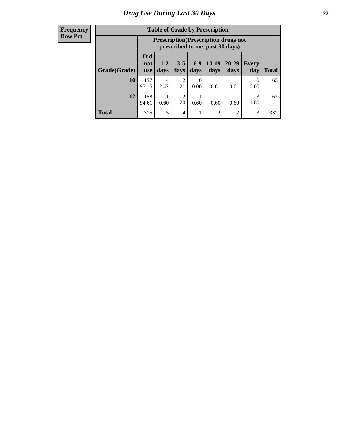| <b>Table of Grade by Prescription</b> |                                                                   |                                                                                                                  |                |           |                |                |                  |     |
|---------------------------------------|-------------------------------------------------------------------|------------------------------------------------------------------------------------------------------------------|----------------|-----------|----------------|----------------|------------------|-----|
|                                       |                                                                   | <b>Prescription</b> (Prescription drugs not<br>prescribed to me, past 30 days)                                   |                |           |                |                |                  |     |
| Grade(Grade)                          | <b>Did</b><br>not<br><b>use</b>                                   | $10-19$<br>$6 - 9$<br>20-29<br>$3 - 5$<br>$1 - 2$<br><b>Every</b><br>days<br>days<br>days<br>days<br>day<br>days |                |           |                |                |                  |     |
| 10                                    | 157<br>95.15                                                      | 4<br>2.42                                                                                                        | 2<br>1.21      | 0<br>0.00 | 0.61           | 0.61           | $\Omega$<br>0.00 | 165 |
| 12                                    | 158<br>3<br>1.20<br>0.60<br>0.60<br>1.80<br>94.61<br>0.60<br>0.60 |                                                                                                                  |                |           |                |                |                  |     |
| <b>Total</b>                          | 315                                                               | 5                                                                                                                | $\overline{4}$ |           | $\overline{2}$ | $\mathfrak{D}$ | 3                | 332 |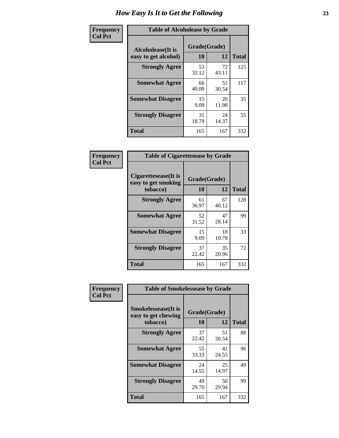| Frequency      | <b>Table of Alcoholease by Grade</b>       |                    |             |              |  |  |  |  |
|----------------|--------------------------------------------|--------------------|-------------|--------------|--|--|--|--|
| <b>Col Pct</b> | Alcoholease (It is<br>easy to get alcohol) | Grade(Grade)<br>10 | 12          | <b>Total</b> |  |  |  |  |
|                | <b>Strongly Agree</b>                      | 53<br>32.12        | 72<br>43.11 | 125          |  |  |  |  |
|                | <b>Somewhat Agree</b>                      | 66<br>40.00        | 51<br>30.54 | 117          |  |  |  |  |
|                | <b>Somewhat Disagree</b>                   | 15<br>9.09         | 20<br>11.98 | 35           |  |  |  |  |
|                | <b>Strongly Disagree</b>                   | 31<br>18.79        | 24<br>14.37 | 55           |  |  |  |  |
|                | <b>Total</b>                               | 165                | 167         | 332          |  |  |  |  |

| Frequency      | <b>Table of Cigarettesease by Grade</b>                  |                    |              |     |  |  |  |  |  |
|----------------|----------------------------------------------------------|--------------------|--------------|-----|--|--|--|--|--|
| <b>Col Pct</b> | Cigarettesease (It is<br>easy to get smoking<br>tobacco) | Grade(Grade)<br>10 | <b>Total</b> |     |  |  |  |  |  |
|                | <b>Strongly Agree</b>                                    | 61<br>36.97        | 67<br>40.12  | 128 |  |  |  |  |  |
|                | <b>Somewhat Agree</b>                                    | 52<br>31.52        | 47<br>28.14  | 99  |  |  |  |  |  |
|                | <b>Somewhat Disagree</b>                                 | 15<br>9.09         | 18<br>10.78  | 33  |  |  |  |  |  |
|                | <b>Strongly Disagree</b>                                 | 37<br>22.42        | 35<br>20.96  | 72  |  |  |  |  |  |
|                | <b>Total</b>                                             | 165                | 167          | 332 |  |  |  |  |  |

| Frequency      | <b>Table of Smokelessease by Grade</b>             |              |             |              |  |  |  |  |  |  |
|----------------|----------------------------------------------------|--------------|-------------|--------------|--|--|--|--|--|--|
| <b>Col Pct</b> | <b>Smokelessease</b> (It is<br>easy to get chewing | Grade(Grade) |             |              |  |  |  |  |  |  |
|                | tobacco)                                           | 10           | 12          | <b>Total</b> |  |  |  |  |  |  |
|                | <b>Strongly Agree</b>                              | 37<br>22.42  | 51<br>30.54 | 88           |  |  |  |  |  |  |
|                | <b>Somewhat Agree</b>                              | 55<br>33.33  | 41<br>24.55 | 96           |  |  |  |  |  |  |
|                | <b>Somewhat Disagree</b>                           | 24<br>14.55  | 25<br>14.97 | 49           |  |  |  |  |  |  |
|                | <b>Strongly Disagree</b>                           | 49<br>29.70  | 50<br>29.94 | 99           |  |  |  |  |  |  |
|                | <b>Total</b>                                       | 165          | 167         | 332          |  |  |  |  |  |  |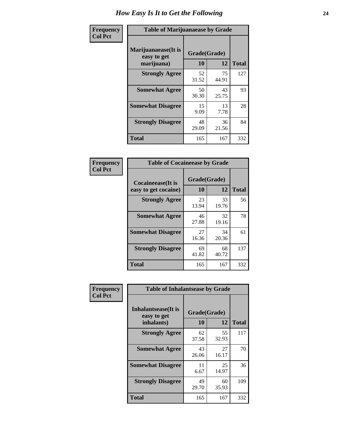| Frequency      | <b>Table of Marijuanaease by Grade</b>           |                    |             |              |  |  |  |  |
|----------------|--------------------------------------------------|--------------------|-------------|--------------|--|--|--|--|
| <b>Col Pct</b> | Marijuanaease(It is<br>easy to get<br>marijuana) | Grade(Grade)<br>10 | 12          | <b>Total</b> |  |  |  |  |
|                | <b>Strongly Agree</b>                            | 52<br>31.52        | 75<br>44.91 | 127          |  |  |  |  |
|                | <b>Somewhat Agree</b>                            | 50<br>30.30        | 43<br>25.75 | 93           |  |  |  |  |
|                | <b>Somewhat Disagree</b>                         | 15<br>9.09         | 13<br>7.78  | 28           |  |  |  |  |
|                | <b>Strongly Disagree</b>                         | 48<br>29.09        | 36<br>21.56 | 84           |  |  |  |  |
|                | <b>Total</b>                                     | 165                | 167         | 332          |  |  |  |  |

| <b>Table of Cocaineease by Grade</b>              |                    |              |     |  |  |  |  |  |  |
|---------------------------------------------------|--------------------|--------------|-----|--|--|--|--|--|--|
| <b>Cocaineease</b> (It is<br>easy to get cocaine) | Grade(Grade)<br>10 | <b>Total</b> |     |  |  |  |  |  |  |
|                                                   |                    | 12           |     |  |  |  |  |  |  |
| <b>Strongly Agree</b>                             | 23<br>13.94        | 33<br>19.76  | 56  |  |  |  |  |  |  |
| <b>Somewhat Agree</b>                             | 46<br>27.88        | 32<br>19.16  | 78  |  |  |  |  |  |  |
| <b>Somewhat Disagree</b>                          | 27<br>16.36        | 34<br>20.36  | 61  |  |  |  |  |  |  |
| <b>Strongly Disagree</b>                          | 69<br>41.82        | 68<br>40.72  | 137 |  |  |  |  |  |  |
| <b>Total</b>                                      | 165                | 167          | 332 |  |  |  |  |  |  |

| Frequency      | <b>Table of Inhalantsease by Grade</b>                   |                           |              |     |  |  |  |  |  |
|----------------|----------------------------------------------------------|---------------------------|--------------|-----|--|--|--|--|--|
| <b>Col Pct</b> | <b>Inhalantsease</b> (It is<br>easy to get<br>inhalants) | Grade(Grade)<br><b>10</b> | <b>Total</b> |     |  |  |  |  |  |
|                | <b>Strongly Agree</b>                                    | 62<br>37.58               | 55<br>32.93  | 117 |  |  |  |  |  |
|                | <b>Somewhat Agree</b>                                    | 43<br>26.06               | 27<br>16.17  | 70  |  |  |  |  |  |
|                | <b>Somewhat Disagree</b>                                 | 11<br>6.67                | 25<br>14.97  | 36  |  |  |  |  |  |
|                | <b>Strongly Disagree</b>                                 | 49<br>29.70               | 60<br>35.93  | 109 |  |  |  |  |  |
|                | <b>Total</b>                                             | 165                       | 167          | 332 |  |  |  |  |  |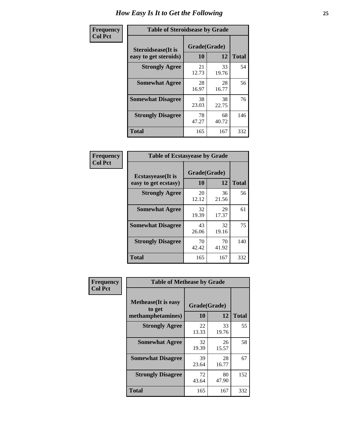| Frequency      | <b>Table of Steroidsease by Grade</b>               |                    |              |     |  |  |  |  |  |
|----------------|-----------------------------------------------------|--------------------|--------------|-----|--|--|--|--|--|
| <b>Col Pct</b> | <b>Steroidsease</b> (It is<br>easy to get steroids) | Grade(Grade)<br>10 | <b>Total</b> |     |  |  |  |  |  |
|                | <b>Strongly Agree</b>                               | 21<br>12.73        | 33<br>19.76  | 54  |  |  |  |  |  |
|                | <b>Somewhat Agree</b>                               | 28<br>16.97        | 28<br>16.77  | 56  |  |  |  |  |  |
|                | <b>Somewhat Disagree</b>                            | 38<br>23.03        | 38<br>22.75  | 76  |  |  |  |  |  |
|                | <b>Strongly Disagree</b>                            | 78<br>47.27        | 68<br>40.72  | 146 |  |  |  |  |  |
|                | Total                                               | 165                | 167          | 332 |  |  |  |  |  |

| Frequency      | <b>Table of Ecstasyease by Grade</b>              |                           |              |     |  |  |  |  |  |
|----------------|---------------------------------------------------|---------------------------|--------------|-----|--|--|--|--|--|
| <b>Col Pct</b> | <b>Ecstasyease</b> (It is<br>easy to get ecstasy) | Grade(Grade)<br><b>10</b> | <b>Total</b> |     |  |  |  |  |  |
|                | <b>Strongly Agree</b>                             | 20<br>12.12               | 36<br>21.56  | 56  |  |  |  |  |  |
|                | <b>Somewhat Agree</b>                             | 32<br>19.39               | 29<br>17.37  | 61  |  |  |  |  |  |
|                | <b>Somewhat Disagree</b>                          | 43<br>26.06               | 32<br>19.16  | 75  |  |  |  |  |  |
|                | <b>Strongly Disagree</b>                          | 70<br>42.42               | 70<br>41.92  | 140 |  |  |  |  |  |
|                | <b>Total</b>                                      | 165                       | 167          | 332 |  |  |  |  |  |

| Frequency      |                                                            | <b>Table of Methease by Grade</b> |              |     |  |  |  |  |  |  |
|----------------|------------------------------------------------------------|-----------------------------------|--------------|-----|--|--|--|--|--|--|
| <b>Col Pct</b> | <b>Methease</b> (It is easy<br>to get<br>methamphetamines) | Grade(Grade)<br>10                | <b>Total</b> |     |  |  |  |  |  |  |
|                | <b>Strongly Agree</b>                                      | 22<br>13.33                       | 33<br>19.76  | 55  |  |  |  |  |  |  |
|                | <b>Somewhat Agree</b>                                      | 32<br>19.39                       | 26<br>15.57  | 58  |  |  |  |  |  |  |
|                | <b>Somewhat Disagree</b>                                   | 39<br>23.64                       | 28<br>16.77  | 67  |  |  |  |  |  |  |
|                | <b>Strongly Disagree</b>                                   | 72<br>43.64                       | 80<br>47.90  | 152 |  |  |  |  |  |  |
|                | <b>Total</b>                                               | 165                               | 167          | 332 |  |  |  |  |  |  |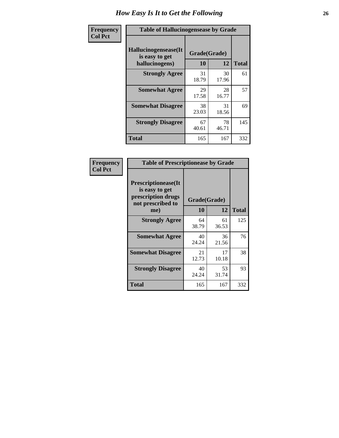| <b>Frequency</b> | <b>Table of Hallucinogensease by Grade</b>               |                    |              |     |  |  |  |  |
|------------------|----------------------------------------------------------|--------------------|--------------|-----|--|--|--|--|
| <b>Col Pct</b>   | Hallucinogensease(It<br>is easy to get<br>hallucinogens) | Grade(Grade)<br>10 | <b>Total</b> |     |  |  |  |  |
|                  | <b>Strongly Agree</b>                                    | 31<br>18.79        | 30<br>17.96  | 61  |  |  |  |  |
|                  | <b>Somewhat Agree</b>                                    | 29<br>17.58        | 28<br>16.77  | 57  |  |  |  |  |
|                  | <b>Somewhat Disagree</b>                                 | 38<br>23.03        | 31<br>18.56  | 69  |  |  |  |  |
|                  | <b>Strongly Disagree</b>                                 | 67<br>40.61        | 78<br>46.71  | 145 |  |  |  |  |
|                  | <b>Total</b>                                             | 165                | 167          | 332 |  |  |  |  |

| Frequency<br>Col Pct |
|----------------------|
|                      |

| <b>Table of Prescriptionease by Grade</b>                                               |             |              |              |  |  |  |  |  |  |
|-----------------------------------------------------------------------------------------|-------------|--------------|--------------|--|--|--|--|--|--|
| <b>Prescriptionease(It</b><br>is easy to get<br>prescription drugs<br>not prescribed to |             | Grade(Grade) |              |  |  |  |  |  |  |
| me)                                                                                     | 10          | 12           | <b>Total</b> |  |  |  |  |  |  |
| <b>Strongly Agree</b>                                                                   | 64<br>38.79 | 61<br>36.53  | 125          |  |  |  |  |  |  |
| <b>Somewhat Agree</b>                                                                   | 40<br>24.24 | 36<br>21.56  | 76           |  |  |  |  |  |  |
| <b>Somewhat Disagree</b>                                                                | 21<br>12.73 | 17<br>10.18  | 38           |  |  |  |  |  |  |
| <b>Strongly Disagree</b>                                                                | 40<br>24.24 | 53<br>31.74  | 93           |  |  |  |  |  |  |
| Total                                                                                   | 165         | 167          | 332          |  |  |  |  |  |  |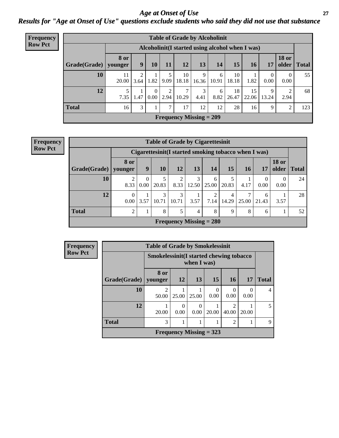### *Age at Onset of Use* **27** *Results for "Age at Onset of Use" questions exclude students who said they did not use that substance*

| <b>Frequency</b> |              | <b>Table of Grade by Alcoholinit</b> |                                                  |                  |                        |             |                           |            |             |             |            |                       |              |
|------------------|--------------|--------------------------------------|--------------------------------------------------|------------------|------------------------|-------------|---------------------------|------------|-------------|-------------|------------|-----------------------|--------------|
| <b>Row Pct</b>   |              |                                      | Alcoholinit (I started using alcohol when I was) |                  |                        |             |                           |            |             |             |            |                       |              |
|                  | Grade(Grade) | <b>8 or</b><br>younger               | 9                                                | 10               | 11                     | 12          | 13                        | 14         | 15          | <b>16</b>   | 17         | <b>18 or</b><br>older | <b>Total</b> |
|                  | 10           | 11<br>20.00                          | 3.64                                             | 1.82             | 9.09                   | 10<br>18.18 | 9<br>16.36                | 6<br>10.91 | 10<br>18.18 | 1.82        | 0<br>0.00  | $\theta$<br>0.00      | 55           |
|                  | 12           | 7.35                                 | 1.47                                             | $\theta$<br>0.00 | $\overline{2}$<br>2.94 | 10.29       | 3<br>4.41                 | 6<br>8.82  | 18<br>26.47 | 15<br>22.06 | 9<br>13.24 | 2.94                  | 68           |
|                  | <b>Total</b> | 16                                   | 3                                                |                  | $\overline{7}$         | 17          | 12                        | 12         | 28          | 16          | 9          | 2                     | 123          |
|                  |              |                                      |                                                  |                  |                        |             | Frequency Missing $= 209$ |            |             |             |            |                       |              |

| <b>Frequency</b> |
|------------------|
| <b>Row Pct</b>   |

| <b>Table of Grade by Cigarettesinit</b> |                        |                        |            |                                                      |                |            |            |            |            |                       |              |
|-----------------------------------------|------------------------|------------------------|------------|------------------------------------------------------|----------------|------------|------------|------------|------------|-----------------------|--------------|
|                                         |                        |                        |            | Cigarettesinit(I started smoking tobacco when I was) |                |            |            |            |            |                       |              |
| Grade(Grade)                            | 8 or<br>younger        | 9                      | <b>10</b>  | 12                                                   | 13             | 14         | 15         | 16         | 17         | <b>18 or</b><br>older | <b>Total</b> |
| 10                                      | $\overline{2}$<br>8.33 | $\overline{0}$<br>0.00 | 5<br>20.83 | $\overline{c}$<br>8.33                               | 3<br>12.50     | 6<br>25.00 | 20.83      | 4.17       | 0.00       | 0<br>0.00             | 24           |
| 12                                      | $\theta$<br>0.00       | 3.57                   | 3<br>10.71 | 3<br>10.71                                           | 3.57           | 2<br>7.14  | 4<br>14.29 | 7<br>25.00 | 6<br>21.43 | 3.57                  | 28           |
| <b>Total</b>                            | $\overline{2}$         |                        | 8          | 5                                                    | $\overline{4}$ | 8          | 9          | 8          | 6          |                       | 52           |
|                                         |                        |                        |            | Frequency Missing $= 280$                            |                |            |            |            |            |                       |              |

| Frequency      |              | <b>Table of Grade by Smokelessinit</b> |                                                        |       |                           |                  |           |                |  |
|----------------|--------------|----------------------------------------|--------------------------------------------------------|-------|---------------------------|------------------|-----------|----------------|--|
| <b>Row Pct</b> |              |                                        | Smokelessinit(I started chewing tobacco<br>when I was) |       |                           |                  |           |                |  |
|                | Grade(Grade) | 8 or<br>vounger                        | 12                                                     | 13    | 15                        | <b>16</b>        | <b>17</b> | <b>Total</b>   |  |
|                | 10           | റ<br>50.00                             | 25.00                                                  | 25.00 | $\theta$<br>0.00          | $\Omega$<br>0.00 | 0<br>0.00 | $\overline{4}$ |  |
|                | 12           | 20.00                                  | 0<br>0.00                                              | 0.00  | 20.00                     | 2<br>40.00       | 20.00     | 5              |  |
|                | <b>Total</b> | 3                                      |                                                        |       |                           | 2                |           | 9              |  |
|                |              |                                        |                                                        |       | Frequency Missing $=$ 323 |                  |           |                |  |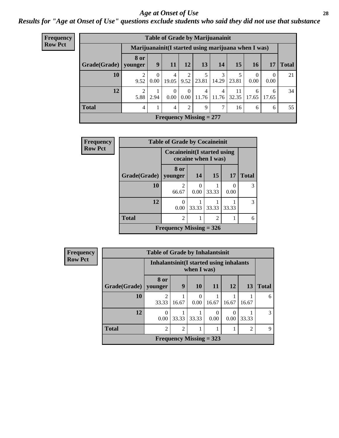#### *Age at Onset of Use* **28**

*Results for "Age at Onset of Use" questions exclude students who said they did not use that substance*

| <b>Frequency</b>               | <b>Table of Grade by Marijuanainit</b> |                                                      |                  |                  |                  |            |                         |             |                  |                  |              |
|--------------------------------|----------------------------------------|------------------------------------------------------|------------------|------------------|------------------|------------|-------------------------|-------------|------------------|------------------|--------------|
| <b>Row Pct</b>                 |                                        | Marijuanainit (I started using marijuana when I was) |                  |                  |                  |            |                         |             |                  |                  |              |
|                                | Grade(Grade)                           | <b>8 or</b><br>younger                               | 9                | <b>11</b>        | 12               | 13         | 14                      | 15          | 16               | 17               | <b>Total</b> |
|                                | 10                                     | 9.52                                                 | $\Omega$<br>0.00 | 4<br>19.05       | 2<br>9.52        | 5<br>23.81 | 3<br>14.29              | 5<br>23.81  | $\Omega$<br>0.00 | $\Omega$<br>0.00 | 21           |
|                                | 12                                     | $\overline{2}$<br>5.88                               | 2.94             | $\theta$<br>0.00 | $\theta$<br>0.00 | 4<br>11.76 | $\overline{4}$<br>11.76 | 11<br>32.35 | 6<br>17.65       | 6<br>17.65       | 34           |
|                                | <b>Total</b>                           | 4                                                    |                  | 4                | 2                | 9          | ℸ                       | 16          | 6                | 6                | 55           |
| <b>Frequency Missing = 277</b> |                                        |                                                      |                  |                  |                  |            |                         |             |                  |                  |              |

| Frequency      | <b>Table of Grade by Cocaineinit</b> |                                     |                     |                |           |              |  |  |
|----------------|--------------------------------------|-------------------------------------|---------------------|----------------|-----------|--------------|--|--|
| <b>Row Pct</b> |                                      | <b>Cocaineinit</b> (I started using | cocaine when I was) |                |           |              |  |  |
|                | Grade(Grade)                         | 8 or<br>younger                     | 14                  | 15             | <b>17</b> | <b>Total</b> |  |  |
|                | 10                                   | 2<br>66.67                          | 0.00                | 33.33          | 0<br>0.00 | 3            |  |  |
|                | 12                                   | 0<br>0.00                           | 33.33               | 33.33          | 33.33     | 3            |  |  |
|                | <b>Total</b>                         | $\mathfrak{D}$                      |                     | $\mathfrak{D}$ |           | 6            |  |  |
|                |                                      | Frequency Missing $= 326$           |                     |                |           |              |  |  |

| <b>Frequency</b> |  |
|------------------|--|
| <b>Row Pct</b>   |  |

| <b>Table of Grade by Inhalantsinit</b> |                                          |       |             |           |       |                |              |  |  |
|----------------------------------------|------------------------------------------|-------|-------------|-----------|-------|----------------|--------------|--|--|
|                                        | Inhalantsinit (I started using inhalants |       | when I was) |           |       |                |              |  |  |
| Grade(Grade)   younger                 | 8 or                                     | 9     | 10          | 11        | 12    | 13             | <b>Total</b> |  |  |
| 10                                     | 33.33                                    | 16.67 | 0.00        | 16.67     | 16.67 | 16.67          |              |  |  |
| 12                                     | 0<br>0.00                                | 33.33 | 33.33       | 0<br>0.00 | 0.00  | 33.33          |              |  |  |
| <b>Total</b>                           | $\overline{2}$                           | 2     |             |           |       | $\mathfrak{D}$ | q            |  |  |
| Frequency Missing $=$ 323              |                                          |       |             |           |       |                |              |  |  |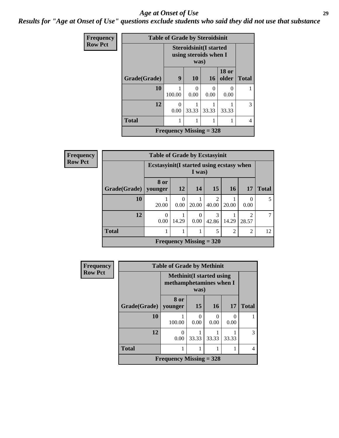#### *Age at Onset of Use* **29**

*Results for "Age at Onset of Use" questions exclude students who said they did not use that substance*

| Frequency      |              | <b>Table of Grade by Steroidsinit</b>                  |       |           |                       |              |
|----------------|--------------|--------------------------------------------------------|-------|-----------|-----------------------|--------------|
| <b>Row Pct</b> |              | <b>Steroidsinit(I started</b><br>using steroids when I |       |           |                       |              |
|                | Grade(Grade) | 9                                                      | 10    | 16        | <b>18 or</b><br>older | <b>Total</b> |
|                | 10           | 100.00                                                 | 0.00  | 0<br>0.00 | 0<br>0.00             |              |
|                | 12           | 0<br>0.00                                              | 33.33 | 33.33     | 33.33                 | 3            |
|                | <b>Total</b> |                                                        |       | 1         | 1                     | 4            |
|                |              | Frequency Missing $=$ 328                              |       |           |                       |              |

| <b>Frequency</b> | <b>Table of Grade by Ecstasyinit</b> |                                           |                  |                  |            |                |                                      |              |  |
|------------------|--------------------------------------|-------------------------------------------|------------------|------------------|------------|----------------|--------------------------------------|--------------|--|
| <b>Row Pct</b>   |                                      | Ecstasyinit (I started using ecstasy when |                  | I was)           |            |                |                                      |              |  |
|                  | Grade(Grade)   younger               | 8 or                                      | 12               | 14               | 15         | <b>16</b>      | <b>17</b>                            | <b>Total</b> |  |
|                  | 10                                   | 20.00                                     | $\Omega$<br>0.00 | 20.00            | 40.00      | 20.00          | 0<br>0.00                            | 5            |  |
|                  | 12                                   | $\theta$<br>0.00                          | 14.29            | $\Omega$<br>0.00 | 3<br>42.86 | 14.29          | $\mathcal{D}_{\mathcal{L}}$<br>28.57 |              |  |
|                  | <b>Total</b>                         |                                           |                  |                  | 5          | $\overline{2}$ | 2                                    | 12           |  |
|                  |                                      | Frequency Missing $= 320$                 |                  |                  |            |                |                                      |              |  |

| Frequency      |              | <b>Table of Grade by Methinit</b>                          |           |       |           |              |  |  |  |
|----------------|--------------|------------------------------------------------------------|-----------|-------|-----------|--------------|--|--|--|
| <b>Row Pct</b> |              | <b>Methinit(I started using</b><br>methamphetamines when I | was)      |       |           |              |  |  |  |
|                | Grade(Grade) | 8 or<br>younger                                            | <b>15</b> | 16    | 17        | <b>Total</b> |  |  |  |
|                | 10           | 100.00                                                     | 0<br>0.00 | 0.00  | 0<br>0.00 |              |  |  |  |
|                | 12           | 0<br>0.00                                                  | 33.33     | 33.33 | 33.33     | 3            |  |  |  |
|                | <b>Total</b> |                                                            |           |       |           | 4            |  |  |  |
|                |              | <b>Frequency Missing = 328</b>                             |           |       |           |              |  |  |  |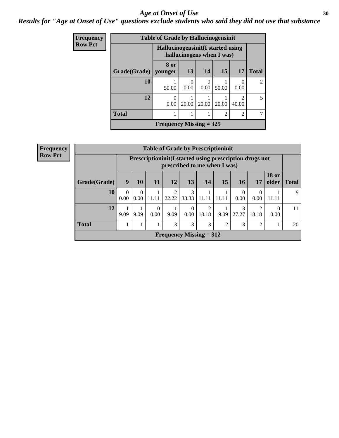#### Age at Onset of Use **30**

### *Results for "Age at Onset of Use" questions exclude students who said they did not use that substance*

| Frequency      |              | <b>Table of Grade by Hallucinogensinit</b> |           |                           |                |                        |                             |
|----------------|--------------|--------------------------------------------|-----------|---------------------------|----------------|------------------------|-----------------------------|
| <b>Row Pct</b> |              | Hallucinogensinit (I started using         |           | hallucinogens when I was) |                |                        |                             |
|                | Grade(Grade) | 8 or<br>younger                            | 13        | 14                        | 15             | 17                     | <b>Total</b>                |
|                | 10           | 50.00                                      | 0<br>0.00 | 0<br>0.00                 | 50.00          | $\Omega$<br>0.00       | $\mathcal{D}_{\mathcal{L}}$ |
|                | 12           | 0<br>0.00                                  | 20.00     | 20.00                     | 20.00          | $\mathcal{D}$<br>40.00 | 5                           |
|                | <b>Total</b> |                                            |           |                           | $\mathfrak{D}$ | 2                      |                             |
|                |              | Frequency Missing $=$ 325                  |           |                           |                |                        |                             |

| <b>Frequency</b> | <b>Table of Grade by Prescriptioninit</b> |                                                                                         |                  |                  |                                |                  |            |       |                  |                |                       |              |
|------------------|-------------------------------------------|-----------------------------------------------------------------------------------------|------------------|------------------|--------------------------------|------------------|------------|-------|------------------|----------------|-----------------------|--------------|
| <b>Row Pct</b>   |                                           | Prescriptioninit(I started using prescription drugs not<br>prescribed to me when I was) |                  |                  |                                |                  |            |       |                  |                |                       |              |
|                  | Grade(Grade)                              | 9                                                                                       | 10               | 11               | 12                             | 13               | 14         | 15    | <b>16</b>        | 17             | <b>18 or</b><br>older | <b>Total</b> |
|                  | 10                                        | $\Omega$<br>0.00                                                                        | $\Omega$<br>0.00 | 11.11            | 2<br>22.22                     | 3<br>33.33       | 11.11      | 11.11 | $\Omega$<br>0.00 | 0.00           | 11.11                 | 9            |
|                  | 12                                        | 9.09                                                                                    | 9.09             | $\theta$<br>0.00 | 9.09                           | $\Omega$<br>0.00 | 2<br>18.18 | 9.09  | 3<br>27.27       | ◠<br>18.18     | $\Omega$<br>0.00      | 11           |
|                  | <b>Total</b>                              |                                                                                         |                  |                  | 3                              | 3                | 3          | ∍     | 3                | $\mathfrak{D}$ |                       | 20           |
|                  |                                           |                                                                                         |                  |                  | <b>Frequency Missing = 312</b> |                  |            |       |                  |                |                       |              |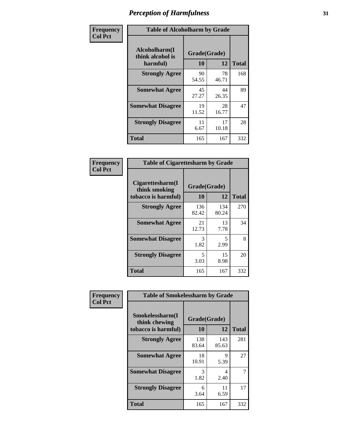| Frequency      | <b>Table of Alcoholharm by Grade</b>          |                    |             |              |  |  |  |  |
|----------------|-----------------------------------------------|--------------------|-------------|--------------|--|--|--|--|
| <b>Col Pct</b> | Alcoholharm(I<br>think alcohol is<br>harmful) | Grade(Grade)<br>10 | 12          | <b>Total</b> |  |  |  |  |
|                | <b>Strongly Agree</b>                         | 90<br>54.55        | 78<br>46.71 | 168          |  |  |  |  |
|                | <b>Somewhat Agree</b>                         | 45<br>27.27        | 44<br>26.35 | 89           |  |  |  |  |
|                | <b>Somewhat Disagree</b>                      | 19<br>11.52        | 28<br>16.77 | 47           |  |  |  |  |
|                | <b>Strongly Disagree</b>                      | 11<br>6.67         | 17<br>10.18 | 28           |  |  |  |  |
|                | <b>Total</b>                                  | 165                | 167         | 332          |  |  |  |  |

|                                                          | <b>Table of Cigarettesharm by Grade</b> |              |              |  |  |  |  |  |  |
|----------------------------------------------------------|-----------------------------------------|--------------|--------------|--|--|--|--|--|--|
| Cigarettesharm(I<br>think smoking<br>tobacco is harmful) | Grade(Grade)<br>10                      | 12           | <b>Total</b> |  |  |  |  |  |  |
| <b>Strongly Agree</b>                                    | 136<br>82.42                            | 134<br>80.24 | 270          |  |  |  |  |  |  |
| <b>Somewhat Agree</b>                                    | 21<br>12.73                             | 13<br>7.78   | 34           |  |  |  |  |  |  |
| <b>Somewhat Disagree</b>                                 | 3<br>1.82                               | 5<br>2.99    | 8            |  |  |  |  |  |  |
| <b>Strongly Disagree</b>                                 | 5<br>3.03                               | 15<br>8.98   | 20           |  |  |  |  |  |  |
| <b>Total</b>                                             | 165                                     | 167          | 332          |  |  |  |  |  |  |

| Frequency      | <b>Table of Smokelessharm by Grade</b>                  |                           |              |              |
|----------------|---------------------------------------------------------|---------------------------|--------------|--------------|
| <b>Col Pct</b> | Smokelessharm(I<br>think chewing<br>tobacco is harmful) | Grade(Grade)<br><b>10</b> | 12           | <b>Total</b> |
|                | <b>Strongly Agree</b>                                   | 138<br>83.64              | 143<br>85.63 | 281          |
|                | <b>Somewhat Agree</b>                                   | 18<br>10.91               | 9<br>5.39    | 27           |
|                | <b>Somewhat Disagree</b>                                | 3<br>1.82                 | 4<br>2.40    |              |
|                | <b>Strongly Disagree</b>                                | 6<br>3.64                 | 11<br>6.59   | 17           |
|                | <b>Total</b>                                            | 165                       | 167          | 332          |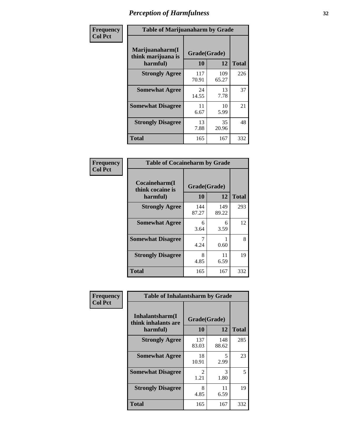| Frequency      | <b>Table of Marijuanaharm by Grade</b>            |                    |              |              |
|----------------|---------------------------------------------------|--------------------|--------------|--------------|
| <b>Col Pct</b> | Marijuanaharm(I<br>think marijuana is<br>harmful) | Grade(Grade)<br>10 | 12           | <b>Total</b> |
|                | <b>Strongly Agree</b>                             | 117<br>70.91       | 109<br>65.27 | 226          |
|                | <b>Somewhat Agree</b>                             | 24<br>14.55        | 13<br>7.78   | 37           |
|                | <b>Somewhat Disagree</b>                          | 11<br>6.67         | 10<br>5.99   | 21           |
|                | <b>Strongly Disagree</b>                          | 13<br>7.88         | 35<br>20.96  | 48           |
|                | <b>Total</b>                                      | 165                | 167          | 332          |

| <b>Table of Cocaineharm by Grade</b>          |                    |              |              |  |  |
|-----------------------------------------------|--------------------|--------------|--------------|--|--|
| Cocaineharm(I<br>think cocaine is<br>harmful) | Grade(Grade)<br>10 | 12           | <b>Total</b> |  |  |
| <b>Strongly Agree</b>                         | 144<br>87.27       | 149<br>89.22 | 293          |  |  |
| <b>Somewhat Agree</b>                         | 6<br>3.64          | 6<br>3.59    | 12           |  |  |
| <b>Somewhat Disagree</b>                      | 7<br>4.24          | 0.60         | 8            |  |  |
| <b>Strongly Disagree</b>                      | 8<br>4.85          | 11<br>6.59   | 19           |  |  |
| <b>Total</b>                                  | 165                | 167          | 332          |  |  |

| Frequency      | <b>Table of Inhalantsharm by Grade</b>             |                           |              |              |
|----------------|----------------------------------------------------|---------------------------|--------------|--------------|
| <b>Col Pct</b> | Inhalantsharm(I<br>think inhalants are<br>harmful) | Grade(Grade)<br><b>10</b> | 12           | <b>Total</b> |
|                | <b>Strongly Agree</b>                              | 137<br>83.03              | 148<br>88.62 | 285          |
|                | <b>Somewhat Agree</b>                              | 18<br>10.91               | 5<br>2.99    | 23           |
|                | <b>Somewhat Disagree</b>                           | 2<br>1.21                 | 3<br>1.80    | 5            |
|                | <b>Strongly Disagree</b>                           | 8<br>4.85                 | 11<br>6.59   | 19           |
|                | <b>Total</b>                                       | 165                       | 167          | 332          |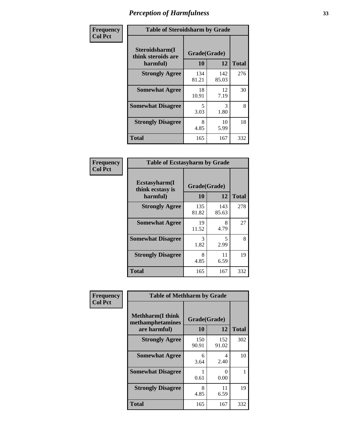| Frequency      | <b>Table of Steroidsharm by Grade</b>            |                                  |              |              |
|----------------|--------------------------------------------------|----------------------------------|--------------|--------------|
| <b>Col Pct</b> | Steroidsharm(I<br>think steroids are<br>harmful) | Grade(Grade)<br>10               | 12           | <b>Total</b> |
|                | <b>Strongly Agree</b>                            | 134<br>81.21                     | 142<br>85.03 | 276          |
|                | <b>Somewhat Agree</b>                            | 18<br>10.91                      | 12<br>7.19   | 30           |
|                | <b>Somewhat Disagree</b>                         | $\overline{\mathcal{L}}$<br>3.03 | 3<br>1.80    | 8            |
|                | <b>Strongly Disagree</b>                         | 8<br>4.85                        | 10<br>5.99   | 18           |
|                | <b>Total</b>                                     | 165                              | 167          | 332          |

| <b>Table of Ecstasyharm by Grade</b>          |                          |              |     |  |  |  |
|-----------------------------------------------|--------------------------|--------------|-----|--|--|--|
| Ecstasyharm(I<br>think ecstasy is<br>harmful) | Grade(Grade)<br>10<br>12 |              |     |  |  |  |
| <b>Strongly Agree</b>                         | 135<br>81.82             | 143<br>85.63 | 278 |  |  |  |
| <b>Somewhat Agree</b>                         | 19<br>11.52              | 8<br>4.79    | 27  |  |  |  |
| <b>Somewhat Disagree</b>                      | 3<br>1.82                | 5<br>2.99    | 8   |  |  |  |
| <b>Strongly Disagree</b>                      | 8<br>4.85                | 11<br>6.59   | 19  |  |  |  |
| <b>Total</b>                                  | 165                      | 167          | 332 |  |  |  |

| Frequency      | <b>Table of Methharm by Grade</b>                            |                           |                           |              |
|----------------|--------------------------------------------------------------|---------------------------|---------------------------|--------------|
| <b>Col Pct</b> | <b>Methharm</b> (I think<br>methamphetamines<br>are harmful) | Grade(Grade)<br><b>10</b> | 12                        | <b>Total</b> |
|                | <b>Strongly Agree</b>                                        | 150<br>90.91              | 152<br>91.02              | 302          |
|                | <b>Somewhat Agree</b>                                        | 6<br>3.64                 | 4<br>2.40                 | 10           |
|                | <b>Somewhat Disagree</b>                                     | 0.61                      | $\mathbf{\Omega}$<br>0.00 |              |
|                | <b>Strongly Disagree</b>                                     | 8<br>4.85                 | 11<br>6.59                | 19           |
|                | <b>Total</b>                                                 | 165                       | 167                       | 332          |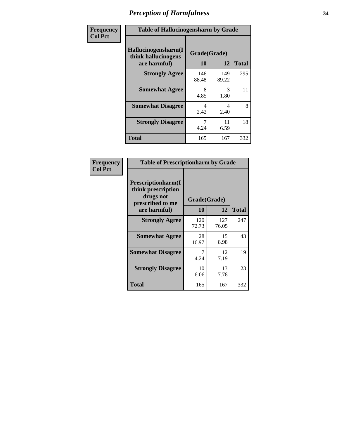| Frequency      | <b>Table of Hallucinogensharm by Grade</b>                 |                    |              |              |
|----------------|------------------------------------------------------------|--------------------|--------------|--------------|
| <b>Col Pct</b> | Hallucinogensharm(I<br>think hallucinogens<br>are harmful) | Grade(Grade)<br>10 | 12           | <b>Total</b> |
|                | <b>Strongly Agree</b>                                      | 146<br>88.48       | 149<br>89.22 | 295          |
|                | <b>Somewhat Agree</b>                                      | 8<br>4.85          | 3<br>1.80    | 11           |
|                | <b>Somewhat Disagree</b>                                   | 4<br>2.42          | 4<br>2.40    | 8            |
|                | <b>Strongly Disagree</b>                                   | 4.24               | 11<br>6.59   | 18           |
|                | <b>Total</b>                                               | 165                | 167          | 332          |

| <b>Table of Prescriptionharm by Grade</b>                                         |              |              |              |  |
|-----------------------------------------------------------------------------------|--------------|--------------|--------------|--|
| <b>Prescriptionharm</b> (I<br>think prescription<br>drugs not<br>prescribed to me | Grade(Grade) |              |              |  |
| are harmful)                                                                      | 10           | 12           | <b>Total</b> |  |
| <b>Strongly Agree</b>                                                             | 120<br>72.73 | 127<br>76.05 | 247          |  |
| <b>Somewhat Agree</b>                                                             | 28<br>16.97  | 15<br>8.98   | 43           |  |
| <b>Somewhat Disagree</b>                                                          | 4.24         | 12<br>7.19   | 19           |  |
| <b>Strongly Disagree</b>                                                          | 10<br>6.06   | 13<br>7.78   | 23           |  |
| Total                                                                             | 165          | 167          | 332          |  |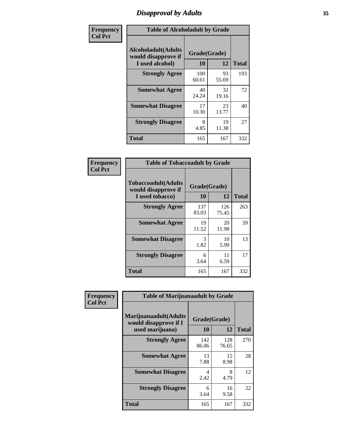# *Disapproval by Adults* **35**

| Frequency      | <b>Table of Alcoholadult by Grade</b>                                 |                    |             |              |
|----------------|-----------------------------------------------------------------------|--------------------|-------------|--------------|
| <b>Col Pct</b> | <b>Alcoholadult</b> (Adults<br>would disapprove if<br>I used alcohol) | Grade(Grade)<br>10 | 12          | <b>Total</b> |
|                | <b>Strongly Agree</b>                                                 | 100<br>60.61       | 93<br>55.69 | 193          |
|                | <b>Somewhat Agree</b>                                                 | 40<br>24.24        | 32<br>19.16 | 72           |
|                | <b>Somewhat Disagree</b>                                              | 17<br>10.30        | 23<br>13.77 | 40           |
|                | <b>Strongly Disagree</b>                                              | 8<br>4.85          | 19<br>11.38 | 27           |
|                | <b>Total</b>                                                          | 165                | 167         | 332          |

| <b>Table of Tobaccoadult by Grade</b>                                |                    |              |              |  |  |
|----------------------------------------------------------------------|--------------------|--------------|--------------|--|--|
| <b>Tobaccoadult(Adults</b><br>would disapprove if<br>I used tobacco) | Grade(Grade)<br>10 | 12           | <b>Total</b> |  |  |
| <b>Strongly Agree</b>                                                | 137<br>83.03       | 126<br>75.45 | 263          |  |  |
| <b>Somewhat Agree</b>                                                | 19<br>11.52        | 20<br>11.98  | 39           |  |  |
| <b>Somewhat Disagree</b>                                             | 3<br>1.82          | 10<br>5.99   | 13           |  |  |
| <b>Strongly Disagree</b>                                             | 6<br>3.64          | 11<br>6.59   | 17           |  |  |
| <b>Total</b>                                                         | 165                | 167          | 332          |  |  |

| Frequency      | <b>Table of Marijuanaadult by Grade</b>                           |                    |              |              |
|----------------|-------------------------------------------------------------------|--------------------|--------------|--------------|
| <b>Col Pct</b> | Marijuanaadult(Adults<br>would disapprove if I<br>used marijuana) | Grade(Grade)<br>10 | 12           | <b>Total</b> |
|                | <b>Strongly Agree</b>                                             | 142<br>86.06       | 128<br>76.65 | 270          |
|                | <b>Somewhat Agree</b>                                             | 13<br>7.88         | 15<br>8.98   | 28           |
|                | <b>Somewhat Disagree</b>                                          | 4<br>2.42          | 8<br>4.79    | 12           |
|                | <b>Strongly Disagree</b>                                          | 6<br>3.64          | 16<br>9.58   | 22           |
|                | <b>Total</b>                                                      | 165                | 167          | 332          |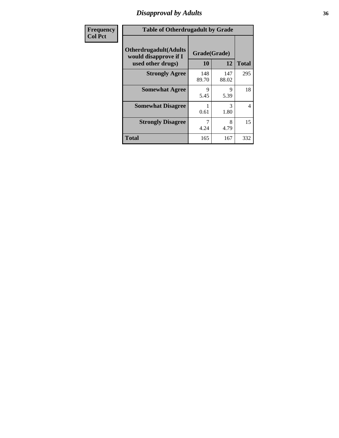### *Disapproval by Adults* **36**

| <b>Frequency</b> | <b>Table of Otherdrugadult by Grade</b>                                     |                    |              |              |
|------------------|-----------------------------------------------------------------------------|--------------------|--------------|--------------|
| <b>Col Pct</b>   | <b>Otherdrugadult</b> (Adults<br>would disapprove if I<br>used other drugs) | Grade(Grade)<br>10 | 12           | <b>Total</b> |
|                  | <b>Strongly Agree</b>                                                       | 148<br>89.70       | 147<br>88.02 | 295          |
|                  | <b>Somewhat Agree</b>                                                       | 9<br>5.45          | 9<br>5.39    | 18           |
|                  | <b>Somewhat Disagree</b>                                                    | 0.61               | 3<br>1.80    | 4            |
|                  | <b>Strongly Disagree</b>                                                    | 7<br>4.24          | 8<br>4.79    | 15           |
|                  | <b>Total</b>                                                                | 165                | 167          | 332          |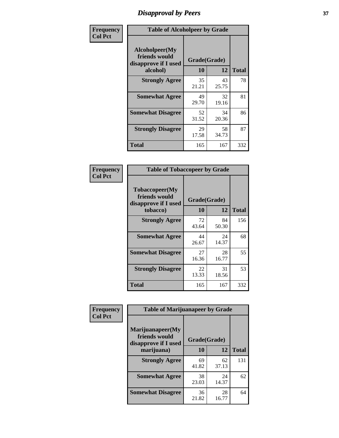# *Disapproval by Peers* **37**

| Frequency      | <b>Table of Alcoholpeer by Grade</b>                    |              |             |              |  |
|----------------|---------------------------------------------------------|--------------|-------------|--------------|--|
| <b>Col Pct</b> | Alcoholpeer(My<br>friends would<br>disapprove if I used | Grade(Grade) |             |              |  |
|                | alcohol)                                                | 10           | 12          | <b>Total</b> |  |
|                | <b>Strongly Agree</b>                                   | 35<br>21.21  | 43<br>25.75 | 78           |  |
|                | <b>Somewhat Agree</b>                                   | 49<br>29.70  | 32<br>19.16 | 81           |  |
|                | <b>Somewhat Disagree</b>                                | 52<br>31.52  | 34<br>20.36 | 86           |  |
|                | <b>Strongly Disagree</b>                                | 29<br>17.58  | 58<br>34.73 | 87           |  |
|                | Total                                                   | 165          | 167         | 332          |  |

| Frequency      | <b>Table of Tobaccopeer by Grade</b>                                |                    |             |              |
|----------------|---------------------------------------------------------------------|--------------------|-------------|--------------|
| <b>Col Pct</b> | Tobaccopeer(My<br>friends would<br>disapprove if I used<br>tobacco) | Grade(Grade)<br>10 | 12          | <b>Total</b> |
|                | <b>Strongly Agree</b>                                               | 72<br>43.64        | 84<br>50.30 | 156          |
|                | <b>Somewhat Agree</b>                                               | 44<br>26.67        | 24<br>14.37 | 68           |
|                | <b>Somewhat Disagree</b>                                            | 27<br>16.36        | 28<br>16.77 | 55           |
|                | <b>Strongly Disagree</b>                                            | 22<br>13.33        | 31<br>18.56 | 53           |
|                | Total                                                               | 165                | 167         | 332          |

| Frequency      | <b>Table of Marijuanapeer by Grade</b>                    |              |             |              |
|----------------|-----------------------------------------------------------|--------------|-------------|--------------|
| <b>Col Pct</b> | Marijuanapeer(My<br>friends would<br>disapprove if I used | Grade(Grade) |             |              |
|                | marijuana)                                                | 10           | 12          | <b>Total</b> |
|                | <b>Strongly Agree</b>                                     | 69<br>41.82  | 62<br>37.13 | 131          |
|                | <b>Somewhat Agree</b>                                     | 38<br>23.03  | 24<br>14.37 | 62           |
|                | <b>Somewhat Disagree</b>                                  | 36<br>21.82  | 28<br>16.77 | 64           |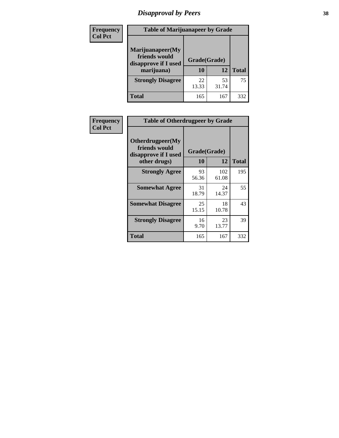# *Disapproval by Peers* **38**

| <b>Frequency</b> | <b>Table of Marijuanapeer by Grade</b>                                  |                    |             |              |  |
|------------------|-------------------------------------------------------------------------|--------------------|-------------|--------------|--|
| <b>Col Pct</b>   | Marijuanapeer(My<br>friends would<br>disapprove if I used<br>marijuana) | Grade(Grade)<br>10 | 12          | <b>Total</b> |  |
|                  | <b>Strongly Disagree</b>                                                | 22<br>13.33        | 53<br>31.74 | 75           |  |
|                  | <b>Total</b>                                                            | 165                | 167         | 332          |  |

| <b>Frequency</b> | <b>Table of Otherdrugpeer by Grade</b>                                    |                    |              |              |
|------------------|---------------------------------------------------------------------------|--------------------|--------------|--------------|
| <b>Col Pct</b>   | Otherdrugpeer(My<br>friends would<br>disapprove if I used<br>other drugs) | Grade(Grade)<br>10 | 12           | <b>Total</b> |
|                  |                                                                           |                    |              |              |
|                  | <b>Strongly Agree</b>                                                     | 93<br>56.36        | 102<br>61.08 | 195          |
|                  | <b>Somewhat Agree</b>                                                     | 31<br>18.79        | 24<br>14.37  | 55           |
|                  | <b>Somewhat Disagree</b>                                                  | 25<br>15.15        | 18<br>10.78  | 43           |
|                  | <b>Strongly Disagree</b>                                                  | 16<br>9.70         | 23<br>13.77  | 39           |
|                  | Total                                                                     | 165                | 167          | 332          |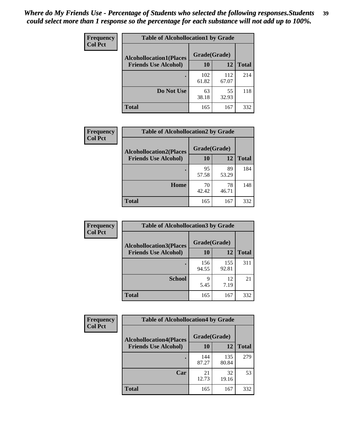| Frequency      | <b>Table of Alcohollocation1 by Grade</b> |              |              |              |
|----------------|-------------------------------------------|--------------|--------------|--------------|
| <b>Col Pct</b> | <b>Alcohollocation1(Places</b>            | Grade(Grade) |              |              |
|                | <b>Friends Use Alcohol)</b>               | 10           | 12           | <b>Total</b> |
|                |                                           | 102<br>61.82 | 112<br>67.07 | 214          |
|                | Do Not Use                                | 63<br>38.18  | 55<br>32.93  | 118          |
|                | <b>Total</b>                              | 165          | 167          | 332          |

| <b>Frequency</b> | <b>Table of Alcohollocation2 by Grade</b>                     |                    |             |              |
|------------------|---------------------------------------------------------------|--------------------|-------------|--------------|
| <b>Col Pct</b>   | <b>Alcohollocation2(Places</b><br><b>Friends Use Alcohol)</b> | Grade(Grade)<br>10 | <b>12</b>   | <b>Total</b> |
|                  |                                                               | 95<br>57.58        | 89<br>53.29 | 184          |
|                  | Home                                                          | 70<br>42.42        | 78<br>46.71 | 148          |
|                  | <b>Total</b>                                                  | 165                | 167         | 332          |

| Frequency<br><b>Col Pct</b> | <b>Table of Alcohollocation 3 by Grade</b>                    |                    |              |              |
|-----------------------------|---------------------------------------------------------------|--------------------|--------------|--------------|
|                             | <b>Alcohollocation3(Places</b><br><b>Friends Use Alcohol)</b> | Grade(Grade)<br>10 | 12           | <b>Total</b> |
|                             |                                                               | 156<br>94.55       | 155<br>92.81 | 311          |
|                             | <b>School</b>                                                 | 9<br>5.45          | 12<br>7.19   | 21           |
|                             | <b>Total</b>                                                  | 165                | 167          | 332          |

| <b>Frequency</b> | <b>Table of Alcohollocation4 by Grade</b> |              |              |              |  |
|------------------|-------------------------------------------|--------------|--------------|--------------|--|
| <b>Col Pct</b>   | <b>Alcohollocation4(Places</b>            | Grade(Grade) |              |              |  |
|                  | <b>Friends Use Alcohol)</b>               | 10           | 12           | <b>Total</b> |  |
|                  |                                           | 144<br>87.27 | 135<br>80.84 | 279          |  |
|                  | Car                                       | 21<br>12.73  | 32<br>19.16  | 53           |  |
|                  | <b>Total</b>                              | 165          | 167          | 332          |  |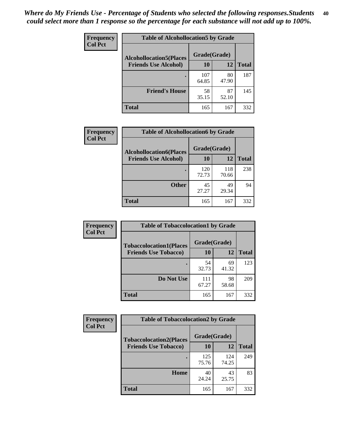| Frequency<br><b>Col Pct</b> | <b>Table of Alcohollocation5 by Grade</b><br>Grade(Grade)<br><b>Alcohollocation5(Places</b> |              |             |              |
|-----------------------------|---------------------------------------------------------------------------------------------|--------------|-------------|--------------|
|                             |                                                                                             |              |             |              |
|                             | <b>Friends Use Alcohol)</b>                                                                 | 10           | 12          | <b>Total</b> |
|                             |                                                                                             | 107<br>64.85 | 80<br>47.90 | 187          |
|                             | <b>Friend's House</b>                                                                       | 58<br>35.15  | 87<br>52.10 | 145          |
|                             | <b>Total</b>                                                                                | 165          | 167         | 332          |

| <b>Frequency</b> | <b>Table of Alcohollocation6 by Grade</b> |              |              |              |
|------------------|-------------------------------------------|--------------|--------------|--------------|
| <b>Col Pct</b>   | <b>Alcohollocation6(Places</b>            | Grade(Grade) |              |              |
|                  | <b>Friends Use Alcohol)</b>               | <b>10</b>    | 12           | <b>Total</b> |
|                  |                                           | 120<br>72.73 | 118<br>70.66 | 238          |
|                  | <b>Other</b>                              | 45<br>27.27  | 49<br>29.34  | 94           |
|                  | <b>Total</b>                              | 165          | 167          | 332          |

| Frequency      | <b>Table of Tobaccolocation1 by Grade</b> |              |             |              |
|----------------|-------------------------------------------|--------------|-------------|--------------|
| <b>Col Pct</b> | <b>Tobaccolocation1(Places</b>            | Grade(Grade) |             |              |
|                | <b>Friends Use Tobacco)</b>               | 10           | 12          | <b>Total</b> |
|                |                                           | 54<br>32.73  | 69<br>41.32 | 123          |
|                | Do Not Use                                | 111<br>67.27 | 98<br>58.68 | 209          |
|                | <b>Total</b>                              | 165          | 167         | 332          |

| <b>Frequency</b> | <b>Table of Tobaccolocation2 by Grade</b> |              |              |              |  |
|------------------|-------------------------------------------|--------------|--------------|--------------|--|
| <b>Col Pct</b>   | <b>Tobaccolocation2(Places</b>            | Grade(Grade) |              |              |  |
|                  | <b>Friends Use Tobacco)</b>               | 10           | 12           | <b>Total</b> |  |
|                  |                                           | 125<br>75.76 | 124<br>74.25 | 249          |  |
|                  | Home                                      | 40<br>24.24  | 43<br>25.75  | 83           |  |
|                  | <b>Total</b>                              | 165          | 167          | 332          |  |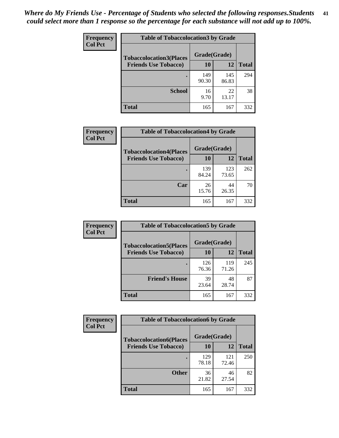| Frequency      | <b>Table of Tobaccolocation 3 by Grade</b> |              |              |              |
|----------------|--------------------------------------------|--------------|--------------|--------------|
| <b>Col Pct</b> | <b>Tobaccolocation3(Places</b>             | Grade(Grade) |              |              |
|                | <b>Friends Use Tobacco)</b>                | 10           | 12           | <b>Total</b> |
|                |                                            | 149<br>90.30 | 145<br>86.83 | 294          |
|                | <b>School</b>                              | 16<br>9.70   | 22<br>13.17  | 38           |
|                | <b>Total</b>                               | 165          | 167          | 332          |

| Frequency      | <b>Table of Tobaccolocation4 by Grade</b>                     |                    |              |              |
|----------------|---------------------------------------------------------------|--------------------|--------------|--------------|
| <b>Col Pct</b> | <b>Tobaccolocation4(Places</b><br><b>Friends Use Tobacco)</b> | Grade(Grade)<br>10 | 12           | <b>Total</b> |
|                |                                                               |                    |              |              |
|                |                                                               | 139<br>84.24       | 123<br>73.65 | 262          |
|                | Car                                                           | 26<br>15.76        | 44<br>26.35  | 70           |
|                | <b>Total</b>                                                  | 165                | 167          | 332          |

| Frequency      | <b>Table of Tobaccolocation5 by Grade</b> |              |              |              |
|----------------|-------------------------------------------|--------------|--------------|--------------|
| <b>Col Pct</b> | <b>Tobaccolocation5(Places</b>            | Grade(Grade) |              |              |
|                | <b>Friends Use Tobacco)</b>               | 10           | <b>12</b>    | <b>Total</b> |
|                |                                           | 126<br>76.36 | 119<br>71.26 | 245          |
|                | <b>Friend's House</b>                     | 39<br>23.64  | 48<br>28.74  | 87           |
|                | <b>Total</b>                              | 165          | 167          | 332          |

| Frequency      | <b>Table of Tobaccolocation6 by Grade</b> |              |              |              |  |
|----------------|-------------------------------------------|--------------|--------------|--------------|--|
| <b>Col Pct</b> | <b>Tobaccolocation6(Places</b>            | Grade(Grade) |              |              |  |
|                | <b>Friends Use Tobacco)</b>               | 10           | 12           | <b>Total</b> |  |
|                |                                           | 129<br>78.18 | 121<br>72.46 | 250          |  |
|                | <b>Other</b>                              | 36<br>21.82  | 46<br>27.54  | 82           |  |
|                | <b>Total</b>                              | 165          | 167          | 332          |  |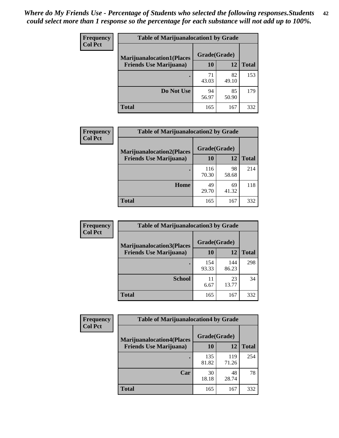| <b>Frequency</b> | <b>Table of Marijuanalocation1 by Grade</b> |              |             |              |
|------------------|---------------------------------------------|--------------|-------------|--------------|
| <b>Col Pct</b>   | <b>Marijuanalocation1(Places</b>            | Grade(Grade) |             |              |
|                  | <b>Friends Use Marijuana</b> )              | <b>10</b>    | 12          | <b>Total</b> |
|                  |                                             | 71<br>43.03  | 82<br>49.10 | 153          |
|                  | Do Not Use                                  | 94<br>56.97  | 85<br>50.90 | 179          |
|                  | <b>Total</b>                                | 165          | 167         | 332          |

| <b>Frequency</b> | <b>Table of Marijuanalocation2 by Grade</b>                        |                    |             |              |
|------------------|--------------------------------------------------------------------|--------------------|-------------|--------------|
| <b>Col Pct</b>   | <b>Marijuanalocation2(Places</b><br><b>Friends Use Marijuana</b> ) | Grade(Grade)<br>10 | 12          | <b>Total</b> |
|                  |                                                                    |                    |             |              |
|                  |                                                                    | 116<br>70.30       | 98<br>58.68 | 214          |
|                  | Home                                                               | 49<br>29.70        | 69<br>41.32 | 118          |
|                  | <b>Total</b>                                                       | 165                | 167         | 332          |

| Frequency<br><b>Col Pct</b> | <b>Table of Marijuanalocation3 by Grade</b> |              |              |              |
|-----------------------------|---------------------------------------------|--------------|--------------|--------------|
|                             | <b>Marijuanalocation3</b> (Places           | Grade(Grade) |              |              |
|                             | <b>Friends Use Marijuana</b> )              | 10           | 12           | <b>Total</b> |
|                             |                                             | 154<br>93.33 | 144<br>86.23 | 298          |
|                             | <b>School</b>                               | 11<br>6.67   | 23<br>13.77  | 34           |
|                             | <b>Total</b>                                | 165          | 167          | 332          |

| <b>Frequency</b> | <b>Table of Marijuanalocation4 by Grade</b> |              |              |              |  |
|------------------|---------------------------------------------|--------------|--------------|--------------|--|
| <b>Col Pct</b>   | <b>Marijuanalocation4(Places</b>            | Grade(Grade) |              |              |  |
|                  | <b>Friends Use Marijuana</b> )              | <b>10</b>    | 12           | <b>Total</b> |  |
|                  |                                             | 135<br>81.82 | 119<br>71.26 | 254          |  |
|                  | Car                                         | 30<br>18.18  | 48<br>28.74  | 78           |  |
|                  | <b>Total</b>                                | 165          | 167          | 332          |  |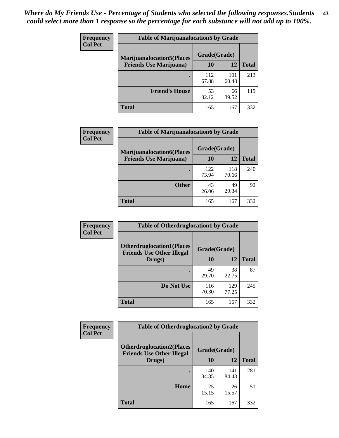| <b>Frequency</b> | <b>Table of Marijuanalocation5 by Grade</b> |              |              |              |
|------------------|---------------------------------------------|--------------|--------------|--------------|
| <b>Col Pct</b>   | <b>Marijuanalocation5</b> (Places           | Grade(Grade) |              |              |
|                  | <b>Friends Use Marijuana</b> )              | 10           | 12           | <b>Total</b> |
|                  |                                             | 112<br>67.88 | 101<br>60.48 | 213          |
|                  | <b>Friend's House</b>                       | 53<br>32.12  | 66<br>39.52  | 119          |
|                  | <b>Total</b>                                | 165          | 167          | 332          |

| <b>Frequency</b> | <b>Table of Marijuanalocation6 by Grade</b>                        |                    |              |              |
|------------------|--------------------------------------------------------------------|--------------------|--------------|--------------|
| <b>Col Pct</b>   | <b>Marijuanalocation6(Places</b><br><b>Friends Use Marijuana</b> ) | Grade(Grade)<br>10 | 12           | <b>Total</b> |
|                  |                                                                    | 122<br>73.94       | 118<br>70.66 | 240          |
|                  | <b>Other</b>                                                       | 43<br>26.06        | 49<br>29.34  | 92           |
|                  | <b>Total</b>                                                       | 165                | 167          | 332          |

| <b>Frequency</b> | <b>Table of Otherdruglocation1 by Grade</b>                          |              |              |              |
|------------------|----------------------------------------------------------------------|--------------|--------------|--------------|
| <b>Col Pct</b>   | <b>Otherdruglocation1(Places</b><br><b>Friends Use Other Illegal</b> | Grade(Grade) |              |              |
|                  | Drugs)                                                               | 10           | 12           | <b>Total</b> |
|                  |                                                                      | 49<br>29.70  | 38<br>22.75  | 87           |
|                  | Do Not Use                                                           | 116<br>70.30 | 129<br>77.25 | 245          |
|                  | <b>Total</b>                                                         | 165          | 167          | 332          |

| <b>Frequency</b> | <b>Table of Otherdruglocation2 by Grade</b>                          |              |              |              |
|------------------|----------------------------------------------------------------------|--------------|--------------|--------------|
| <b>Col Pct</b>   | <b>Otherdruglocation2(Places</b><br><b>Friends Use Other Illegal</b> | Grade(Grade) |              |              |
|                  | Drugs)                                                               | 10           | 12           | <b>Total</b> |
|                  |                                                                      | 140<br>84.85 | 141<br>84.43 | 281          |
|                  | Home                                                                 | 25<br>15.15  | 26<br>15.57  | 51           |
|                  | <b>Total</b>                                                         | 165          | 167          | 332          |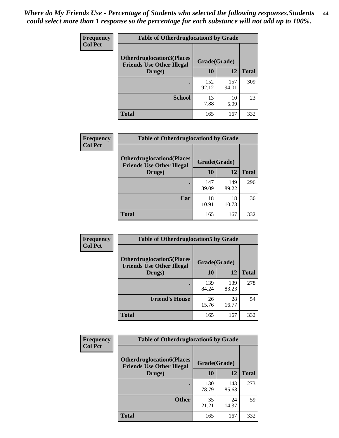| <b>Frequency</b> | <b>Table of Otherdruglocation3 by Grade</b>                          |              |              |              |
|------------------|----------------------------------------------------------------------|--------------|--------------|--------------|
| <b>Col Pct</b>   | <b>Otherdruglocation3(Places</b><br><b>Friends Use Other Illegal</b> | Grade(Grade) |              |              |
|                  | Drugs)                                                               | 10           | 12           | <b>Total</b> |
|                  |                                                                      | 152<br>92.12 | 157<br>94.01 | 309          |
|                  | <b>School</b>                                                        | 13<br>7.88   | 10<br>5.99   | 23           |
|                  | <b>Total</b>                                                         | 165          | 167          | 332          |

| <b>Frequency</b> | <b>Table of Otherdruglocation4 by Grade</b>                          |              |              |              |  |
|------------------|----------------------------------------------------------------------|--------------|--------------|--------------|--|
| <b>Col Pct</b>   | <b>Otherdruglocation4(Places</b><br><b>Friends Use Other Illegal</b> | Grade(Grade) |              |              |  |
|                  | Drugs)                                                               | 10           | 12           | <b>Total</b> |  |
|                  |                                                                      | 147<br>89.09 | 149<br>89.22 | 296          |  |
|                  | Car                                                                  | 18<br>10.91  | 18<br>10.78  | 36           |  |
|                  | <b>Total</b>                                                         | 165          | 167          | 332          |  |

| Frequency      | <b>Table of Otherdruglocation5 by Grade</b>                          |              |              |              |
|----------------|----------------------------------------------------------------------|--------------|--------------|--------------|
| <b>Col Pct</b> | <b>Otherdruglocation5(Places</b><br><b>Friends Use Other Illegal</b> | Grade(Grade) |              |              |
|                | Drugs)                                                               | 10           | 12           | <b>Total</b> |
|                |                                                                      | 139<br>84.24 | 139<br>83.23 | 278          |
|                | <b>Friend's House</b>                                                | 26<br>15.76  | 28<br>16.77  | 54           |
|                | <b>Total</b>                                                         | 165          | 167          | 332          |

| <b>Frequency</b> | <b>Table of Otherdruglocation6 by Grade</b>                          |              |              |              |
|------------------|----------------------------------------------------------------------|--------------|--------------|--------------|
| <b>Col Pct</b>   | <b>Otherdruglocation6(Places</b><br><b>Friends Use Other Illegal</b> | Grade(Grade) |              |              |
|                  | Drugs)                                                               | <b>10</b>    | 12           | <b>Total</b> |
|                  |                                                                      | 130<br>78.79 | 143<br>85.63 | 273          |
|                  | <b>Other</b>                                                         | 35<br>21.21  | 24<br>14.37  | 59           |
|                  | <b>Total</b>                                                         | 165          | 167          | 332          |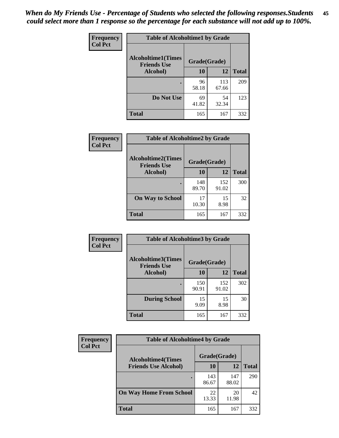| Frequency      | <b>Table of Alcoholtime1 by Grade</b>    |              |              |              |
|----------------|------------------------------------------|--------------|--------------|--------------|
| <b>Col Pct</b> | Alcoholtime1(Times<br><b>Friends Use</b> | Grade(Grade) |              |              |
|                | Alcohol)                                 | 10           | 12           | <b>Total</b> |
|                |                                          | 96<br>58.18  | 113<br>67.66 | 209          |
|                | Do Not Use                               | 69<br>41.82  | 54<br>32.34  | 123          |
|                | <b>Total</b>                             | 165          | 167          | 332          |

| Frequency      | <b>Table of Alcoholtime2 by Grade</b>           |              |              |              |
|----------------|-------------------------------------------------|--------------|--------------|--------------|
| <b>Col Pct</b> | <b>Alcoholtime2(Times</b><br><b>Friends Use</b> | Grade(Grade) |              |              |
|                | Alcohol)                                        | 10           | 12           | <b>Total</b> |
|                |                                                 | 148<br>89.70 | 152<br>91.02 | 300          |
|                | <b>On Way to School</b>                         | 17<br>10.30  | 15<br>8.98   | 32           |
|                | <b>Total</b>                                    | 165          | 167          | 332          |

| <b>Frequency</b> | <b>Table of Alcoholtime3 by Grade</b>           |              |              |              |
|------------------|-------------------------------------------------|--------------|--------------|--------------|
| <b>Col Pct</b>   | <b>Alcoholtime3(Times</b><br><b>Friends Use</b> | Grade(Grade) |              |              |
|                  | Alcohol)                                        | 10           | 12           | <b>Total</b> |
|                  |                                                 | 150<br>90.91 | 152<br>91.02 | 302          |
|                  | <b>During School</b>                            | 15<br>9.09   | 15<br>8.98   | 30           |
|                  | <b>Total</b>                                    | 165          | 167          | 332          |

| <b>Frequency</b> | <b>Table of Alcoholtime4 by Grade</b> |              |              |              |
|------------------|---------------------------------------|--------------|--------------|--------------|
| <b>Col Pct</b>   | <b>Alcoholtime4(Times</b>             | Grade(Grade) |              |              |
|                  | <b>Friends Use Alcohol)</b>           | 10           | 12           | <b>Total</b> |
|                  |                                       | 143<br>86.67 | 147<br>88.02 | 290          |
|                  | <b>On Way Home From School</b>        | 22<br>13.33  | 20<br>11.98  | 42           |
|                  | Total                                 | 165          | 167          | 332          |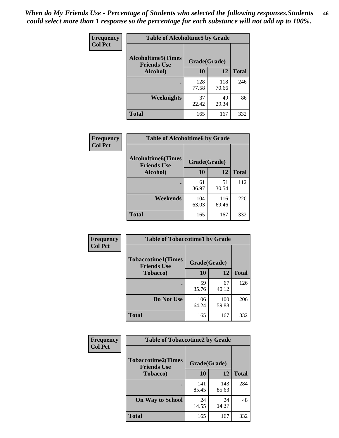*When do My Friends Use - Percentage of Students who selected the following responses.Students could select more than 1 response so the percentage for each substance will not add up to 100%.* **46**

| <b>Frequency</b> | <b>Table of Alcoholtime5 by Grade</b>           |              |              |              |
|------------------|-------------------------------------------------|--------------|--------------|--------------|
| <b>Col Pct</b>   | <b>Alcoholtime5(Times</b><br><b>Friends Use</b> | Grade(Grade) |              |              |
|                  | Alcohol)                                        | 10           | 12           | <b>Total</b> |
|                  |                                                 | 128<br>77.58 | 118<br>70.66 | 246          |
|                  | Weeknights                                      | 37<br>22.42  | 49<br>29.34  | 86           |
|                  | <b>Total</b>                                    | 165          | 167          | 332          |

| Frequency      | <b>Table of Alcoholtime6 by Grade</b>           |              |              |              |
|----------------|-------------------------------------------------|--------------|--------------|--------------|
| <b>Col Pct</b> | <b>Alcoholtime6(Times</b><br><b>Friends Use</b> | Grade(Grade) |              |              |
|                | Alcohol)                                        | 10           | 12           | <b>Total</b> |
|                |                                                 | 61<br>36.97  | 51<br>30.54  | 112          |
|                | Weekends                                        | 104<br>63.03 | 116<br>69.46 | 220          |
|                | <b>Total</b>                                    | 165          | 167          | 332          |

| <b>Frequency</b><br><b>Col Pct</b> | <b>Table of Tobaccotime1 by Grade</b>           |              |              |              |
|------------------------------------|-------------------------------------------------|--------------|--------------|--------------|
|                                    | <b>Tobaccotime1(Times</b><br><b>Friends Use</b> | Grade(Grade) |              |              |
|                                    | <b>Tobacco</b> )                                | 10           | 12           | <b>Total</b> |
|                                    |                                                 | 59<br>35.76  | 67<br>40.12  | 126          |
|                                    | Do Not Use                                      | 106<br>64.24 | 100<br>59.88 | 206          |
|                                    | <b>Total</b>                                    | 165          | 167          | 332          |

| <b>Frequency</b> |                                                 | <b>Table of Tobaccotime2 by Grade</b> |              |              |  |
|------------------|-------------------------------------------------|---------------------------------------|--------------|--------------|--|
| <b>Col Pct</b>   | <b>Tobaccotime2(Times</b><br><b>Friends Use</b> | Grade(Grade)                          |              |              |  |
|                  | <b>Tobacco</b> )                                | 10                                    | 12           | <b>Total</b> |  |
|                  |                                                 | 141<br>85.45                          | 143<br>85.63 | 284          |  |
|                  | <b>On Way to School</b>                         | 24<br>14.55                           | 24<br>14.37  | 48           |  |
|                  | <b>Total</b>                                    | 165                                   | 167          | 332          |  |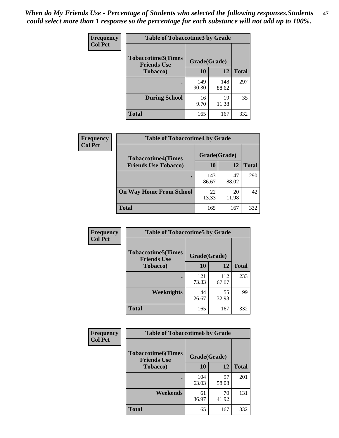*When do My Friends Use - Percentage of Students who selected the following responses.Students could select more than 1 response so the percentage for each substance will not add up to 100%.* **47**

| <b>Frequency</b> | <b>Table of Tobaccotime3 by Grade</b>           |              |              |              |  |
|------------------|-------------------------------------------------|--------------|--------------|--------------|--|
| <b>Col Pct</b>   | <b>Tobaccotime3(Times</b><br><b>Friends Use</b> | Grade(Grade) |              |              |  |
|                  | <b>Tobacco</b> )                                | 10           | 12           | <b>Total</b> |  |
|                  |                                                 | 149<br>90.30 | 148<br>88.62 | 297          |  |
|                  | <b>During School</b>                            | 16<br>9.70   | 19<br>11.38  | 35           |  |
|                  | <b>Total</b>                                    | 165          | 167          | 332          |  |

| <b>Frequency</b><br><b>Col Pct</b> | <b>Table of Tobaccotime4 by Grade</b> |              |              |              |
|------------------------------------|---------------------------------------|--------------|--------------|--------------|
|                                    | <b>Tobaccotime4(Times</b>             | Grade(Grade) |              |              |
|                                    | <b>Friends Use Tobacco)</b>           | 10           | 12           | <b>Total</b> |
|                                    |                                       | 143<br>86.67 | 147<br>88.02 | 290          |
|                                    | <b>On Way Home From School</b>        | 22<br>13.33  | 20<br>11.98  | 42           |
|                                    | Total                                 | 165          | 167          | 332          |

| <b>Frequency</b> | <b>Table of Tobaccotime5 by Grade</b>           |              |              |              |
|------------------|-------------------------------------------------|--------------|--------------|--------------|
| <b>Col Pct</b>   | <b>Tobaccotime5(Times</b><br><b>Friends Use</b> | Grade(Grade) |              |              |
|                  | <b>Tobacco</b> )                                | 10           | 12           | <b>Total</b> |
|                  |                                                 | 121<br>73.33 | 112<br>67.07 | 233          |
|                  | Weeknights                                      | 44<br>26.67  | 55<br>32.93  | 99           |
|                  | <b>Total</b>                                    | 165          | 167          | 332          |

| Frequency      | <b>Table of Tobaccotime6 by Grade</b>           |              |             |              |  |
|----------------|-------------------------------------------------|--------------|-------------|--------------|--|
| <b>Col Pct</b> | <b>Tobaccotime6(Times</b><br><b>Friends Use</b> | Grade(Grade) |             |              |  |
|                | <b>Tobacco</b> )                                | 10           | 12          | <b>Total</b> |  |
|                |                                                 | 104<br>63.03 | 97<br>58.08 | 201          |  |
|                | Weekends                                        | 61<br>36.97  | 70<br>41.92 | 131          |  |
|                | Total                                           | 165          | 167         | 332          |  |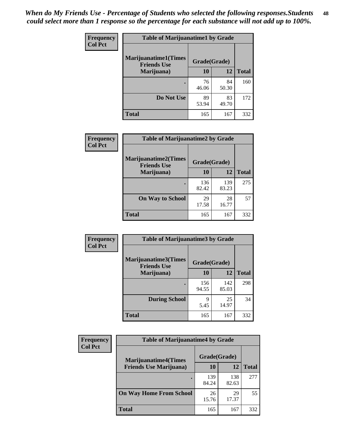| Frequency<br><b>Col Pct</b> | <b>Table of Marijuanatime1 by Grade</b>           |              |             |              |  |
|-----------------------------|---------------------------------------------------|--------------|-------------|--------------|--|
|                             | <b>Marijuanatime1(Times</b><br><b>Friends Use</b> | Grade(Grade) |             |              |  |
|                             | Marijuana)                                        | 10           | 12          | <b>Total</b> |  |
|                             |                                                   | 76<br>46.06  | 84<br>50.30 | 160          |  |
|                             | Do Not Use                                        | 89<br>53.94  | 83<br>49.70 | 172          |  |
|                             | <b>Total</b>                                      | 165          | 167         | 332          |  |

| Frequency      | <b>Table of Marijuanatime2 by Grade</b>           |              |              |              |
|----------------|---------------------------------------------------|--------------|--------------|--------------|
| <b>Col Pct</b> | <b>Marijuanatime2(Times</b><br><b>Friends Use</b> | Grade(Grade) |              |              |
|                | Marijuana)                                        | 10           | 12           | <b>Total</b> |
|                |                                                   | 136<br>82.42 | 139<br>83.23 | 275          |
|                | <b>On Way to School</b>                           | 29<br>17.58  | 28<br>16.77  | 57           |
|                | <b>Total</b>                                      | 165          | 167          | 332          |

| Frequency      | <b>Table of Marijuanatime3 by Grade</b>    |              |              |              |
|----------------|--------------------------------------------|--------------|--------------|--------------|
| <b>Col Pct</b> | Marijuanatime3(Times<br><b>Friends Use</b> | Grade(Grade) |              |              |
|                | Marijuana)                                 | 10           | 12           | <b>Total</b> |
|                |                                            | 156<br>94.55 | 142<br>85.03 | 298          |
|                | <b>During School</b>                       | 9<br>5.45    | 25<br>14.97  | 34           |
|                | <b>Total</b>                               | 165          | 167          | 332          |

| <b>Frequency</b> | <b>Table of Marijuanatime4 by Grade</b> |              |              |              |
|------------------|-----------------------------------------|--------------|--------------|--------------|
| <b>Col Pct</b>   | <b>Marijuanatime4(Times</b>             | Grade(Grade) |              |              |
|                  | <b>Friends Use Marijuana</b> )          | 10           | 12           | <b>Total</b> |
|                  |                                         | 139<br>84.24 | 138<br>82.63 | 277          |
|                  | <b>On Way Home From School</b>          | 26<br>15.76  | 29<br>17.37  | 55           |
|                  | <b>Total</b>                            | 165          | 167          | 332          |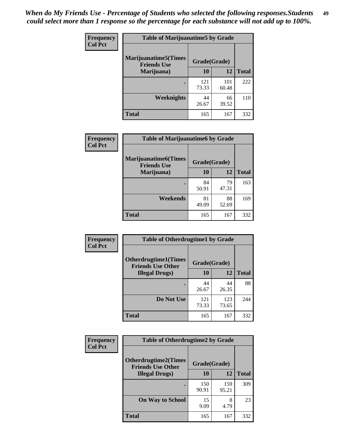| Frequency      | <b>Table of Marijuanatime5 by Grade</b>            |              |              |              |  |
|----------------|----------------------------------------------------|--------------|--------------|--------------|--|
| <b>Col Pct</b> | <b>Marijuanatime5</b> (Times<br><b>Friends Use</b> | Grade(Grade) |              |              |  |
|                | Marijuana)                                         | 10           | 12           | <b>Total</b> |  |
|                |                                                    | 121<br>73.33 | 101<br>60.48 | 222          |  |
|                | Weeknights                                         | 44<br>26.67  | 66<br>39.52  | 110          |  |
|                | <b>Total</b>                                       | 165          | 167          | 332          |  |

| Frequency      | <b>Table of Marijuanatime6 by Grade</b>            |              |             |              |
|----------------|----------------------------------------------------|--------------|-------------|--------------|
| <b>Col Pct</b> | <b>Marijuanatime6</b> (Times<br><b>Friends Use</b> | Grade(Grade) |             |              |
|                | Marijuana)                                         | 10           | 12          | <b>Total</b> |
|                |                                                    | 84<br>50.91  | 79<br>47.31 | 163          |
|                | Weekends                                           | 81<br>49.09  | 88<br>52.69 | 169          |
|                | <b>Total</b>                                       | 165          | 167         | 332          |

| <b>Frequency</b> | <b>Table of Otherdrugtime1 by Grade</b>                  |              |              |              |  |
|------------------|----------------------------------------------------------|--------------|--------------|--------------|--|
| <b>Col Pct</b>   | <b>Otherdrugtime1</b> (Times<br><b>Friends Use Other</b> | Grade(Grade) |              |              |  |
|                  | <b>Illegal Drugs</b> )                                   | 10           | 12           | <b>Total</b> |  |
|                  |                                                          | 44<br>26.67  | 44<br>26.35  | 88           |  |
|                  | Do Not Use                                               | 121<br>73.33 | 123<br>73.65 | 244          |  |
|                  | <b>Total</b>                                             | 165          | 167          | 332          |  |

| Frequency      | <b>Table of Otherdrugtime2 by Grade</b>                 |              |              |              |  |  |
|----------------|---------------------------------------------------------|--------------|--------------|--------------|--|--|
| <b>Col Pct</b> | <b>Otherdrugtime2(Times</b><br><b>Friends Use Other</b> | Grade(Grade) |              |              |  |  |
|                | <b>Illegal Drugs</b> )                                  | 10           | 12           | <b>Total</b> |  |  |
|                |                                                         | 150<br>90.91 | 159<br>95.21 | 309          |  |  |
|                | <b>On Way to School</b>                                 | 15<br>9.09   | 8<br>4.79    | 23           |  |  |
|                | Total                                                   | 165          | 167          | 332          |  |  |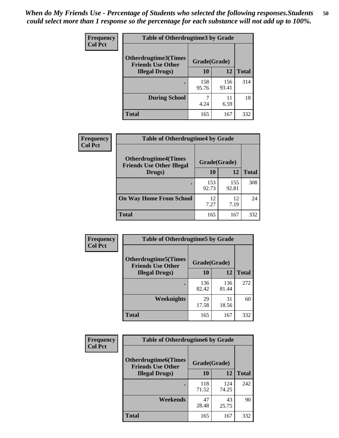| <b>Frequency</b> | <b>Table of Otherdrugtime3 by Grade</b>                 |              |              |              |  |  |
|------------------|---------------------------------------------------------|--------------|--------------|--------------|--|--|
| <b>Col Pct</b>   | <b>Otherdrugtime3(Times</b><br><b>Friends Use Other</b> | Grade(Grade) |              |              |  |  |
|                  | <b>Illegal Drugs</b> )                                  | 10           | 12           | <b>Total</b> |  |  |
|                  |                                                         | 158<br>95.76 | 156<br>93.41 | 314          |  |  |
|                  | <b>During School</b>                                    | 4.24         | 11<br>6.59   | 18           |  |  |
|                  | <b>Total</b>                                            | 165          | 167          | 332          |  |  |

| <b>Frequency</b> | <b>Table of Otherdrugtime4 by Grade</b>                         |              |              |              |  |  |
|------------------|-----------------------------------------------------------------|--------------|--------------|--------------|--|--|
| <b>Col Pct</b>   | <b>Otherdrugtime4(Times</b><br><b>Friends Use Other Illegal</b> | Grade(Grade) |              |              |  |  |
|                  | Drugs)                                                          | 10           | 12           | <b>Total</b> |  |  |
|                  |                                                                 | 153<br>92.73 | 155<br>92.81 | 308          |  |  |
|                  | <b>On Way Home From School</b>                                  | 12<br>7.27   | 12<br>7.19   | 24           |  |  |
|                  | <b>Total</b>                                                    | 165          | 167          | 332          |  |  |

| <b>Frequency</b> | <b>Table of Otherdrugtime5 by Grade</b>                                  |              |              |              |  |  |  |
|------------------|--------------------------------------------------------------------------|--------------|--------------|--------------|--|--|--|
| <b>Col Pct</b>   | <b>Otherdrugtime5</b> (Times<br>Grade(Grade)<br><b>Friends Use Other</b> |              |              |              |  |  |  |
|                  | <b>Illegal Drugs</b> )                                                   | 10           | 12           | <b>Total</b> |  |  |  |
|                  |                                                                          | 136<br>82.42 | 136<br>81.44 | 272          |  |  |  |
|                  | Weeknights                                                               | 29<br>17.58  | 31<br>18.56  | 60           |  |  |  |
|                  | Total                                                                    | 165          | 167          | 332          |  |  |  |

| <b>Frequency</b> | <b>Table of Otherdrugtime6 by Grade</b>                  |              |              |              |  |  |
|------------------|----------------------------------------------------------|--------------|--------------|--------------|--|--|
| <b>Col Pct</b>   | <b>Otherdrugtime6</b> (Times<br><b>Friends Use Other</b> | Grade(Grade) |              |              |  |  |
|                  | <b>Illegal Drugs</b> )                                   | 10           | 12           | <b>Total</b> |  |  |
|                  | ٠                                                        | 118<br>71.52 | 124<br>74.25 | 242          |  |  |
|                  | Weekends                                                 | 47<br>28.48  | 43<br>25.75  | 90           |  |  |
|                  | <b>Total</b>                                             | 165          | 167          | 332          |  |  |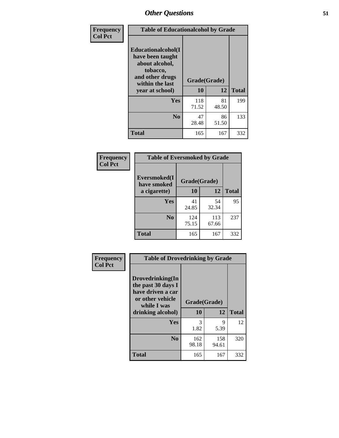| Frequency      | <b>Table of Educationalcohol by Grade</b>                                                                  |              |             |              |  |  |
|----------------|------------------------------------------------------------------------------------------------------------|--------------|-------------|--------------|--|--|
| <b>Col Pct</b> | Educationalcohol(I<br>have been taught<br>about alcohol,<br>tobacco,<br>and other drugs<br>within the last | Grade(Grade) |             |              |  |  |
|                | year at school)                                                                                            | 10           | 12          | <b>Total</b> |  |  |
|                | <b>Yes</b>                                                                                                 | 118<br>71.52 | 81<br>48.50 | 199          |  |  |
|                | N <sub>0</sub>                                                                                             | 47<br>28.48  | 86<br>51.50 | 133          |  |  |
|                | <b>Total</b>                                                                                               | 165          | 167         | 332          |  |  |

| Frequency      | <b>Table of Eversmoked by Grade</b> |              |              |              |  |  |  |
|----------------|-------------------------------------|--------------|--------------|--------------|--|--|--|
| <b>Col Pct</b> | Eversmoked(I<br>have smoked         | Grade(Grade) |              |              |  |  |  |
|                | a cigarette)                        | 10           | 12           | <b>Total</b> |  |  |  |
|                | Yes                                 | 41<br>24.85  | 54<br>32.34  | 95           |  |  |  |
|                | N <sub>0</sub>                      | 124<br>75.15 | 113<br>67.66 | 237          |  |  |  |
|                | <b>Total</b>                        | 165          | 167          | 332          |  |  |  |

| Frequency      | <b>Table of Drovedrinking by Grade</b>                                                                              |                    |              |              |  |  |
|----------------|---------------------------------------------------------------------------------------------------------------------|--------------------|--------------|--------------|--|--|
| <b>Col Pct</b> | Drovedrinking(In<br>the past 30 days I<br>have driven a car<br>or other vehicle<br>while I was<br>drinking alcohol) | Grade(Grade)<br>10 | 12           | <b>Total</b> |  |  |
|                | <b>Yes</b>                                                                                                          | 3<br>1.82          | 9<br>5.39    | 12           |  |  |
|                | N <sub>0</sub>                                                                                                      | 162<br>98.18       | 158<br>94.61 | 320          |  |  |
|                | <b>Total</b>                                                                                                        | 165                | 167          | 332          |  |  |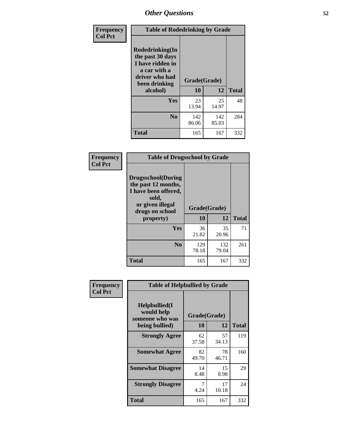| Frequency<br><b>Col Pct</b> | <b>Table of Rodedrinking by Grade</b>                                                                      |              |              |              |  |  |
|-----------------------------|------------------------------------------------------------------------------------------------------------|--------------|--------------|--------------|--|--|
|                             | Rodedrinking(In<br>the past 30 days<br>I have ridden in<br>a car with a<br>driver who had<br>been drinking | Grade(Grade) |              |              |  |  |
|                             | alcohol)                                                                                                   | 10           | 12           | <b>Total</b> |  |  |
|                             | Yes                                                                                                        | 23<br>13.94  | 25<br>14.97  | 48           |  |  |
|                             | N <sub>0</sub>                                                                                             | 142<br>86.06 | 142<br>85.03 | 284          |  |  |
|                             | <b>Total</b>                                                                                               | 165          | 167          | 332          |  |  |

#### **Frequency Col Pct**

| <b>Table of Drugsschool by Grade</b>                                                                                      |              |              |              |  |  |  |
|---------------------------------------------------------------------------------------------------------------------------|--------------|--------------|--------------|--|--|--|
| <b>Drugsschool</b> (During<br>the past 12 months,<br>I have been offered,<br>sold,<br>or given illegal<br>drugs on school | Grade(Grade) |              |              |  |  |  |
| property)                                                                                                                 | 10           | 12           | <b>Total</b> |  |  |  |
| Yes                                                                                                                       | 36<br>21.82  | 35<br>20.96  | 71           |  |  |  |
| N <sub>0</sub>                                                                                                            | 129<br>78.18 | 132<br>79.04 | 261          |  |  |  |
| <b>Total</b>                                                                                                              | 165          | 167          | 332          |  |  |  |

| Frequency      | <b>Table of Helpbullied by Grade</b>           |              |              |     |  |  |  |
|----------------|------------------------------------------------|--------------|--------------|-----|--|--|--|
| <b>Col Pct</b> | Helpbullied(I<br>would help<br>someone who was | Grade(Grade) | <b>Total</b> |     |  |  |  |
|                | being bullied)                                 | <b>10</b>    | 12           |     |  |  |  |
|                | <b>Strongly Agree</b>                          | 62<br>37.58  | 57<br>34.13  | 119 |  |  |  |
|                | <b>Somewhat Agree</b>                          | 82<br>49.70  | 78<br>46.71  | 160 |  |  |  |
|                | <b>Somewhat Disagree</b>                       | 14<br>8.48   | 15<br>8.98   | 29  |  |  |  |
|                | <b>Strongly Disagree</b>                       | 7<br>4.24    | 17<br>10.18  | 24  |  |  |  |
|                | <b>Total</b>                                   | 165          | 167          | 332 |  |  |  |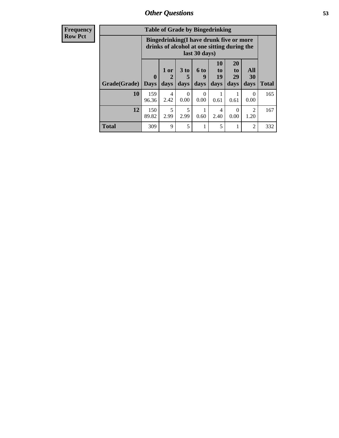| Frequency      | <b>Table of Grade by Bingedrinking</b> |                             |              |                  |                     |                                                                                                         |                               |                        |              |
|----------------|----------------------------------------|-----------------------------|--------------|------------------|---------------------|---------------------------------------------------------------------------------------------------------|-------------------------------|------------------------|--------------|
| <b>Row Pct</b> |                                        |                             |              |                  |                     | Bingedrinking(I have drunk five or more<br>drinks of alcohol at one sitting during the<br>last 30 days) |                               |                        |              |
|                | Grade(Grade)                           | $\mathbf{0}$<br><b>Days</b> | 1 or<br>days | 3 to<br>days     | $6$ to<br>9<br>days | 10<br>to<br>19<br>days                                                                                  | <b>20</b><br>to<br>29<br>days | All<br>30<br>days      | <b>Total</b> |
|                | 10                                     | 159<br>96.36                | 4<br>2.42    | $\Omega$<br>0.00 | $\Omega$<br>0.00    | 0.61                                                                                                    | 0.61                          | $\Omega$<br>0.00       | 165          |
|                | 12                                     | 150<br>89.82                | 5<br>2.99    | 5<br>2.99        | 0.60                | 4<br>2.40                                                                                               | 0<br>0.00                     | $\overline{2}$<br>1.20 | 167          |
|                | <b>Total</b>                           | 309                         | 9            | 5                | 1                   | 5                                                                                                       |                               | $\overline{2}$         | 332          |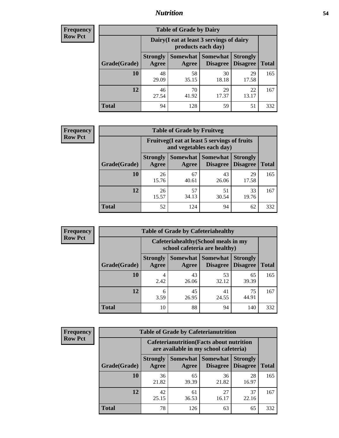### *Nutrition* **54**

| Frequency      |
|----------------|
| <b>Row Pct</b> |

| <b>Table of Grade by Dairy</b> |                          |                                                                                        |             |             |     |  |  |  |
|--------------------------------|--------------------------|----------------------------------------------------------------------------------------|-------------|-------------|-----|--|--|--|
|                                |                          | Dairy (I eat at least 3 servings of dairy<br>products each day)                        |             |             |     |  |  |  |
| Grade(Grade)                   | <b>Strongly</b><br>Agree | Somewhat<br><b>Somewhat</b><br><b>Strongly</b><br><b>Disagree</b><br>Disagree<br>Agree |             |             |     |  |  |  |
| 10                             | 48<br>29.09              | 58<br>35.15                                                                            | 30<br>18.18 | 29<br>17.58 | 165 |  |  |  |
| 12                             | 46<br>27.54              | 70<br>41.92                                                                            | 29<br>17.37 | 22<br>13.17 | 167 |  |  |  |
| <b>Total</b>                   | 94                       | 128                                                                                    | 59          | 51          | 332 |  |  |  |

| <b>Frequency</b> |  |
|------------------|--|
| <b>Row Pct</b>   |  |

| <b>Table of Grade by Fruitveg</b> |                          |                                                                          |                                               |                                    |              |  |  |
|-----------------------------------|--------------------------|--------------------------------------------------------------------------|-----------------------------------------------|------------------------------------|--------------|--|--|
|                                   |                          | Fruitveg(I eat at least 5 servings of fruits<br>and vegetables each day) |                                               |                                    |              |  |  |
| Grade(Grade)                      | <b>Strongly</b><br>Agree | Agree                                                                    | <b>Somewhat   Somewhat</b><br><b>Disagree</b> | <b>Strongly</b><br><b>Disagree</b> | <b>Total</b> |  |  |
| 10                                | 26<br>15.76              | 67<br>40.61                                                              | 43<br>26.06                                   | 29<br>17.58                        | 165          |  |  |
| 12                                | 26<br>15.57              | 57<br>34.13                                                              | 51<br>30.54                                   | 33<br>19.76                        | 167          |  |  |
| <b>Total</b>                      | 52                       | 124                                                                      | 94                                            | 62                                 | 332          |  |  |

| <b>Frequency</b> | <b>Table of Grade by Cafeteriahealthy</b> |                                                                       |                            |                 |                                    |              |  |
|------------------|-------------------------------------------|-----------------------------------------------------------------------|----------------------------|-----------------|------------------------------------|--------------|--|
| <b>Row Pct</b>   |                                           | Cafeteriahealthy (School meals in my<br>school cafeteria are healthy) |                            |                 |                                    |              |  |
|                  | Grade(Grade)                              | <b>Strongly</b><br>Agree                                              | Somewhat Somewhat<br>Agree | <b>Disagree</b> | <b>Strongly</b><br><b>Disagree</b> | <b>Total</b> |  |
|                  | 10                                        | 4<br>2.42                                                             | 43<br>26.06                | 53<br>32.12     | 65<br>39.39                        | 165          |  |
|                  | 12                                        | 6<br>3.59                                                             | 45<br>26.95                | 41<br>24.55     | 75<br>44.91                        | 167          |  |
|                  | Total                                     | 10                                                                    | 88                         | 94              | 140                                | 332          |  |

| <b>Frequency</b> |
|------------------|
| <b>Row Pct</b>   |

| <b>Table of Grade by Cafeterianutrition</b> |                                                                                           |             |                                        |                                    |              |  |  |
|---------------------------------------------|-------------------------------------------------------------------------------------------|-------------|----------------------------------------|------------------------------------|--------------|--|--|
|                                             | <b>Cafeterianutrition</b> (Facts about nutrition<br>are available in my school cafeteria) |             |                                        |                                    |              |  |  |
| Grade(Grade)                                | <b>Strongly</b><br>Agree                                                                  | Agree       | Somewhat   Somewhat<br><b>Disagree</b> | <b>Strongly</b><br><b>Disagree</b> | <b>Total</b> |  |  |
| 10                                          | 36<br>21.82                                                                               | 65<br>39.39 | 36<br>21.82                            | 28<br>16.97                        | 165          |  |  |
| 12                                          | 42<br>25.15                                                                               | 61<br>36.53 | 27<br>16.17                            | 37<br>22.16                        | 167          |  |  |
| <b>Total</b>                                | 78                                                                                        | 126         | 63                                     | 65                                 | 332          |  |  |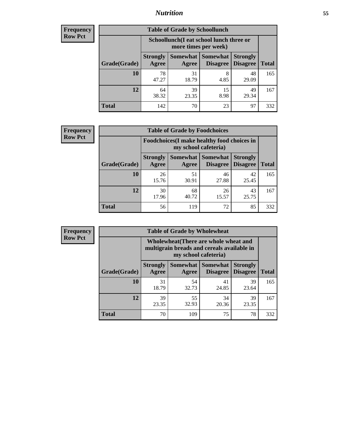### *Nutrition* **55**

| Frequency |
|-----------|
| Row Pct   |

| <b>Table of Grade by Schoollunch</b> |                                                                                                                     |                                                                 |            |             |     |  |  |  |
|--------------------------------------|---------------------------------------------------------------------------------------------------------------------|-----------------------------------------------------------------|------------|-------------|-----|--|--|--|
|                                      |                                                                                                                     | Schoollunch(I eat school lunch three or<br>more times per week) |            |             |     |  |  |  |
| Grade(Grade)                         | Somewhat   Somewhat<br><b>Strongly</b><br><b>Strongly</b><br><b>Disagree</b><br>Disagree<br>Total<br>Agree<br>Agree |                                                                 |            |             |     |  |  |  |
| 10                                   | 78<br>47.27                                                                                                         | 31<br>18.79                                                     | 8<br>4.85  | 48<br>29.09 | 165 |  |  |  |
| 12                                   | 64<br>38.32                                                                                                         | 39<br>23.35                                                     | 15<br>8.98 | 49<br>29.34 | 167 |  |  |  |
| <b>Total</b>                         | 142                                                                                                                 | 70                                                              | 23         | 97          | 332 |  |  |  |

| <b>Frequency</b> |  |
|------------------|--|
| <b>Row Pct</b>   |  |

| <b>Table of Grade by Foodchoices</b>                                |                          |             |                               |                                    |              |  |  |
|---------------------------------------------------------------------|--------------------------|-------------|-------------------------------|------------------------------------|--------------|--|--|
| Foodchoices (I make healthy food choices in<br>my school cafeteria) |                          |             |                               |                                    |              |  |  |
| Grade(Grade)                                                        | <b>Strongly</b><br>Agree | Agree       | Somewhat Somewhat<br>Disagree | <b>Strongly</b><br><b>Disagree</b> | <b>Total</b> |  |  |
| 10                                                                  | 26<br>15.76              | 51<br>30.91 | 46<br>27.88                   | 42<br>25.45                        | 165          |  |  |
| 12                                                                  | 30<br>17.96              | 68<br>40.72 | 26<br>15.57                   | 43<br>25.75                        | 167          |  |  |
| <b>Total</b>                                                        | 56                       | 119         | 72                            | 85                                 | 332          |  |  |

| <b>Frequency</b> | <b>Table of Grade by Wholewheat</b> |                                                                                                             |             |                                        |                                    |              |  |  |
|------------------|-------------------------------------|-------------------------------------------------------------------------------------------------------------|-------------|----------------------------------------|------------------------------------|--------------|--|--|
| <b>Row Pct</b>   |                                     | Wholewheat (There are whole wheat and<br>multigrain breads and cereals available in<br>my school cafeteria) |             |                                        |                                    |              |  |  |
|                  | Grade(Grade)                        | <b>Strongly</b><br>Agree                                                                                    | Agree       | Somewhat   Somewhat<br><b>Disagree</b> | <b>Strongly</b><br><b>Disagree</b> | <b>Total</b> |  |  |
|                  | 10                                  | 31<br>18.79                                                                                                 | 54<br>32.73 | 41<br>24.85                            | 39<br>23.64                        | 165          |  |  |
|                  | 12                                  | 39<br>23.35                                                                                                 | 55<br>32.93 | 34<br>20.36                            | 39<br>23.35                        | 167          |  |  |
|                  | <b>Total</b>                        | 70                                                                                                          | 109         | 75                                     | 78                                 | 332          |  |  |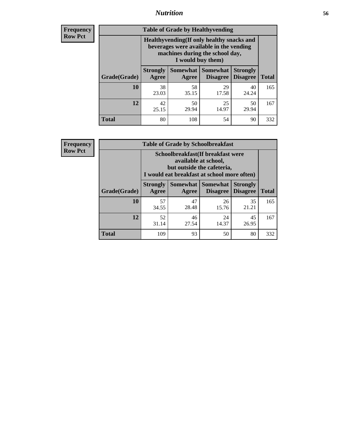### *Nutrition* **56**

**Frequency Row Pct**

| <b>Table of Grade by Healthyvending</b> |                                                                                                                                               |                          |                                    |                                    |              |
|-----------------------------------------|-----------------------------------------------------------------------------------------------------------------------------------------------|--------------------------|------------------------------------|------------------------------------|--------------|
|                                         | Healthyvending (If only healthy snacks and<br>beverages were available in the vending<br>machines during the school day,<br>I would buy them) |                          |                                    |                                    |              |
| Grade(Grade)                            | <b>Strongly</b><br>Agree                                                                                                                      | <b>Somewhat</b><br>Agree | <b>Somewhat</b><br><b>Disagree</b> | <b>Strongly</b><br><b>Disagree</b> | <b>Total</b> |
| 10                                      | 38<br>23.03                                                                                                                                   | 58<br>35.15              | 29<br>17.58                        | 40<br>24.24                        | 165          |
| 12                                      | 42<br>25.15                                                                                                                                   | 50<br>29.94              | 25<br>14.97                        | 50<br>29.94                        | 167          |
| <b>Total</b>                            | 80                                                                                                                                            | 108                      | 54                                 | 90                                 | 332          |

**Frequency Row Pct**

| <b>Table of Grade by Schoolbreakfast</b> |                                                                                                                                         |             |                     |                                        |              |  |
|------------------------------------------|-----------------------------------------------------------------------------------------------------------------------------------------|-------------|---------------------|----------------------------------------|--------------|--|
|                                          | Schoolbreakfast (If breakfast were<br>available at school,<br>but outside the cafeteria,<br>I would eat breakfast at school more often) |             |                     |                                        |              |  |
| Grade(Grade)                             | <b>Strongly</b><br>Agree                                                                                                                | Agree       | Somewhat   Somewhat | <b>Strongly</b><br>Disagree   Disagree | <b>Total</b> |  |
| 10                                       | 57<br>34.55                                                                                                                             | 47<br>28.48 | 26<br>15.76         | 35<br>21.21                            | 165          |  |
| 12                                       | 52<br>46<br>45<br>24<br>31.14<br>14.37<br>26.95<br>27.54                                                                                |             |                     |                                        |              |  |
| <b>Total</b>                             | 109                                                                                                                                     | 93          | 50                  | 80                                     | 332          |  |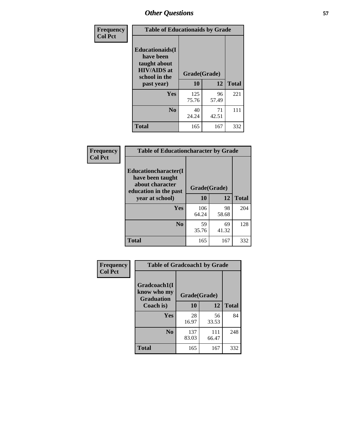| Frequency<br><b>Col Pct</b> | <b>Table of Educationaids by Grade</b>                                                                    |                    |             |              |
|-----------------------------|-----------------------------------------------------------------------------------------------------------|--------------------|-------------|--------------|
|                             | <b>Educationaids</b> (I<br>have been<br>taught about<br><b>HIV/AIDS</b> at<br>school in the<br>past year) | Grade(Grade)<br>10 | 12          | <b>Total</b> |
|                             | Yes                                                                                                       | 125<br>75.76       | 96<br>57.49 | 221          |
|                             | N <sub>0</sub>                                                                                            | 40<br>24.24        | 71<br>42.51 | 111          |
|                             | <b>Total</b>                                                                                              | 165                | 167         | 332          |

| <b>Frequency</b> | <b>Table of Educationcharacter by Grade</b>                                          |              |             |              |
|------------------|--------------------------------------------------------------------------------------|--------------|-------------|--------------|
| <b>Col Pct</b>   | Educationcharacter(I<br>have been taught<br>about character<br>education in the past | Grade(Grade) |             |              |
|                  | year at school)                                                                      | 10           | 12          | <b>Total</b> |
|                  | Yes                                                                                  | 106<br>64.24 | 98<br>58.68 | 204          |
|                  | N <sub>0</sub>                                                                       | 59<br>35.76  | 69<br>41.32 | 128          |
|                  | <b>Total</b>                                                                         | 165          | 167         | 332          |

| Frequency      | <b>Table of Gradcoach1 by Grade</b>              |              |              |              |
|----------------|--------------------------------------------------|--------------|--------------|--------------|
| <b>Col Pct</b> | Gradcoach1(I<br>know who my<br><b>Graduation</b> | Grade(Grade) |              |              |
|                | Coach is)                                        | 10           | 12           | <b>Total</b> |
|                | Yes                                              | 28<br>16.97  | 56<br>33.53  | 84           |
|                | N <sub>0</sub>                                   | 137<br>83.03 | 111<br>66.47 | 248          |
|                | <b>Total</b>                                     | 165          | 167          | 332          |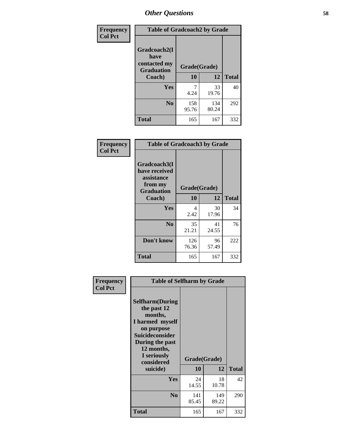| Frequency      | <b>Table of Gradcoach2 by Grade</b> |              |              |              |
|----------------|-------------------------------------|--------------|--------------|--------------|
| <b>Col Pct</b> |                                     |              |              |              |
|                | Gradcoach2(I<br>have                |              |              |              |
|                | contacted my<br><b>Graduation</b>   | Grade(Grade) |              |              |
|                | Coach)                              | 10           | 12           | <b>Total</b> |
|                | Yes                                 | 7<br>4.24    | 33<br>19.76  | 40           |
|                | N <sub>0</sub>                      | 158<br>95.76 | 134<br>80.24 | 292          |
|                | <b>Total</b>                        | 165          | 167          | 332          |

| Frequency<br><b>Col Pct</b> | <b>Table of Gradcoach3 by Grade</b>                                         |              |             |              |
|-----------------------------|-----------------------------------------------------------------------------|--------------|-------------|--------------|
|                             | Gradcoach3(I<br>have received<br>assistance<br>from my<br><b>Graduation</b> | Grade(Grade) |             |              |
|                             | Coach)                                                                      | 10           | 12          | <b>Total</b> |
|                             | Yes                                                                         | 4<br>2.42    | 30<br>17.96 | 34           |
|                             | N <sub>0</sub>                                                              | 35<br>21.21  | 41<br>24.55 | 76           |
|                             | Don't know                                                                  | 126<br>76.36 | 96<br>57.49 | 222          |
|                             | <b>Total</b>                                                                | 165          | 167         | 332          |

| Frequency<br><b>Col Pct</b> | <b>Table of Selfharm by Grade</b>                                                                                                                                                      |                    |              |              |
|-----------------------------|----------------------------------------------------------------------------------------------------------------------------------------------------------------------------------------|--------------------|--------------|--------------|
|                             | <b>Selfharm</b> (During<br>the past 12<br>months,<br>I harmed myself<br>on purpose<br><b>Suicideconsider</b><br>During the past<br>12 months,<br>I seriously<br>considered<br>suicide) | Grade(Grade)<br>10 | 12           | <b>Total</b> |
|                             | Yes                                                                                                                                                                                    | 24<br>14.55        | 18<br>10.78  | 42           |
|                             | N <sub>0</sub>                                                                                                                                                                         | 141<br>85.45       | 149<br>89.22 | 290          |
|                             | <b>Total</b>                                                                                                                                                                           | 165                | 167          | 332          |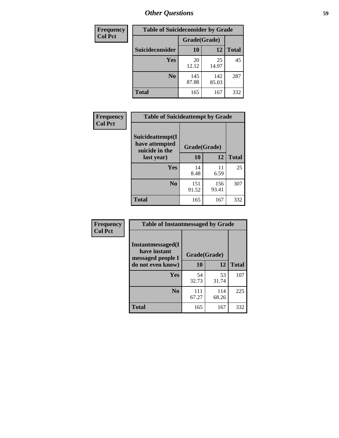| <b>Frequency</b> | <b>Table of Suicideconsider by Grade</b> |              |              |              |
|------------------|------------------------------------------|--------------|--------------|--------------|
| <b>Col Pct</b>   |                                          | Grade(Grade) |              |              |
|                  | Suicideconsider                          | <b>10</b>    | 12           | <b>Total</b> |
|                  | Yes                                      | 20<br>12.12  | 25<br>14.97  | 45           |
|                  | N <sub>0</sub>                           | 145<br>87.88 | 142<br>85.03 | 287          |
|                  | <b>Total</b>                             | 165          | 167          | 332          |

| Frequency      | <b>Table of Suicideattempt by Grade</b>              |              |              |              |
|----------------|------------------------------------------------------|--------------|--------------|--------------|
| <b>Col Pct</b> | Suicideattempt(I<br>have attempted<br>suicide in the | Grade(Grade) |              |              |
|                | last year)                                           | 10           | 12           | <b>Total</b> |
|                | Yes                                                  | 14<br>8.48   | 11<br>6.59   | 25           |
|                | N <sub>0</sub>                                       | 151<br>91.52 | 156<br>93.41 | 307          |
|                | <b>Total</b>                                         | 165          | 167          | 332          |

| Frequency      | <b>Table of Instantmessaged by Grade</b>               |              |              |              |
|----------------|--------------------------------------------------------|--------------|--------------|--------------|
| <b>Col Pct</b> | Instantmessaged(I<br>have instant<br>messaged people I | Grade(Grade) |              |              |
|                | do not even know)                                      | 10           | 12           | <b>Total</b> |
|                | Yes                                                    | 54<br>32.73  | 53<br>31.74  | 107          |
|                | N <sub>0</sub>                                         | 111<br>67.27 | 114<br>68.26 | 225          |
|                | <b>Total</b>                                           | 165          | 167          | 332          |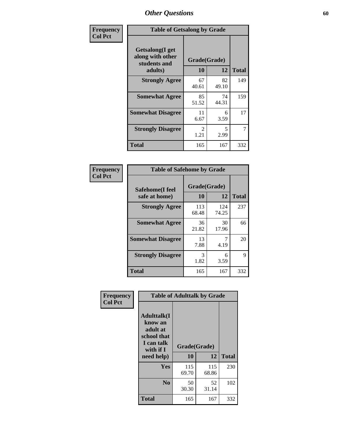| Frequency      | <b>Table of Getsalong by Grade</b>                          |                       |             |              |
|----------------|-------------------------------------------------------------|-----------------------|-------------|--------------|
| <b>Col Pct</b> | <b>Getsalong</b> (I get<br>along with other<br>students and | Grade(Grade)          |             |              |
|                | adults)                                                     | 10                    | 12          | <b>Total</b> |
|                | <b>Strongly Agree</b>                                       | 67<br>40.61           | 82<br>49.10 | 149          |
|                | <b>Somewhat Agree</b>                                       | 85<br>51.52           | 74<br>44.31 | 159          |
|                | <b>Somewhat Disagree</b>                                    | 11<br>6.67            | 6<br>3.59   | 17           |
|                | <b>Strongly Disagree</b>                                    | $\mathcal{L}$<br>1.21 | 5<br>2.99   | 7            |
|                | Total                                                       | 165                   | 167         | 332          |

| Frequency      | <b>Table of Safehome by Grade</b> |              |              |              |  |  |
|----------------|-----------------------------------|--------------|--------------|--------------|--|--|
| <b>Col Pct</b> | Safehome(I feel                   | Grade(Grade) |              |              |  |  |
|                | safe at home)                     | 10           | 12           | <b>Total</b> |  |  |
|                | <b>Strongly Agree</b>             | 113<br>68.48 | 124<br>74.25 | 237          |  |  |
|                | <b>Somewhat Agree</b>             | 36<br>21.82  | 30<br>17.96  | 66           |  |  |
|                | <b>Somewhat Disagree</b>          | 13<br>7.88   | 7<br>4.19    | 20           |  |  |
|                | <b>Strongly Disagree</b>          | 3<br>1.82    | 6<br>3.59    | 9            |  |  |
|                | <b>Total</b>                      | 165          | 167          | 332          |  |  |

| Frequency      |                                                                                      |              | <b>Table of Adulttalk by Grade</b> |              |  |  |  |  |
|----------------|--------------------------------------------------------------------------------------|--------------|------------------------------------|--------------|--|--|--|--|
| <b>Col Pct</b> | <b>Adulttalk</b> (I<br>know an<br>adult at<br>school that<br>I can talk<br>with if I | Grade(Grade) |                                    |              |  |  |  |  |
|                | need help)                                                                           | 10           | 12                                 | <b>Total</b> |  |  |  |  |
|                | <b>Yes</b>                                                                           | 115<br>69.70 | 115<br>68.86                       | 230          |  |  |  |  |
|                | N <sub>0</sub>                                                                       | 50<br>30.30  | 52<br>31.14                        | 102          |  |  |  |  |
|                | <b>Total</b>                                                                         | 165          | 167                                | 332          |  |  |  |  |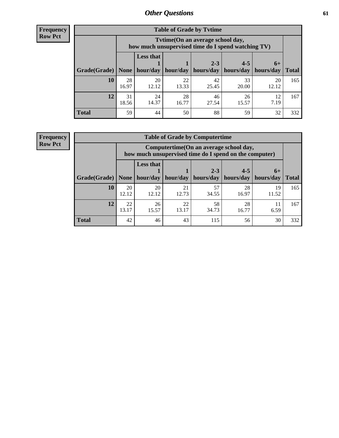**Frequency Row Pct**

r

| <b>Table of Grade by Tytime</b> |             |                                                                                         |             |             |             |             |              |  |  |
|---------------------------------|-------------|-----------------------------------------------------------------------------------------|-------------|-------------|-------------|-------------|--------------|--|--|
|                                 |             | Tytime (On an average school day,<br>how much unsupervised time do I spend watching TV) |             |             |             |             |              |  |  |
|                                 |             | <b>Less that</b>                                                                        |             | $2 - 3$     | $4 - 5$     | $6+$        |              |  |  |
| Grade(Grade)                    | None        | hour/day                                                                                | hour/day    | hours/day   | hours/day   | hours/day   | <b>Total</b> |  |  |
| 10                              | 28<br>16.97 | 20<br>12.12                                                                             | 22<br>13.33 | 42<br>25.45 | 33<br>20.00 | 20<br>12.12 | 165          |  |  |
| 12                              | 31<br>18.56 | 24<br>14.37                                                                             | 28<br>16.77 | 46<br>27.54 | 26<br>15.57 | 12<br>7.19  | 167          |  |  |
| <b>Total</b>                    | 59          | 44                                                                                      | 50          | 88          | 59          | 32          | 332          |  |  |

**Frequency Row Pct**

| <b>Table of Grade by Computertime</b> |             |                                                                                                                               |             |             |             |             |     |  |  |
|---------------------------------------|-------------|-------------------------------------------------------------------------------------------------------------------------------|-------------|-------------|-------------|-------------|-----|--|--|
|                                       |             | Computertime(On an average school day,<br>how much unsupervised time do I spend on the computer)                              |             |             |             |             |     |  |  |
| Grade(Grade)                          | None        | <b>Less that</b><br>$4 - 5$<br>$2 - 3$<br>$6+$<br>hour/day<br>hours/day<br>hour/day<br>hours/day<br>hours/day<br><b>Total</b> |             |             |             |             |     |  |  |
| 10                                    | 20<br>12.12 | 20<br>12.12                                                                                                                   | 21<br>12.73 | 57<br>34.55 | 28<br>16.97 | 19<br>11.52 | 165 |  |  |
| 12                                    | 22<br>13.17 | 58<br>26<br>22<br>28<br>11<br>13.17<br>34.73<br>15.57<br>16.77<br>6.59                                                        |             |             |             |             |     |  |  |
| <b>Total</b>                          | 42          | 46                                                                                                                            | 43          | 115         | 56          | 30          | 332 |  |  |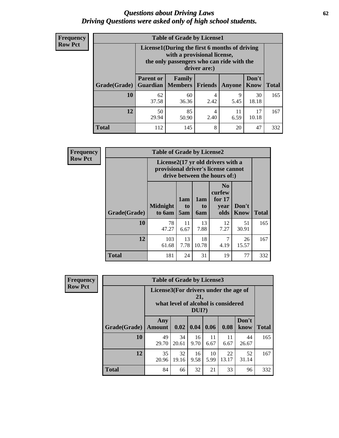#### *Questions about Driving Laws* **62** *Driving Questions were asked only of high school students.*

| <b>Frequency</b> |
|------------------|
| <b>Row Pct</b>   |

| <b>Table of Grade by License1</b> |                                                                      |                                                                                                                                           |                |           |               |              |  |  |  |
|-----------------------------------|----------------------------------------------------------------------|-------------------------------------------------------------------------------------------------------------------------------------------|----------------|-----------|---------------|--------------|--|--|--|
|                                   |                                                                      | License1(During the first 6 months of driving<br>with a provisional license,<br>the only passengers who can ride with the<br>driver are:) |                |           |               |              |  |  |  |
| Grade(Grade)                      | <b>Parent or</b><br><b>Guardian</b>                                  | Family<br><b>Members</b>                                                                                                                  | <b>Friends</b> | Anyone    | Don't<br>Know | <b>Total</b> |  |  |  |
| 10                                | 62<br>37.58                                                          | 60<br>36.36                                                                                                                               | 4<br>2.42      | 9<br>5.45 | 30<br>18.18   | 165          |  |  |  |
| 12                                | 85<br>17<br>50<br>11<br>4<br>6.59<br>10.18<br>29.94<br>2.40<br>50.90 |                                                                                                                                           |                |           |               |              |  |  |  |
| Total                             | 112                                                                  | 145                                                                                                                                       | 8              | 20        | 47            | 332          |  |  |  |

| Frequency      |              | <b>Table of Grade by License2</b>                                                                        |                              |                  |                                                      |                      |              |  |  |
|----------------|--------------|----------------------------------------------------------------------------------------------------------|------------------------------|------------------|------------------------------------------------------|----------------------|--------------|--|--|
| <b>Row Pct</b> |              | License2(17 yr old drivers with a<br>provisional driver's license cannot<br>drive between the hours of:) |                              |                  |                                                      |                      |              |  |  |
|                | Grade(Grade) | <b>Midnight</b><br>to 6am                                                                                | 1am<br>t <sub>0</sub><br>5am | 1am<br>to<br>6am | N <sub>0</sub><br>curfew<br>for $17$<br>year<br>olds | Don't<br><b>Know</b> | <b>Total</b> |  |  |
|                | 10           | 78<br>47.27                                                                                              | 11<br>6.67                   | 13<br>7.88       | 12<br>7.27                                           | 51<br>30.91          | 165          |  |  |
|                | 12           | 103<br>61.68                                                                                             | 13<br>7.78                   | 18<br>10.78      | 7<br>4.19                                            | 26<br>15.57          | 167          |  |  |
|                | <b>Total</b> | 181                                                                                                      | 24                           | 31               | 19                                                   | 77                   | 332          |  |  |

| Frequency      | <b>Table of Grade by License3</b> |                                       |             |                 |            |                                     |               |              |
|----------------|-----------------------------------|---------------------------------------|-------------|-----------------|------------|-------------------------------------|---------------|--------------|
| <b>Row Pct</b> |                                   | License3(For drivers under the age of |             | 21,<br>$DUI$ ?) |            | what level of alcohol is considered |               |              |
|                | Grade(Grade)                      | Any<br><b>Amount</b>                  | 0.02        | 0.04            | 0.06       | 0.08                                | Don't<br>know | <b>Total</b> |
|                | <b>10</b>                         | 49<br>29.70                           | 34<br>20.61 | 16<br>9.70      | 11<br>6.67 | 11<br>6.67                          | 44<br>26.67   | 165          |
|                | 12                                | 35<br>20.96                           | 32<br>19.16 | 16<br>9.58      | 10<br>5.99 | 22<br>13.17                         | 52<br>31.14   | 167          |
|                | <b>Total</b>                      | 84                                    | 66          | 32              | 21         | 33                                  | 96            | 332          |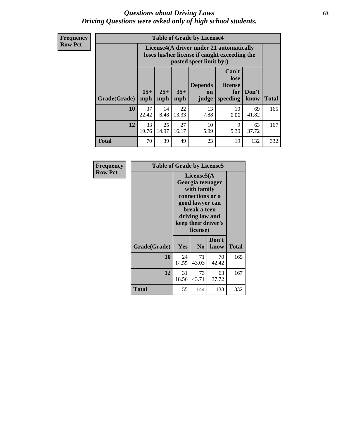#### *Questions about Driving Laws* **63** *Driving Questions were asked only of high school students.*

**Frequency Row Pct**

| <b>Table of Grade by License4</b> |             |                                                                                                                                                                                                                                                                                       |             |            |            |             |     |  |
|-----------------------------------|-------------|---------------------------------------------------------------------------------------------------------------------------------------------------------------------------------------------------------------------------------------------------------------------------------------|-------------|------------|------------|-------------|-----|--|
|                                   |             | License4(A driver under 21 automatically<br>loses his/her license if caught exceeding the<br>posted speet limit by:)<br>Can't<br>lose<br>license<br><b>Depends</b><br>$15+$<br>$25+$<br>$35+$<br>Don't<br>for<br><b>on</b><br>speeding<br><b>Total</b><br>mph<br>mph<br>know<br>judge |             |            |            |             |     |  |
| Grade(Grade)                      | mph         |                                                                                                                                                                                                                                                                                       |             |            |            |             |     |  |
| 10                                | 37<br>22.42 | 14<br>8.48                                                                                                                                                                                                                                                                            | 22<br>13.33 | 13<br>7.88 | 10<br>6.06 | 69<br>41.82 | 165 |  |
| 12                                | 33<br>19.76 | 25<br>14.97                                                                                                                                                                                                                                                                           | 27<br>16.17 | 10<br>5.99 | 9<br>5.39  | 63<br>37.72 | 167 |  |
| <b>Total</b>                      | 70          | 39                                                                                                                                                                                                                                                                                    | 49          | 23         | 19         | 132         | 332 |  |

| Frequency      |              | <b>Table of Grade by License5</b>                                                                                                                           |                |               |       |  |  |
|----------------|--------------|-------------------------------------------------------------------------------------------------------------------------------------------------------------|----------------|---------------|-------|--|--|
| <b>Row Pct</b> |              | License5(A)<br>Georgia teenager<br>with family<br>connections or a<br>good lawyer can<br>break a teen<br>driving law and<br>keep their driver's<br>license) |                |               |       |  |  |
|                | Grade(Grade) | Yes                                                                                                                                                         | N <sub>0</sub> | Don't<br>know | Total |  |  |
|                | 10           | 24<br>14.55                                                                                                                                                 | 71<br>43.03    | 70<br>42.42   | 165   |  |  |
|                | 12           | 31<br>18.56                                                                                                                                                 | 73<br>43.71    | 63<br>37.72   | 167   |  |  |
|                | <b>Total</b> | 55                                                                                                                                                          | 144            | 133           | 332   |  |  |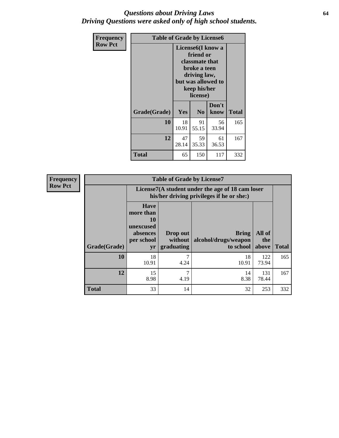#### *Questions about Driving Laws* **64** *Driving Questions were asked only of high school students.*

| <b>Frequency</b> | <b>Table of Grade by License6</b> |             |                                                                                                                                                 |               |       |  |
|------------------|-----------------------------------|-------------|-------------------------------------------------------------------------------------------------------------------------------------------------|---------------|-------|--|
| <b>Row Pct</b>   |                                   |             | License <sub>6</sub> (I know a<br>friend or<br>classmate that<br>broke a teen<br>driving law,<br>but was allowed to<br>keep his/her<br>license) |               |       |  |
|                  | Grade(Grade)                      | Yes         | N <sub>0</sub>                                                                                                                                  | Don't<br>know | Total |  |
|                  | 10                                | 18<br>10.91 | 91<br>55.15                                                                                                                                     | 56<br>33.94   | 165   |  |
|                  | 12                                | 47<br>28.14 | 59<br>35.33                                                                                                                                     | 61<br>36.53   | 167   |  |
|                  | <b>Total</b>                      | 65          | 150                                                                                                                                             | 117           | 332   |  |

| <b>Frequency</b> | <b>Table of Grade by License7</b> |                                                                             |                                   |                                                                                               |                        |              |  |
|------------------|-----------------------------------|-----------------------------------------------------------------------------|-----------------------------------|-----------------------------------------------------------------------------------------------|------------------------|--------------|--|
| <b>Row Pct</b>   |                                   |                                                                             |                                   | License7(A student under the age of 18 cam loser<br>his/her driving privileges if he or she:) |                        |              |  |
|                  | Grade(Grade)                      | <b>Have</b><br>more than<br>10<br>unexcused<br>absences<br>per school<br>yr | Drop out<br>without<br>graduating | Bring<br>alcohol/drugs/weapon<br>to school                                                    | All of<br>the<br>above | <b>Total</b> |  |
|                  | 10                                | 18<br>10.91                                                                 | 7<br>4.24                         | 18<br>10.91                                                                                   | 122<br>73.94           | 165          |  |
|                  | 12                                | 15<br>8.98                                                                  | $\mathcal{I}$<br>4.19             | 14<br>8.38                                                                                    | 131<br>78.44           | 167          |  |
|                  | <b>Total</b>                      | 33                                                                          | 14                                | 32                                                                                            | 253                    | 332          |  |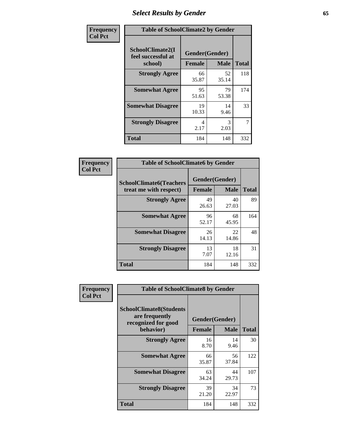# *Select Results by Gender* **65**

| Frequency      | <b>Table of SchoolClimate2 by Gender</b>          |                                 |                       |              |  |
|----------------|---------------------------------------------------|---------------------------------|-----------------------|--------------|--|
| <b>Col Pct</b> | SchoolClimate2(I<br>feel successful at<br>school) | Gender(Gender)<br><b>Female</b> | <b>Male</b>           | <b>Total</b> |  |
|                | <b>Strongly Agree</b>                             | 66<br>35.87                     | 52<br>35.14           | 118          |  |
|                | <b>Somewhat Agree</b>                             | 95<br>51.63                     | 79<br>53.38           | 174          |  |
|                | <b>Somewhat Disagree</b>                          | 19<br>10.33                     | 14<br>9.46            | 33           |  |
|                | <b>Strongly Disagree</b>                          | 4<br>2.17                       | $\mathcal{R}$<br>2.03 | 7            |  |
|                | <b>Total</b>                                      | 184                             | 148                   | 332          |  |

| Frequency      | <b>Table of SchoolClimate6 by Gender</b>                 |                                 |             |              |  |
|----------------|----------------------------------------------------------|---------------------------------|-------------|--------------|--|
| <b>Col Pct</b> | <b>SchoolClimate6(Teachers</b><br>treat me with respect) | Gender(Gender)<br><b>Female</b> | <b>Male</b> | <b>Total</b> |  |
|                | <b>Strongly Agree</b>                                    | 49<br>26.63                     | 40<br>27.03 | 89           |  |
|                | <b>Somewhat Agree</b>                                    | 96<br>52.17                     | 68<br>45.95 | 164          |  |
|                | <b>Somewhat Disagree</b>                                 | 26<br>14.13                     | 22<br>14.86 | 48           |  |
|                | <b>Strongly Disagree</b>                                 | 13<br>7.07                      | 18<br>12.16 | 31           |  |
|                | <b>Total</b>                                             | 184                             | 148         | 332          |  |

| Frequency      | <b>Table of SchoolClimate8 by Gender</b>                                             |                                 |             |              |  |
|----------------|--------------------------------------------------------------------------------------|---------------------------------|-------------|--------------|--|
| <b>Col Pct</b> | <b>SchoolClimate8(Students</b><br>are frequently<br>recognized for good<br>behavior) | Gender(Gender)<br><b>Female</b> | <b>Male</b> | <b>Total</b> |  |
|                | <b>Strongly Agree</b>                                                                | 16                              | 14          | 30           |  |
|                |                                                                                      | 8.70                            | 9.46        |              |  |
|                | <b>Somewhat Agree</b>                                                                | 66<br>35.87                     | 56<br>37.84 | 122          |  |
|                | <b>Somewhat Disagree</b>                                                             | 63<br>34.24                     | 44<br>29.73 | 107          |  |
|                | <b>Strongly Disagree</b>                                                             | 39<br>21.20                     | 34<br>22.97 | 73           |  |
|                | Total                                                                                | 184                             | 148         | 332          |  |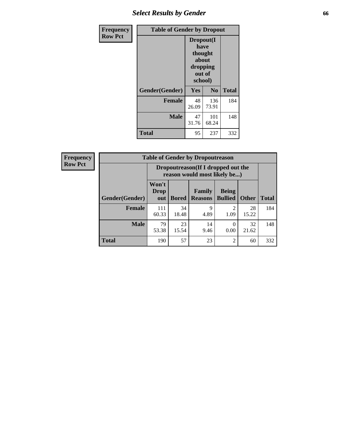# *Select Results by Gender* **66**

| Frequency      | <b>Table of Gender by Dropout</b> |                                                                        |                |              |
|----------------|-----------------------------------|------------------------------------------------------------------------|----------------|--------------|
| <b>Row Pct</b> |                                   | Dropout(I<br>have<br>thought<br>about<br>dropping<br>out of<br>school) |                |              |
|                | Gender(Gender)                    | Yes                                                                    | N <sub>0</sub> | <b>Total</b> |
|                | <b>Female</b>                     | 48<br>26.09                                                            | 136<br>73.91   | 184          |
|                | <b>Male</b>                       | 47<br>31.76                                                            | 101<br>68.24   | 148          |
|                | <b>Total</b>                      | 95                                                                     | 237            | 332          |

| <b>Frequency</b> |                | <b>Table of Gender by Dropoutreason</b> |              |                                                                     |                                |              |              |
|------------------|----------------|-----------------------------------------|--------------|---------------------------------------------------------------------|--------------------------------|--------------|--------------|
| <b>Row Pct</b>   |                |                                         |              | Dropoutreason (If I dropped out the<br>reason would most likely be) |                                |              |              |
|                  | Gender(Gender) | Won't<br><b>Drop</b><br>out             | <b>Bored</b> | Family<br><b>Reasons</b>                                            | <b>Being</b><br><b>Bullied</b> | <b>Other</b> | <b>Total</b> |
|                  | <b>Female</b>  | 111<br>60.33                            | 34<br>18.48  | 9<br>4.89                                                           | $\mathcal{D}$<br>1.09          | 28<br>15.22  | 184          |
|                  | <b>Male</b>    | 79<br>53.38                             | 23<br>15.54  | 14<br>9.46                                                          | 0.00                           | 32<br>21.62  | 148          |
|                  | <b>Total</b>   | 190                                     | 57           | 23                                                                  | $\overline{2}$                 | 60           | 332          |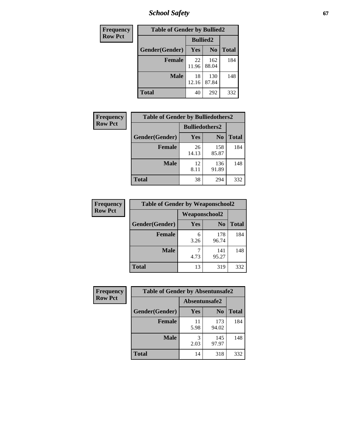*School Safety* **67**

| Frequency      | <b>Table of Gender by Bullied2</b> |                 |                |              |
|----------------|------------------------------------|-----------------|----------------|--------------|
| <b>Row Pct</b> |                                    | <b>Bullied2</b> |                |              |
|                | Gender(Gender)                     | Yes             | N <sub>0</sub> | <b>Total</b> |
|                | <b>Female</b>                      | 22<br>11.96     | 162<br>88.04   | 184          |
|                | <b>Male</b>                        | 18<br>12.16     | 130<br>87.84   | 148          |
|                | <b>Total</b>                       | 40              | 292            | 332          |

| Frequency      | <b>Table of Gender by Bulliedothers2</b> |                       |                |              |
|----------------|------------------------------------------|-----------------------|----------------|--------------|
| <b>Row Pct</b> |                                          | <b>Bulliedothers2</b> |                |              |
|                | Gender(Gender)                           | Yes                   | N <sub>0</sub> | <b>Total</b> |
|                | <b>Female</b>                            | 26<br>14.13           | 158<br>85.87   | 184          |
|                | Male                                     | 12<br>8.11            | 136<br>91.89   | 148          |
|                | <b>Total</b>                             | 38                    | 294            | 332          |

| Frequency      | <b>Table of Gender by Weaponschool2</b> |                      |                |       |
|----------------|-----------------------------------------|----------------------|----------------|-------|
| <b>Row Pct</b> |                                         | <b>Weaponschool2</b> |                |       |
|                | Gender(Gender)                          | Yes                  | N <sub>0</sub> | Total |
|                | <b>Female</b>                           | 6<br>3.26            | 178<br>96.74   | 184   |
|                | <b>Male</b>                             | 4.73                 | 141<br>95.27   | 148   |
|                | <b>Total</b>                            | 13                   | 319            | 332   |

| Frequency      | <b>Table of Gender by Absentunsafe2</b> |               |                |              |
|----------------|-----------------------------------------|---------------|----------------|--------------|
| <b>Row Pct</b> |                                         | Absentunsafe2 |                |              |
|                | Gender(Gender)                          | Yes           | N <sub>0</sub> | <b>Total</b> |
|                | <b>Female</b>                           | 11<br>5.98    | 173<br>94.02   | 184          |
|                | <b>Male</b>                             | 2.03          | 145<br>97.97   | 148          |
|                | <b>Total</b>                            | 14            | 318            | 332          |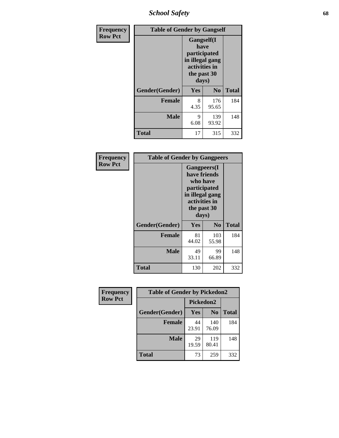*School Safety* **68**

| Frequency      |                | <b>Table of Gender by Gangself</b>                                                                     |                |              |
|----------------|----------------|--------------------------------------------------------------------------------------------------------|----------------|--------------|
| <b>Row Pct</b> |                | <b>Gangself</b> (I<br>have<br>participated<br>in illegal gang<br>activities in<br>the past 30<br>days) |                |              |
|                | Gender(Gender) | Yes                                                                                                    | N <sub>0</sub> | <b>Total</b> |
|                | <b>Female</b>  | 8<br>4.35                                                                                              | 176<br>95.65   | 184          |
|                | <b>Male</b>    | 9<br>6.08                                                                                              | 139<br>93.92   | 148          |
|                | <b>Total</b>   | 17                                                                                                     | 315            | 332          |

| Frequency      | <b>Table of Gender by Gangpeers</b> |                                                                                                                             |                |              |
|----------------|-------------------------------------|-----------------------------------------------------------------------------------------------------------------------------|----------------|--------------|
| <b>Row Pct</b> |                                     | <b>Gangpeers</b> (I<br>have friends<br>who have<br>participated<br>in illegal gang<br>activities in<br>the past 30<br>days) |                |              |
|                | Gender(Gender)                      | Yes                                                                                                                         | N <sub>0</sub> | <b>Total</b> |
|                | <b>Female</b>                       | 81<br>44.02                                                                                                                 | 103<br>55.98   | 184          |
|                | <b>Male</b>                         | 49<br>33.11                                                                                                                 | 99<br>66.89    | 148          |
|                | Total                               | 130                                                                                                                         | 202            | 332          |

| Frequency      | <b>Table of Gender by Pickedon2</b> |             |                |              |
|----------------|-------------------------------------|-------------|----------------|--------------|
| <b>Row Pct</b> |                                     | Pickedon2   |                |              |
|                | Gender(Gender)                      | <b>Yes</b>  | N <sub>0</sub> | <b>Total</b> |
|                | <b>Female</b>                       | 44<br>23.91 | 140<br>76.09   | 184          |
|                | <b>Male</b>                         | 29<br>19.59 | 119<br>80.41   | 148          |
|                | <b>Total</b>                        | 73          | 259            | 332          |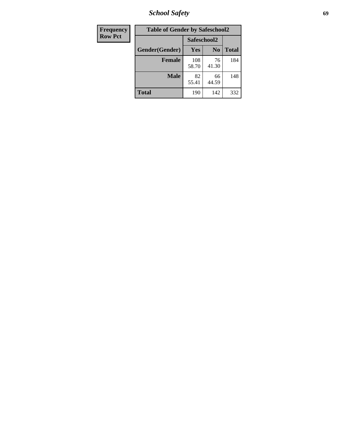*School Safety* **69**

| Frequency      | <b>Table of Gender by Safeschool2</b> |              |                |              |  |
|----------------|---------------------------------------|--------------|----------------|--------------|--|
| <b>Row Pct</b> |                                       | Safeschool2  |                |              |  |
|                | Gender(Gender)                        | <b>Yes</b>   | N <sub>0</sub> | <b>Total</b> |  |
|                | <b>Female</b>                         | 108<br>58.70 | 76<br>41.30    | 184          |  |
|                | <b>Male</b>                           | 82<br>55.41  | 66<br>44.59    | 148          |  |
|                | <b>Total</b>                          | 190          | 142            | 332          |  |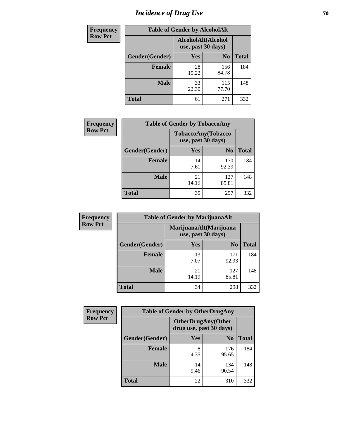# *Incidence of Drug Use* **70**

| <b>Frequency</b> | <b>Table of Gender by AlcoholAlt</b> |                                          |                |              |
|------------------|--------------------------------------|------------------------------------------|----------------|--------------|
| <b>Row Pct</b>   |                                      | AlcoholAlt(Alcohol<br>use, past 30 days) |                |              |
|                  | Gender(Gender)                       | Yes                                      | N <sub>0</sub> | <b>Total</b> |
|                  | <b>Female</b>                        | 28<br>15.22                              | 156<br>84.78   | 184          |
|                  | <b>Male</b>                          | 33<br>22.30                              | 115<br>77.70   | 148          |
|                  | <b>Total</b>                         | 61                                       | 271            | 332          |

| <b>Frequency</b> | <b>Table of Gender by TobaccoAny</b> |                                          |                |              |  |
|------------------|--------------------------------------|------------------------------------------|----------------|--------------|--|
| <b>Row Pct</b>   |                                      | TobaccoAny(Tobacco<br>use, past 30 days) |                |              |  |
|                  | Gender(Gender)                       | Yes                                      | N <sub>0</sub> | <b>Total</b> |  |
|                  | <b>Female</b>                        | 14<br>7.61                               | 170<br>92.39   | 184          |  |
|                  | <b>Male</b>                          | 21<br>14.19                              | 127<br>85.81   | 148          |  |
|                  | <b>Total</b>                         | 35                                       | 297            | 332          |  |

| <b>Frequency</b> | <b>Table of Gender by MarijuanaAlt</b> |                                              |                |              |
|------------------|----------------------------------------|----------------------------------------------|----------------|--------------|
| <b>Row Pct</b>   |                                        | MarijuanaAlt(Marijuana<br>use, past 30 days) |                |              |
|                  | Gender(Gender)                         | <b>Yes</b>                                   | N <sub>0</sub> | <b>Total</b> |
|                  | <b>Female</b>                          | 13<br>7.07                                   | 171<br>92.93   | 184          |
|                  | <b>Male</b>                            | 21<br>14.19                                  | 127<br>85.81   | 148          |
|                  | <b>Total</b>                           | 34                                           | 298            | 332          |

| <b>Frequency</b> | <b>Table of Gender by OtherDrugAny</b> |                                                       |                |              |  |
|------------------|----------------------------------------|-------------------------------------------------------|----------------|--------------|--|
| <b>Row Pct</b>   |                                        | <b>OtherDrugAny</b> (Other<br>drug use, past 30 days) |                |              |  |
|                  | Gender(Gender)                         | <b>Yes</b>                                            | N <sub>0</sub> | <b>Total</b> |  |
|                  | <b>Female</b>                          | 8<br>4.35                                             | 176<br>95.65   | 184          |  |
|                  | <b>Male</b>                            | 14<br>9.46                                            | 134<br>90.54   | 148          |  |
|                  | <b>Total</b>                           | 22                                                    | 310            | 332          |  |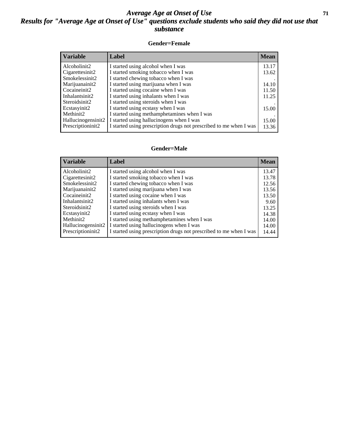#### *Average Age at Onset of Use* **71** *Results for "Average Age at Onset of Use" questions exclude students who said they did not use that substance*

#### **Gender=Female**

| <b>Variable</b>    | <b>Label</b>                                                       | <b>Mean</b> |
|--------------------|--------------------------------------------------------------------|-------------|
| Alcoholinit2       | I started using alcohol when I was                                 | 13.17       |
| Cigarettesinit2    | I started smoking tobacco when I was                               | 13.62       |
| Smokelessinit2     | I started chewing tobacco when I was                               |             |
| Marijuanainit2     | I started using marijuana when I was                               | 14.10       |
| Cocaineinit2       | I started using cocaine when I was                                 | 11.50       |
| Inhalantsinit2     | I started using inhalants when I was                               | 11.25       |
| Steroidsinit2      | I started using steroids when I was                                |             |
| Ecstasyinit2       | I started using ecstasy when I was                                 | 15.00       |
| Methinit2          | I started using methamphetamines when I was                        |             |
| Hallucinogensinit2 | I started using hallucinogens when I was                           | 15.00       |
| Prescription in t2 | I started using prescription drugs not prescribed to me when I was | 13.36       |

#### **Gender=Male**

| <i><b>Variable</b></i>          | Label                                                              | <b>Mean</b> |
|---------------------------------|--------------------------------------------------------------------|-------------|
| Alcoholinit2                    | I started using alcohol when I was                                 | 13.47       |
| Cigarettesinit2                 | I started smoking tobacco when I was                               | 13.78       |
| Smokelessinit2                  | I started chewing tobacco when I was                               | 12.56       |
| Marijuanainit2                  | I started using marijuana when I was                               | 13.56       |
| Cocaineinit2                    | I started using cocaine when I was                                 | 13.50       |
| Inhalantsinit2                  | I started using inhalants when I was                               | 9.60        |
| Steroidsinit2                   | I started using steroids when I was                                | 13.25       |
| Ecstasyinit2                    | I started using ecstasy when I was                                 | 14.38       |
| Methinit2                       | I started using methamphetamines when I was                        | 14.00       |
| Hallucinogensinit2              | I started using hallucinogens when I was                           | 14.00       |
| Prescription in it <sub>2</sub> | I started using prescription drugs not prescribed to me when I was | 14.44       |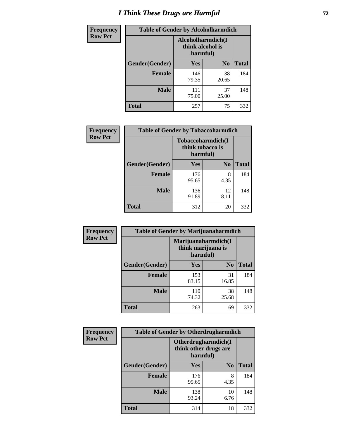# *I Think These Drugs are Harmful* **72**

| <b>Frequency</b> | <b>Table of Gender by Alcoholharmdich</b> |                                                   |                |              |
|------------------|-------------------------------------------|---------------------------------------------------|----------------|--------------|
| <b>Row Pct</b>   |                                           | Alcoholharmdich(I<br>think alcohol is<br>harmful) |                |              |
|                  | Gender(Gender)                            | Yes                                               | N <sub>0</sub> | <b>Total</b> |
|                  | <b>Female</b>                             | 146<br>79.35                                      | 38<br>20.65    | 184          |
|                  | <b>Male</b>                               | 111<br>75.00                                      | 37<br>25.00    | 148          |
|                  | Total                                     | 257                                               | 75             | 332          |

| Frequency      | <b>Table of Gender by Tobaccoharmdich</b> |                  |                               |              |  |
|----------------|-------------------------------------------|------------------|-------------------------------|--------------|--|
| <b>Row Pct</b> |                                           | think tobacco is | Tobaccoharmdich(I<br>harmful) |              |  |
|                | Gender(Gender)                            | Yes              | N <sub>0</sub>                | <b>Total</b> |  |
|                | <b>Female</b>                             | 176<br>95.65     | 8<br>4.35                     | 184          |  |
|                | <b>Male</b>                               | 136<br>91.89     | 12<br>8.11                    | 148          |  |
|                | <b>Total</b>                              | 312              | 20                            | 332          |  |

| Frequency      | <b>Table of Gender by Marijuanaharmdich</b> |                                                       |                |              |  |
|----------------|---------------------------------------------|-------------------------------------------------------|----------------|--------------|--|
| <b>Row Pct</b> |                                             | Marijuanaharmdich(I<br>think marijuana is<br>harmful) |                |              |  |
|                | Gender(Gender)                              | <b>Yes</b>                                            | N <sub>0</sub> | <b>Total</b> |  |
|                | <b>Female</b>                               | 153<br>83.15                                          | 31<br>16.85    | 184          |  |
|                | <b>Male</b>                                 | 110<br>74.32                                          | 38<br>25.68    | 148          |  |
|                | <b>Total</b>                                | 263                                                   | 69             | 332          |  |

| Frequency      | <b>Table of Gender by Otherdrugharmdich</b> |                                                          |                |              |  |
|----------------|---------------------------------------------|----------------------------------------------------------|----------------|--------------|--|
| <b>Row Pct</b> |                                             | Otherdrugharmdich(I<br>think other drugs are<br>harmful) |                |              |  |
|                | Gender(Gender)                              | <b>Yes</b>                                               | N <sub>0</sub> | <b>Total</b> |  |
|                | <b>Female</b>                               | 176<br>95.65                                             | 8<br>4.35      | 184          |  |
|                | <b>Male</b>                                 | 138<br>93.24                                             | 10<br>6.76     | 148          |  |
|                | <b>Total</b>                                | 314                                                      | 18             | 332          |  |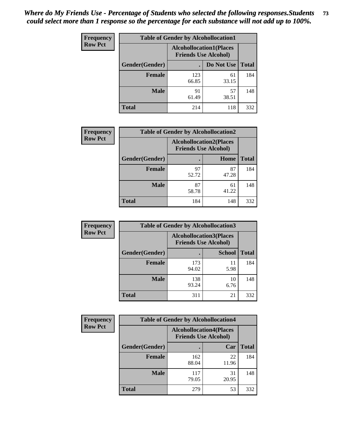| <b>Frequency</b> | <b>Table of Gender by Alcohollocation1</b> |                                                               |             |              |  |
|------------------|--------------------------------------------|---------------------------------------------------------------|-------------|--------------|--|
| <b>Row Pct</b>   |                                            | <b>Alcohollocation1(Places</b><br><b>Friends Use Alcohol)</b> |             |              |  |
|                  | Gender(Gender)                             |                                                               | Do Not Use  | <b>Total</b> |  |
|                  | <b>Female</b>                              | 123<br>66.85                                                  | 61<br>33.15 | 184          |  |
|                  | <b>Male</b>                                | 91<br>61.49                                                   | 57<br>38.51 | 148          |  |
|                  | <b>Total</b>                               | 214                                                           | 118         | 332          |  |

| <b>Frequency</b> | <b>Table of Gender by Alcohollocation2</b> |                                                               |             |              |
|------------------|--------------------------------------------|---------------------------------------------------------------|-------------|--------------|
| <b>Row Pct</b>   |                                            | <b>Alcohollocation2(Places</b><br><b>Friends Use Alcohol)</b> |             |              |
|                  | Gender(Gender)                             |                                                               | Home        | <b>Total</b> |
|                  | Female                                     | 97<br>52.72                                                   | 87<br>47.28 | 184          |
|                  | <b>Male</b>                                | 87<br>58.78                                                   | 61<br>41.22 | 148          |
|                  | <b>Total</b>                               | 184                                                           | 148         | 332          |

| Frequency      | <b>Table of Gender by Alcohollocation3</b> |                                                               |               |              |
|----------------|--------------------------------------------|---------------------------------------------------------------|---------------|--------------|
| <b>Row Pct</b> |                                            | <b>Alcohollocation3(Places</b><br><b>Friends Use Alcohol)</b> |               |              |
|                | Gender(Gender)                             |                                                               | <b>School</b> | <b>Total</b> |
|                | <b>Female</b>                              | 173<br>94.02                                                  | 11<br>5.98    | 184          |
|                | <b>Male</b>                                | 138<br>93.24                                                  | 10<br>6.76    | 148          |
|                | <b>Total</b>                               | 311                                                           | 21            | 332          |

| Frequency      | <b>Table of Gender by Alcohollocation4</b> |                                                               |             |              |
|----------------|--------------------------------------------|---------------------------------------------------------------|-------------|--------------|
| <b>Row Pct</b> |                                            | <b>Alcohollocation4(Places</b><br><b>Friends Use Alcohol)</b> |             |              |
|                | <b>Gender</b> (Gender)                     |                                                               | Car         | <b>Total</b> |
|                | <b>Female</b>                              | 162<br>88.04                                                  | 22<br>11.96 | 184          |
|                | <b>Male</b>                                | 117<br>79.05                                                  | 31<br>20.95 | 148          |
|                | <b>Total</b>                               | 279                                                           | 53          | 332          |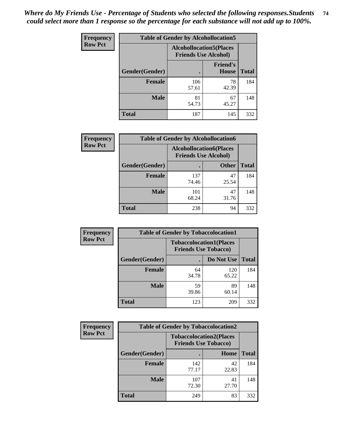| <b>Frequency</b> |                | <b>Table of Gender by Alcohollocation5</b>                    |                                 |              |
|------------------|----------------|---------------------------------------------------------------|---------------------------------|--------------|
| <b>Row Pct</b>   |                | <b>Alcohollocation5(Places</b><br><b>Friends Use Alcohol)</b> |                                 |              |
|                  | Gender(Gender) | $\bullet$                                                     | <b>Friend's</b><br><b>House</b> | <b>Total</b> |
|                  | <b>Female</b>  | 106<br>57.61                                                  | 78<br>42.39                     | 184          |
|                  | <b>Male</b>    | 81<br>54.73                                                   | 67<br>45.27                     | 148          |
|                  | <b>Total</b>   | 187                                                           | 145                             | 332          |

| Frequency      | <b>Table of Gender by Alcohollocation6</b> |                                                               |              |              |
|----------------|--------------------------------------------|---------------------------------------------------------------|--------------|--------------|
| <b>Row Pct</b> |                                            | <b>Alcohollocation6(Places</b><br><b>Friends Use Alcohol)</b> |              |              |
|                | <b>Gender</b> (Gender)                     |                                                               | <b>Other</b> | <b>Total</b> |
|                | Female                                     | 137<br>74.46                                                  | 47<br>25.54  | 184          |
|                | <b>Male</b>                                | 101<br>68.24                                                  | 47<br>31.76  | 148          |
|                | <b>Total</b>                               | 238                                                           | 94           | 332          |

| Frequency      | <b>Table of Gender by Tobaccolocation1</b> |                                                               |              |              |  |
|----------------|--------------------------------------------|---------------------------------------------------------------|--------------|--------------|--|
| <b>Row Pct</b> |                                            | <b>Tobaccolocation1(Places</b><br><b>Friends Use Tobacco)</b> |              |              |  |
|                | Gender(Gender)                             |                                                               | Do Not Use   | <b>Total</b> |  |
|                | Female                                     | 64<br>34.78                                                   | 120<br>65.22 | 184          |  |
|                | <b>Male</b>                                | 59<br>39.86                                                   | 89<br>60.14  | 148          |  |
|                | <b>Total</b>                               | 123                                                           | 209          | 332          |  |

| <b>Frequency</b> |                | <b>Table of Gender by Tobaccolocation2</b>                    |             |              |
|------------------|----------------|---------------------------------------------------------------|-------------|--------------|
| <b>Row Pct</b>   |                | <b>Tobaccolocation2(Places</b><br><b>Friends Use Tobacco)</b> |             |              |
|                  | Gender(Gender) |                                                               | Home        | <b>Total</b> |
|                  | Female         | 142<br>77.17                                                  | 42<br>22.83 | 184          |
|                  | <b>Male</b>    | 107<br>72.30                                                  | 41<br>27.70 | 148          |
|                  | <b>Total</b>   | 249                                                           | 83          | 332          |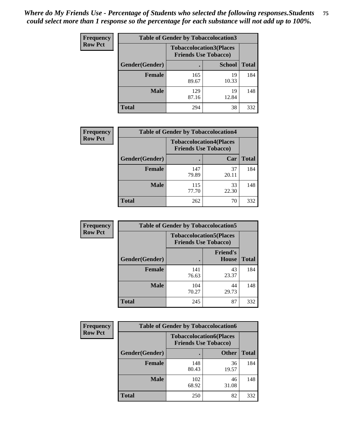| <b>Frequency</b> | <b>Table of Gender by Tobaccolocation3</b> |                             |                                |              |  |
|------------------|--------------------------------------------|-----------------------------|--------------------------------|--------------|--|
| <b>Row Pct</b>   |                                            | <b>Friends Use Tobacco)</b> | <b>Tobaccolocation3(Places</b> |              |  |
|                  | Gender(Gender)                             |                             | <b>School</b>                  | <b>Total</b> |  |
|                  | <b>Female</b>                              | 165<br>89.67                | 19<br>10.33                    | 184          |  |
|                  | <b>Male</b>                                | 129<br>87.16                | 19<br>12.84                    | 148          |  |
|                  | <b>Total</b>                               | 294                         | 38                             | 332          |  |

| <b>Frequency</b> | <b>Table of Gender by Tobaccolocation4</b> |                             |                                |              |
|------------------|--------------------------------------------|-----------------------------|--------------------------------|--------------|
| <b>Row Pct</b>   |                                            | <b>Friends Use Tobacco)</b> | <b>Tobaccolocation4(Places</b> |              |
|                  | <b>Gender</b> (Gender)                     |                             | Car                            | <b>Total</b> |
|                  | <b>Female</b>                              | 147<br>79.89                | 37<br>20.11                    | 184          |
|                  | <b>Male</b>                                | 115<br>77.70                | 33<br>22.30                    | 148          |
|                  | <b>Total</b>                               | 262                         | 70                             | 332          |

| <b>Frequency</b> | <b>Table of Gender by Tobaccolocation5</b> |              |                                                               |              |
|------------------|--------------------------------------------|--------------|---------------------------------------------------------------|--------------|
| <b>Row Pct</b>   |                                            |              | <b>Tobaccolocation5(Places</b><br><b>Friends Use Tobacco)</b> |              |
|                  | Gender(Gender)                             |              | <b>Friend's</b><br>House                                      | <b>Total</b> |
|                  | <b>Female</b>                              | 141<br>76.63 | 43<br>23.37                                                   | 184          |
|                  | <b>Male</b>                                | 104<br>70.27 | 44<br>29.73                                                   | 148          |
|                  | <b>Total</b>                               | 245          | 87                                                            | 332          |

| <b>Frequency</b> | <b>Table of Gender by Tobaccolocation6</b> |                                                               |              |              |
|------------------|--------------------------------------------|---------------------------------------------------------------|--------------|--------------|
| <b>Row Pct</b>   |                                            | <b>Tobaccolocation6(Places</b><br><b>Friends Use Tobacco)</b> |              |              |
|                  | <b>Gender</b> (Gender)                     |                                                               | <b>Other</b> | <b>Total</b> |
|                  | Female                                     | 148<br>80.43                                                  | 36<br>19.57  | 184          |
|                  | <b>Male</b>                                | 102<br>68.92                                                  | 46<br>31.08  | 148          |
|                  | <b>Total</b>                               | 250                                                           | 82           | 332          |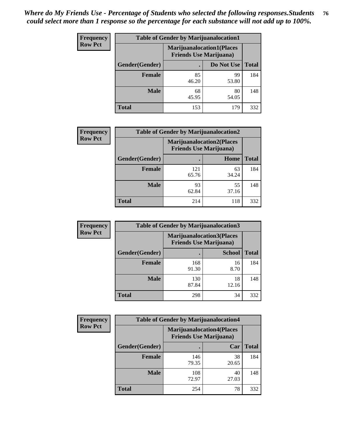| <b>Frequency</b> | <b>Table of Gender by Marijuanalocation1</b> |                                                                    |             |              |
|------------------|----------------------------------------------|--------------------------------------------------------------------|-------------|--------------|
| <b>Row Pct</b>   |                                              | <b>Marijuanalocation1(Places</b><br><b>Friends Use Marijuana</b> ) |             |              |
|                  | Gender(Gender)                               |                                                                    | Do Not Use  | <b>Total</b> |
|                  | <b>Female</b>                                | 85<br>46.20                                                        | 99<br>53.80 | 184          |
|                  | <b>Male</b>                                  | 68<br>45.95                                                        | 80<br>54.05 | 148          |
|                  | <b>Total</b>                                 | 153                                                                | 179         | 332          |

| <b>Frequency</b> | <b>Table of Gender by Marijuanalocation2</b> |                                                                    |             |              |
|------------------|----------------------------------------------|--------------------------------------------------------------------|-------------|--------------|
| <b>Row Pct</b>   |                                              | <b>Marijuanalocation2(Places</b><br><b>Friends Use Marijuana</b> ) |             |              |
|                  | Gender(Gender)                               |                                                                    | Home        | <b>Total</b> |
|                  | <b>Female</b>                                | 121<br>65.76                                                       | 63<br>34.24 | 184          |
|                  | <b>Male</b>                                  | 93<br>62.84                                                        | 55<br>37.16 | 148          |
|                  | <b>Total</b>                                 | 214                                                                | 118         | 332          |

| Frequency      |                | <b>Table of Gender by Marijuanalocation3</b>                       |               |              |
|----------------|----------------|--------------------------------------------------------------------|---------------|--------------|
| <b>Row Pct</b> |                | <b>Marijuanalocation3(Places</b><br><b>Friends Use Marijuana</b> ) |               |              |
|                | Gender(Gender) |                                                                    | <b>School</b> | <b>Total</b> |
|                | Female         | 168<br>91.30                                                       | 16<br>8.70    | 184          |
|                | <b>Male</b>    | 130<br>87.84                                                       | 18<br>12.16   | 148          |
|                | <b>Total</b>   | 298                                                                | 34            | 332          |

| <b>Frequency</b> | <b>Table of Gender by Marijuanalocation4</b> |                                |                                  |              |  |
|------------------|----------------------------------------------|--------------------------------|----------------------------------|--------------|--|
| <b>Row Pct</b>   |                                              | <b>Friends Use Marijuana</b> ) | <b>Marijuanalocation4(Places</b> |              |  |
|                  | Gender(Gender)                               |                                | Car                              | <b>Total</b> |  |
|                  | Female                                       | 146<br>79.35                   | 38<br>20.65                      | 184          |  |
|                  | <b>Male</b>                                  | 108<br>72.97                   | 40<br>27.03                      | 148          |  |
|                  | <b>Total</b>                                 | 254                            | 78                               | 332          |  |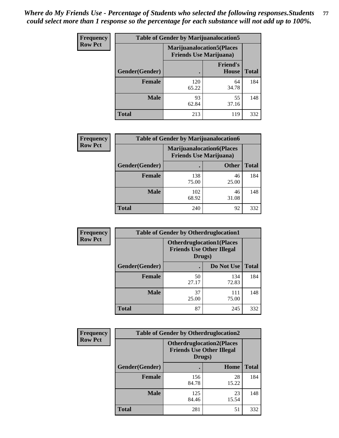| Frequency      | <b>Table of Gender by Marijuanalocation5</b> |                                                                    |                          |              |
|----------------|----------------------------------------------|--------------------------------------------------------------------|--------------------------|--------------|
| <b>Row Pct</b> |                                              | <b>Marijuanalocation5(Places</b><br><b>Friends Use Marijuana</b> ) |                          |              |
|                | Gender(Gender)                               |                                                                    | <b>Friend's</b><br>House | <b>Total</b> |
|                | <b>Female</b>                                | 120<br>65.22                                                       | 64<br>34.78              | 184          |
|                | <b>Male</b>                                  | 93<br>62.84                                                        | 55<br>37.16              | 148          |
|                | <b>Total</b>                                 | 213                                                                | 119                      | 332          |

| <b>Frequency</b> | <b>Table of Gender by Marijuanalocation6</b> |                                |                                  |              |
|------------------|----------------------------------------------|--------------------------------|----------------------------------|--------------|
| <b>Row Pct</b>   |                                              | <b>Friends Use Marijuana</b> ) | <b>Marijuanalocation6(Places</b> |              |
|                  | Gender(Gender)                               |                                | <b>Other</b>                     | <b>Total</b> |
|                  | <b>Female</b>                                | 138<br>75.00                   | 46<br>25.00                      | 184          |
|                  | <b>Male</b>                                  | 102<br>68.92                   | 46<br>31.08                      | 148          |
|                  | <b>Total</b>                                 | 240                            | 92                               | 332          |

| <b>Frequency</b> | <b>Table of Gender by Otherdruglocation1</b> |                                                                                |              |              |
|------------------|----------------------------------------------|--------------------------------------------------------------------------------|--------------|--------------|
| <b>Row Pct</b>   |                                              | <b>Otherdruglocation1(Places</b><br><b>Friends Use Other Illegal</b><br>Drugs) |              |              |
|                  | Gender(Gender)                               |                                                                                | Do Not Use   | <b>Total</b> |
|                  | Female                                       | 50<br>27.17                                                                    | 134<br>72.83 | 184          |
|                  | <b>Male</b>                                  | 37<br>25.00                                                                    | 111<br>75.00 | 148          |
|                  | <b>Total</b>                                 | 87                                                                             | 245          | 332          |

| <b>Frequency</b> | <b>Table of Gender by Otherdruglocation2</b> |                                            |                                  |              |
|------------------|----------------------------------------------|--------------------------------------------|----------------------------------|--------------|
| <b>Row Pct</b>   |                                              | <b>Friends Use Other Illegal</b><br>Drugs) | <b>Otherdruglocation2(Places</b> |              |
|                  | Gender(Gender)                               |                                            | Home                             | <b>Total</b> |
|                  | Female                                       | 156<br>84.78                               | 28<br>15.22                      | 184          |
|                  | <b>Male</b>                                  | 125<br>84.46                               | 23<br>15.54                      | 148          |
|                  | <b>Total</b>                                 | 281                                        | 51                               | 332          |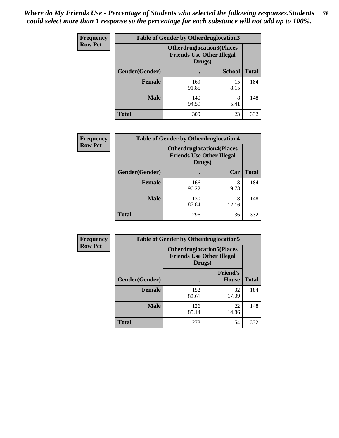| Frequency      | <b>Table of Gender by Otherdruglocation3</b> |                                                                                |               |              |
|----------------|----------------------------------------------|--------------------------------------------------------------------------------|---------------|--------------|
| <b>Row Pct</b> |                                              | <b>Otherdruglocation3(Places</b><br><b>Friends Use Other Illegal</b><br>Drugs) |               |              |
|                | Gender(Gender)                               |                                                                                | <b>School</b> | <b>Total</b> |
|                | Female                                       | 169<br>91.85                                                                   | 15<br>8.15    | 184          |
|                | <b>Male</b>                                  | 140<br>94.59                                                                   | 8<br>5.41     | 148          |
|                | <b>Total</b>                                 | 309                                                                            | 23            | 332          |

| Frequency      | <b>Table of Gender by Otherdruglocation4</b> |                                                                                |             |              |
|----------------|----------------------------------------------|--------------------------------------------------------------------------------|-------------|--------------|
| <b>Row Pct</b> |                                              | <b>Otherdruglocation4(Places</b><br><b>Friends Use Other Illegal</b><br>Drugs) |             |              |
|                | Gender(Gender)                               |                                                                                | Car         | <b>Total</b> |
|                | <b>Female</b>                                | 166<br>90.22                                                                   | 18<br>9.78  | 184          |
|                | <b>Male</b>                                  | 130<br>87.84                                                                   | 18<br>12.16 | 148          |
|                | <b>Total</b>                                 | 296                                                                            | 36          | 332          |

| <b>Frequency</b> | <b>Table of Gender by Otherdruglocation5</b> |                                                                                |                                 |              |
|------------------|----------------------------------------------|--------------------------------------------------------------------------------|---------------------------------|--------------|
| <b>Row Pct</b>   |                                              | <b>Otherdruglocation5(Places</b><br><b>Friends Use Other Illegal</b><br>Drugs) |                                 |              |
|                  | Gender(Gender)                               |                                                                                | <b>Friend's</b><br><b>House</b> | <b>Total</b> |
|                  | <b>Female</b>                                | 152<br>82.61                                                                   | 32<br>17.39                     | 184          |
|                  | <b>Male</b>                                  | 126<br>85.14                                                                   | 22<br>14.86                     | 148          |
|                  | <b>Total</b>                                 | 278                                                                            | 54                              | 332          |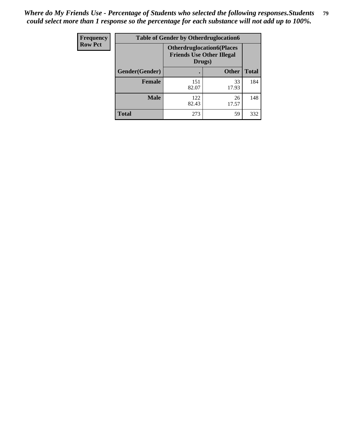| Frequency      | <b>Table of Gender by Otherdruglocation6</b> |                                            |                                  |              |
|----------------|----------------------------------------------|--------------------------------------------|----------------------------------|--------------|
| <b>Row Pct</b> |                                              | <b>Friends Use Other Illegal</b><br>Drugs) | <b>Otherdruglocation6(Places</b> |              |
|                | Gender(Gender)                               |                                            | <b>Other</b>                     | <b>Total</b> |
|                | <b>Female</b>                                | 151<br>82.07                               | 33<br>17.93                      | 184          |
|                | <b>Male</b>                                  | 122<br>82.43                               | 26<br>17.57                      | 148          |
|                | <b>Total</b>                                 | 273                                        | 59                               | 332          |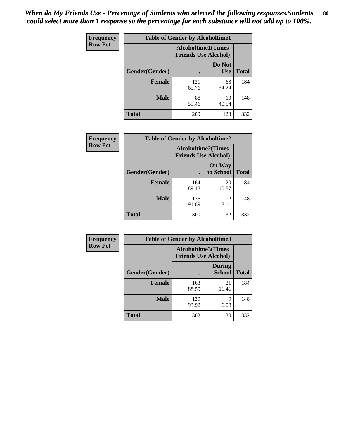| <b>Frequency</b> | <b>Table of Gender by Alcoholtime1</b> |                                                          |                      |              |
|------------------|----------------------------------------|----------------------------------------------------------|----------------------|--------------|
| <b>Row Pct</b>   |                                        | <b>Alcoholtime1(Times</b><br><b>Friends Use Alcohol)</b> |                      |              |
|                  | Gender(Gender)                         | ٠                                                        | Do Not<br><b>Use</b> | <b>Total</b> |
|                  | <b>Female</b>                          | 121<br>65.76                                             | 63<br>34.24          | 184          |
|                  | <b>Male</b>                            | 88<br>59.46                                              | 60<br>40.54          | 148          |
|                  | <b>Total</b>                           | 209                                                      | 123                  | 332          |

| <b>Frequency</b> | <b>Table of Gender by Alcoholtime2</b> |                                                          |                            |              |
|------------------|----------------------------------------|----------------------------------------------------------|----------------------------|--------------|
| <b>Row Pct</b>   |                                        | <b>Alcoholtime2(Times</b><br><b>Friends Use Alcohol)</b> |                            |              |
|                  | Gender(Gender)                         |                                                          | <b>On Way</b><br>to School | <b>Total</b> |
|                  | <b>Female</b>                          | 164<br>89.13                                             | 20<br>10.87                | 184          |
|                  | <b>Male</b>                            | 136<br>91.89                                             | 12<br>8.11                 | 148          |
|                  | <b>Total</b>                           | 300                                                      | 32                         | 332          |

| <b>Frequency</b> | <b>Table of Gender by Alcoholtime3</b> |                                                   |                                |              |
|------------------|----------------------------------------|---------------------------------------------------|--------------------------------|--------------|
| <b>Row Pct</b>   |                                        | Alcoholtime3(Times<br><b>Friends Use Alcohol)</b> |                                |              |
|                  | Gender(Gender)                         |                                                   | <b>During</b><br><b>School</b> | <b>Total</b> |
|                  | Female                                 | 163<br>88.59                                      | 21<br>11.41                    | 184          |
|                  | <b>Male</b>                            | 139<br>93.92                                      | 9<br>6.08                      | 148          |
|                  | <b>Total</b>                           | 302                                               | 30                             | 332          |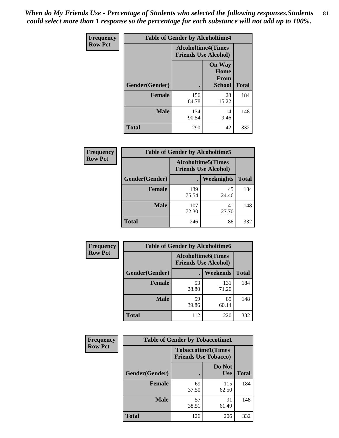*When do My Friends Use - Percentage of Students who selected the following responses.Students could select more than 1 response so the percentage for each substance will not add up to 100%.* **81**

| <b>Frequency</b> | <b>Table of Gender by Alcoholtime4</b> |                                                          |                                                       |              |  |
|------------------|----------------------------------------|----------------------------------------------------------|-------------------------------------------------------|--------------|--|
| <b>Row Pct</b>   |                                        | <b>Alcoholtime4(Times</b><br><b>Friends Use Alcohol)</b> |                                                       |              |  |
|                  | Gender(Gender)                         |                                                          | <b>On Way</b><br>Home<br><b>From</b><br><b>School</b> | <b>Total</b> |  |
|                  | <b>Female</b>                          | 156<br>84.78                                             | 28<br>15.22                                           | 184          |  |
|                  | <b>Male</b>                            | 134<br>90.54                                             | 14<br>9.46                                            | 148          |  |
|                  | <b>Total</b>                           | 290                                                      | 42                                                    | 332          |  |

| <b>Frequency</b> | <b>Table of Gender by Alcoholtime5</b> |                                                           |             |              |  |
|------------------|----------------------------------------|-----------------------------------------------------------|-------------|--------------|--|
| <b>Row Pct</b>   |                                        | <b>Alcoholtime5</b> (Times<br><b>Friends Use Alcohol)</b> |             |              |  |
|                  | Gender(Gender)                         |                                                           | Weeknights  | <b>Total</b> |  |
|                  | <b>Female</b>                          | 139<br>75.54                                              | 45<br>24.46 | 184          |  |
|                  | <b>Male</b>                            | 107<br>72.30                                              | 41<br>27.70 | 148          |  |
|                  | <b>Total</b>                           | 246                                                       | 86          | 332          |  |

| <b>Frequency</b> | <b>Table of Gender by Alcoholtime6</b> |             |                                                           |              |  |
|------------------|----------------------------------------|-------------|-----------------------------------------------------------|--------------|--|
| <b>Row Pct</b>   |                                        |             | <b>Alcoholtime6</b> (Times<br><b>Friends Use Alcohol)</b> |              |  |
|                  | Gender(Gender)                         |             | Weekends                                                  | <b>Total</b> |  |
|                  | Female                                 | 53<br>28.80 | 131<br>71.20                                              | 184          |  |
|                  | <b>Male</b>                            | 59<br>39.86 | 89<br>60.14                                               | 148          |  |
|                  | Total                                  | 112         | 220                                                       | 332          |  |

| <b>Frequency</b> | <b>Table of Gender by Tobaccotime1</b> |                                                          |                      |              |
|------------------|----------------------------------------|----------------------------------------------------------|----------------------|--------------|
| <b>Row Pct</b>   |                                        | <b>Tobaccotime1(Times</b><br><b>Friends Use Tobacco)</b> |                      |              |
|                  | Gender(Gender)                         |                                                          | Do Not<br><b>Use</b> | <b>Total</b> |
|                  | <b>Female</b>                          | 69<br>37.50                                              | 115<br>62.50         | 184          |
|                  | <b>Male</b>                            | 57<br>38.51                                              | 91<br>61.49          | 148          |
|                  | <b>Total</b>                           | 126                                                      | 206                  | 332          |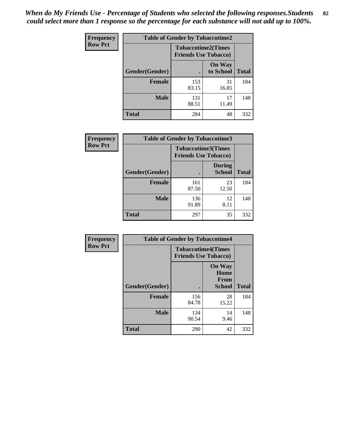*When do My Friends Use - Percentage of Students who selected the following responses.Students could select more than 1 response so the percentage for each substance will not add up to 100%.* **82**

| Frequency      | <b>Table of Gender by Tobaccotime2</b> |                                                          |                            |              |
|----------------|----------------------------------------|----------------------------------------------------------|----------------------------|--------------|
| <b>Row Pct</b> |                                        | <b>Tobaccotime2(Times</b><br><b>Friends Use Tobacco)</b> |                            |              |
|                | Gender(Gender)                         | $\bullet$                                                | <b>On Way</b><br>to School | <b>Total</b> |
|                | <b>Female</b>                          | 153<br>83.15                                             | 31<br>16.85                | 184          |
|                | <b>Male</b>                            | 131<br>88.51                                             | 17<br>11.49                | 148          |
|                | <b>Total</b>                           | 284                                                      | 48                         | 332          |

| Frequency      | <b>Table of Gender by Tobaccotime3</b> |                                                          |                                |              |
|----------------|----------------------------------------|----------------------------------------------------------|--------------------------------|--------------|
| <b>Row Pct</b> |                                        | <b>Tobaccotime3(Times</b><br><b>Friends Use Tobacco)</b> |                                |              |
|                | Gender(Gender)                         |                                                          | <b>During</b><br><b>School</b> | <b>Total</b> |
|                | Female                                 | 161<br>87.50                                             | 23<br>12.50                    | 184          |
|                | <b>Male</b>                            | 136<br>91.89                                             | 12<br>8.11                     | 148          |
|                | <b>Total</b>                           | 297                                                      | 35                             | 332          |

| <b>Frequency</b> | <b>Table of Gender by Tobaccotime4</b> |                                                          |                                      |              |
|------------------|----------------------------------------|----------------------------------------------------------|--------------------------------------|--------------|
| <b>Row Pct</b>   |                                        | <b>Tobaccotime4(Times</b><br><b>Friends Use Tobacco)</b> |                                      |              |
|                  |                                        |                                                          | <b>On Way</b><br>Home<br><b>From</b> |              |
|                  | Gender(Gender)                         |                                                          | School                               | <b>Total</b> |
|                  | <b>Female</b>                          | 156<br>84.78                                             | 28<br>15.22                          | 184          |
|                  | <b>Male</b>                            | 134<br>90.54                                             | 14<br>9.46                           | 148          |
|                  | <b>Total</b>                           | 290                                                      | 42                                   | 332          |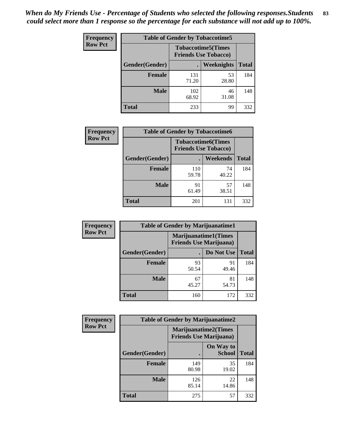| Frequency      | <b>Table of Gender by Tobaccotime5</b> |              |                                                           |              |  |
|----------------|----------------------------------------|--------------|-----------------------------------------------------------|--------------|--|
| <b>Row Pct</b> |                                        |              | <b>Tobaccotime5</b> (Times<br><b>Friends Use Tobacco)</b> |              |  |
|                | Gender(Gender)                         |              | <b>Weeknights</b>                                         | <b>Total</b> |  |
|                | <b>Female</b>                          | 131<br>71.20 | 53<br>28.80                                               | 184          |  |
|                | <b>Male</b>                            | 102<br>68.92 | 46<br>31.08                                               | 148          |  |
|                | <b>Total</b>                           | 233          | 99                                                        | 332          |  |

| Frequency      |                | <b>Table of Gender by Tobaccotime6</b>                   |                 |              |
|----------------|----------------|----------------------------------------------------------|-----------------|--------------|
| <b>Row Pct</b> |                | <b>Tobaccotime6(Times</b><br><b>Friends Use Tobacco)</b> |                 |              |
|                | Gender(Gender) |                                                          | <b>Weekends</b> | <b>Total</b> |
|                | Female         | 110<br>59.78                                             | 74<br>40.22     | 184          |
|                | <b>Male</b>    | 91<br>61.49                                              | 57<br>38.51     | 148          |
|                | <b>Total</b>   | 201                                                      | 131             | 332          |

| Frequency      |                | <b>Table of Gender by Marijuanatime1</b>                      |             |              |
|----------------|----------------|---------------------------------------------------------------|-------------|--------------|
| <b>Row Pct</b> |                | <b>Marijuanatime1(Times</b><br><b>Friends Use Marijuana</b> ) |             |              |
|                | Gender(Gender) |                                                               | Do Not Use  | <b>Total</b> |
|                | <b>Female</b>  | 93<br>50.54                                                   | 91<br>49.46 | 184          |
|                | <b>Male</b>    | 67<br>45.27                                                   | 81<br>54.73 | 148          |
|                | <b>Total</b>   | 160                                                           | 172         | 332          |

| <b>Frequency</b> | <b>Table of Gender by Marijuanatime2</b> |                                                               |                            |              |
|------------------|------------------------------------------|---------------------------------------------------------------|----------------------------|--------------|
| <b>Row Pct</b>   |                                          | <b>Marijuanatime2(Times</b><br><b>Friends Use Marijuana</b> ) |                            |              |
|                  | Gender(Gender)                           |                                                               | On Way to<br><b>School</b> | <b>Total</b> |
|                  | Female                                   | 149<br>80.98                                                  | 35<br>19.02                | 184          |
|                  | <b>Male</b>                              | 126<br>85.14                                                  | 22<br>14.86                | 148          |
|                  | <b>Total</b>                             | 275                                                           | 57                         | 332          |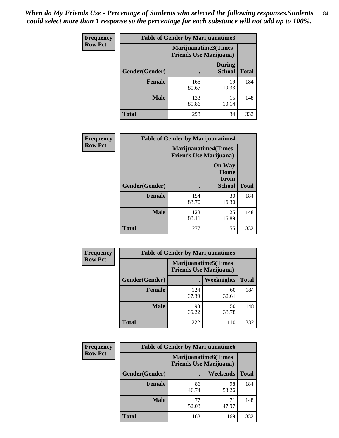| Frequency      | <b>Table of Gender by Marijuanatime3</b> |                                                        |                                |              |
|----------------|------------------------------------------|--------------------------------------------------------|--------------------------------|--------------|
| <b>Row Pct</b> |                                          | Marijuanatime3(Times<br><b>Friends Use Marijuana</b> ) |                                |              |
|                | Gender(Gender)                           |                                                        | <b>During</b><br><b>School</b> | <b>Total</b> |
|                | <b>Female</b>                            | 165<br>89.67                                           | 19<br>10.33                    | 184          |
|                | <b>Male</b>                              | 133<br>89.86                                           | 15<br>10.14                    | 148          |
|                | <b>Total</b>                             | 298                                                    | 34                             | 332          |

| <b>Frequency</b> | <b>Table of Gender by Marijuanatime4</b> |              |                                                               |              |
|------------------|------------------------------------------|--------------|---------------------------------------------------------------|--------------|
| <b>Row Pct</b>   |                                          |              | <b>Marijuanatime4(Times</b><br><b>Friends Use Marijuana</b> ) |              |
|                  |                                          |              | <b>On Way</b><br>Home<br>From                                 |              |
|                  | Gender(Gender)                           |              | School                                                        | <b>Total</b> |
|                  | <b>Female</b>                            | 154<br>83.70 | 30<br>16.30                                                   | 184          |
|                  | <b>Male</b>                              | 123<br>83.11 | 25<br>16.89                                                   | 148          |
|                  | <b>Total</b>                             | 277          | 55                                                            | 332          |

| Frequency      | <b>Table of Gender by Marijuanatime5</b> |                                                                |             |              |  |
|----------------|------------------------------------------|----------------------------------------------------------------|-------------|--------------|--|
| <b>Row Pct</b> |                                          | <b>Marijuanatime5</b> (Times<br><b>Friends Use Marijuana</b> ) |             |              |  |
|                | Gender(Gender)                           |                                                                | Weeknights  | <b>Total</b> |  |
|                | <b>Female</b>                            | 124<br>67.39                                                   | 60<br>32.61 | 184          |  |
|                | <b>Male</b>                              | 98<br>66.22                                                    | 50<br>33.78 | 148          |  |
|                | <b>Total</b>                             | 222                                                            | 110         | 332          |  |

| Frequency      | <b>Table of Gender by Marijuanatime6</b> |                                                               |                 |              |  |
|----------------|------------------------------------------|---------------------------------------------------------------|-----------------|--------------|--|
| <b>Row Pct</b> |                                          | <b>Marijuanatime6(Times</b><br><b>Friends Use Marijuana</b> ) |                 |              |  |
|                | Gender(Gender)                           |                                                               | <b>Weekends</b> | <b>Total</b> |  |
|                | <b>Female</b>                            | 86<br>46.74                                                   | 98<br>53.26     | 184          |  |
|                | <b>Male</b>                              | 77<br>52.03                                                   | 71<br>47.97     | 148          |  |
|                | <b>Total</b>                             | 163                                                           | 169             | 332          |  |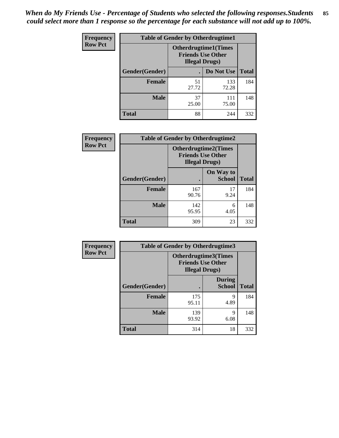*When do My Friends Use - Percentage of Students who selected the following responses.Students could select more than 1 response so the percentage for each substance will not add up to 100%.* **85**

| <b>Frequency</b> | <b>Table of Gender by Otherdrugtime1</b> |                                                                                   |                    |     |
|------------------|------------------------------------------|-----------------------------------------------------------------------------------|--------------------|-----|
| <b>Row Pct</b>   |                                          | <b>Otherdrugtime1(Times</b><br><b>Friends Use Other</b><br><b>Illegal Drugs</b> ) |                    |     |
|                  | Gender(Gender)                           |                                                                                   | Do Not Use   Total |     |
|                  | <b>Female</b>                            | 51<br>27.72                                                                       | 133<br>72.28       | 184 |
|                  | <b>Male</b>                              | 37<br>25.00                                                                       | 111<br>75.00       | 148 |
|                  | <b>Total</b>                             | 88                                                                                | 244                | 332 |

| Frequency      | <b>Table of Gender by Otherdrugtime2</b> |                        |                                                         |              |
|----------------|------------------------------------------|------------------------|---------------------------------------------------------|--------------|
| <b>Row Pct</b> |                                          | <b>Illegal Drugs</b> ) | <b>Otherdrugtime2(Times</b><br><b>Friends Use Other</b> |              |
|                | <b>Gender</b> (Gender)                   |                        | On Way to<br><b>School</b>                              | <b>Total</b> |
|                | <b>Female</b>                            | 167<br>90.76           | 17<br>9.24                                              | 184          |
|                | <b>Male</b>                              | 142<br>95.95           | 6<br>4.05                                               | 148          |
|                | <b>Total</b>                             | 309                    | 23                                                      | 332          |

| Frequency      |                | <b>Table of Gender by Otherdrugtime3</b> |                                                  |              |
|----------------|----------------|------------------------------------------|--------------------------------------------------|--------------|
| <b>Row Pct</b> |                | <b>Illegal Drugs</b> )                   | Otherdrugtime3(Times<br><b>Friends Use Other</b> |              |
|                | Gender(Gender) |                                          | <b>During</b><br><b>School</b>                   | <b>Total</b> |
|                | <b>Female</b>  | 175<br>95.11                             | 9<br>4.89                                        | 184          |
|                | <b>Male</b>    | 139<br>93.92                             | Q<br>6.08                                        | 148          |
|                | <b>Total</b>   | 314                                      | 18                                               | 332          |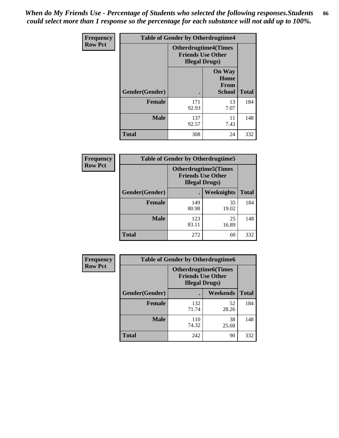*When do My Friends Use - Percentage of Students who selected the following responses.Students could select more than 1 response so the percentage for each substance will not add up to 100%.* **86**

| <b>Frequency</b> | <b>Table of Gender by Otherdrugtime4</b> |                                                                                   |                                                |              |
|------------------|------------------------------------------|-----------------------------------------------------------------------------------|------------------------------------------------|--------------|
| <b>Row Pct</b>   |                                          | <b>Otherdrugtime4(Times</b><br><b>Friends Use Other</b><br><b>Illegal Drugs</b> ) |                                                |              |
|                  | Gender(Gender)                           |                                                                                   | <b>On Way</b><br>Home<br>From<br><b>School</b> | <b>Total</b> |
|                  | Female                                   | 171<br>92.93                                                                      | 13<br>7.07                                     | 184          |
|                  | <b>Male</b>                              | 137<br>92.57                                                                      | 11<br>7.43                                     | 148          |
|                  | <b>Total</b>                             | 308                                                                               | 24                                             | 332          |

| Frequency      | <b>Table of Gender by Otherdrugtime5</b> |                                                                                    |                   |              |
|----------------|------------------------------------------|------------------------------------------------------------------------------------|-------------------|--------------|
| <b>Row Pct</b> |                                          | <b>Otherdrugtime5</b> (Times<br><b>Friends Use Other</b><br><b>Illegal Drugs</b> ) |                   |              |
|                | Gender(Gender)                           |                                                                                    | <b>Weeknights</b> | <b>Total</b> |
|                | <b>Female</b>                            | 149<br>80.98                                                                       | 35<br>19.02       | 184          |
|                | <b>Male</b>                              | 123<br>83.11                                                                       | 25<br>16.89       | 148          |
|                | <b>Total</b>                             | 272                                                                                | 60                | 332          |

| <b>Frequency</b> | <b>Table of Gender by Otherdrugtime6</b> |                                                                                   |             |              |
|------------------|------------------------------------------|-----------------------------------------------------------------------------------|-------------|--------------|
| <b>Row Pct</b>   |                                          | <b>Otherdrugtime6(Times</b><br><b>Friends Use Other</b><br><b>Illegal Drugs</b> ) |             |              |
|                  | Gender(Gender)                           |                                                                                   | Weekends    | <b>Total</b> |
|                  | <b>Female</b>                            | 132<br>71.74                                                                      | 52<br>28.26 | 184          |
|                  | <b>Male</b>                              | 110<br>74.32                                                                      | 38<br>25.68 | 148          |
|                  | <b>Total</b>                             | 242                                                                               | 90          | 332          |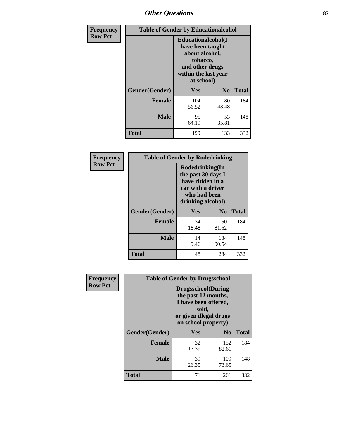# *Other Questions* **87**

| <b>Frequency</b> | <b>Table of Gender by Educationalcohol</b> |                                                                                                                                       |                |              |
|------------------|--------------------------------------------|---------------------------------------------------------------------------------------------------------------------------------------|----------------|--------------|
| <b>Row Pct</b>   |                                            | <b>Educationalcohol</b> (I<br>have been taught<br>about alcohol,<br>tobacco,<br>and other drugs<br>within the last year<br>at school) |                |              |
|                  | Gender(Gender)                             | <b>Yes</b>                                                                                                                            | N <sub>0</sub> | <b>Total</b> |
|                  | <b>Female</b>                              | 104<br>56.52                                                                                                                          | 80<br>43.48    | 184          |
|                  | <b>Male</b>                                | 95<br>64.19                                                                                                                           | 53<br>35.81    | 148          |
|                  | <b>Total</b>                               | 199                                                                                                                                   | 133            | 332          |

| Frequency      | <b>Table of Gender by Rodedrinking</b> |                                                                                                                     |              |              |  |
|----------------|----------------------------------------|---------------------------------------------------------------------------------------------------------------------|--------------|--------------|--|
| <b>Row Pct</b> |                                        | Rodedrinking(In<br>the past 30 days I<br>have ridden in a<br>car with a driver<br>who had been<br>drinking alcohol) |              |              |  |
|                | Gender(Gender)                         | Yes                                                                                                                 | $\bf No$     | <b>Total</b> |  |
|                | <b>Female</b>                          | 34<br>18.48                                                                                                         | 150<br>81.52 | 184          |  |
|                | <b>Male</b>                            | 14<br>9.46                                                                                                          | 134<br>90.54 | 148          |  |
|                | <b>Total</b>                           | 48                                                                                                                  | 284          | 332          |  |

| Frequency      | <b>Table of Gender by Drugsschool</b> |                                                                                                                                     |                |              |  |
|----------------|---------------------------------------|-------------------------------------------------------------------------------------------------------------------------------------|----------------|--------------|--|
| <b>Row Pct</b> |                                       | <b>Drugsschool</b> (During<br>the past 12 months,<br>I have been offered,<br>sold,<br>or given illegal drugs<br>on school property) |                |              |  |
|                | Gender(Gender)                        | Yes                                                                                                                                 | N <sub>0</sub> | <b>Total</b> |  |
|                | <b>Female</b>                         | 32<br>17.39                                                                                                                         | 152<br>82.61   | 184          |  |
|                | <b>Male</b>                           | 39<br>26.35                                                                                                                         | 109<br>73.65   | 148          |  |
|                | <b>Total</b>                          | 71                                                                                                                                  | 261            | 332          |  |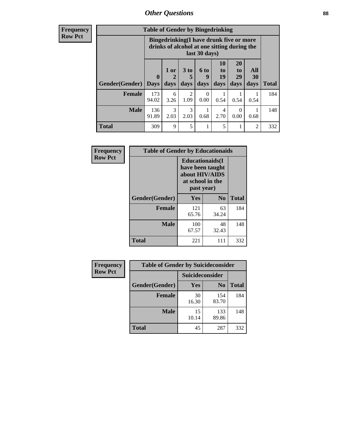## *Other Questions* **88**

**Frequency Row Pct**

| <b>Table of Gender by Bingedrinking</b> |                             |                                                                                                         |                   |                   |                        |                               |                   |              |
|-----------------------------------------|-----------------------------|---------------------------------------------------------------------------------------------------------|-------------------|-------------------|------------------------|-------------------------------|-------------------|--------------|
|                                         |                             | Bingedrinking(I have drunk five or more<br>drinks of alcohol at one sitting during the<br>last 30 days) |                   |                   |                        |                               |                   |              |
| <b>Gender</b> (Gender)                  | $\mathbf{0}$<br><b>Days</b> | 1 or<br>days                                                                                            | 3 to<br>5<br>days | 6 to<br>Q<br>days | 10<br>to<br>19<br>days | <b>20</b><br>to<br>29<br>days | All<br>30<br>days | <b>Total</b> |
| <b>Female</b>                           | 173<br>94.02                | 6<br>3.26                                                                                               | 2<br>1.09         | 0.00              | 0.54                   | 0.54                          | 0.54              | 184          |
| <b>Male</b>                             | 136<br>91.89                | 3<br>2.03                                                                                               | 3<br>2.03         | 0.68              | 4<br>2.70              | $\Omega$<br>0.00              | 0.68              | 148          |
| <b>Total</b>                            | 309                         | 9                                                                                                       | 5                 |                   | 5                      |                               | $\mathfrak{D}$    | 332          |

| Frequency      | <b>Table of Gender by Educationaids</b> |                                                                                                 |                |              |  |
|----------------|-----------------------------------------|-------------------------------------------------------------------------------------------------|----------------|--------------|--|
| <b>Row Pct</b> |                                         | <b>Educationaids</b> (I<br>have been taught<br>about HIV/AIDS<br>at school in the<br>past year) |                |              |  |
|                | Gender(Gender)                          | Yes                                                                                             | N <sub>0</sub> | <b>Total</b> |  |
|                | <b>Female</b>                           | 121<br>65.76                                                                                    | 63<br>34.24    | 184          |  |
|                | <b>Male</b>                             | 100<br>67.57                                                                                    | 48<br>32.43    | 148          |  |
|                | <b>Total</b>                            | 221                                                                                             | 111            | 332          |  |

| <b>Frequency</b> | <b>Table of Gender by Suicideconsider</b> |                 |                |              |  |
|------------------|-------------------------------------------|-----------------|----------------|--------------|--|
| <b>Row Pct</b>   |                                           | Suicideconsider |                |              |  |
|                  | Gender(Gender)                            | Yes             | N <sub>0</sub> | <b>Total</b> |  |
|                  | <b>Female</b>                             | 30<br>16.30     | 154<br>83.70   | 184          |  |
|                  | <b>Male</b>                               | 15<br>10.14     | 133<br>89.86   | 148          |  |
|                  | Total                                     | 45              | 287            | 332          |  |